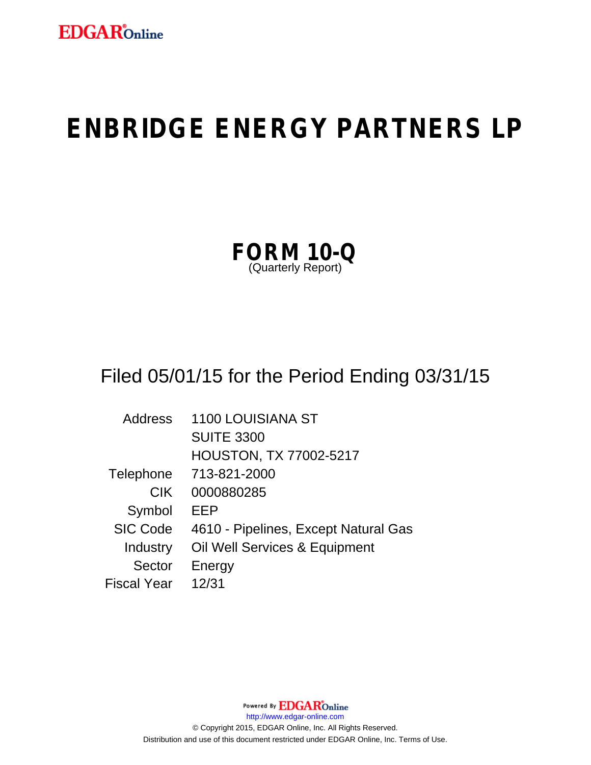# **ENBRIDGE ENERGY PARTNERS LP**

| <b>FORM 10-Q</b>   |  |  |
|--------------------|--|--|
| (Quarterly Report) |  |  |

# Filed 05/01/15 for the Period Ending 03/31/15

| <b>Address</b>  | 1100 LOUISIANA ST                    |
|-----------------|--------------------------------------|
|                 | <b>SUITE 3300</b>                    |
|                 | <b>HOUSTON, TX 77002-5217</b>        |
| Telephone       | 713-821-2000                         |
| <b>CIK</b>      | 0000880285                           |
| Symbol          | EEP                                  |
| <b>SIC Code</b> | 4610 - Pipelines, Except Natural Gas |
| Industry        | Oil Well Services & Equipment        |
| Sector          | Energy                               |
| Fiscal Year     | 12/31                                |

Powered By **EDGAR**Online

http://www.edgar-online.com

© Copyright 2015, EDGAR Online, Inc. All Rights Reserved. Distribution and use of this document restricted under EDGAR Online, Inc. Terms of Use.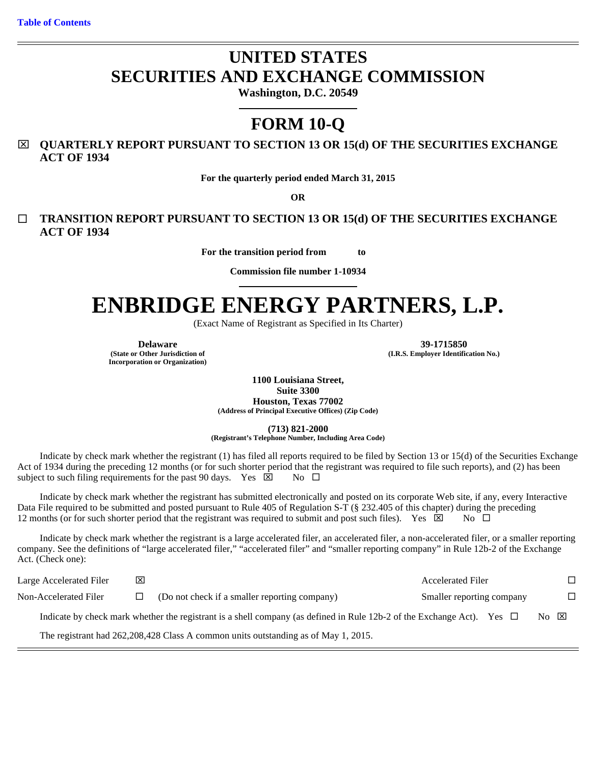$\overline{a}$ 

 $\overline{a}$  $\equiv$ 

# **UNITED STATES SECURITIES AND EXCHANGE COMMISSION**

**Washington, D.C. 20549**   $\overline{a}$ 

# **FORM 10-Q**

# **QUARTERLY REPORT PURSUANT TO SECTION 13 OR 15(d) OF THE SECURITIES EXCHANGE ACT OF 1934**

**For the quarterly period ended March 31, 2015** 

**OR** 

# **TRANSITION REPORT PURSUANT TO SECTION 13 OR 15(d) OF THE SECURITIES EXCHANGE ACT OF 1934**

**For the transition period from to** 

**Commission file number 1-10934**  ı

# **ENBRIDGE ENERGY PARTNERS, L.P.**

(Exact Name of Registrant as Specified in Its Charter)

**(State or Other Jurisdiction of Incorporation or Organization)** 

**Delaware 39-1715850 (I.R.S. Employer Identification No.)** 

> **1100 Louisiana Street, Suite 3300**

**Houston, Texas 77002 (Address of Principal Executive Offices) (Zip Code)**

**(713) 821-2000** 

**(Registrant's Telephone Number, Including Area Code)** 

Indicate by check mark whether the registrant (1) has filed all reports required to be filed by Section 13 or 15(d) of the Securities Exchange Act of 1934 during the preceding 12 months (or for such shorter period that the registrant was required to file such reports), and (2) has been subject to such filing requirements for the past 90 days. Yes  $\boxtimes$  No  $\square$ subject to such filing requirements for the past 90 days. Yes  $\boxtimes$ 

Indicate by check mark whether the registrant has submitted electronically and posted on its corporate Web site, if any, every Interactive Data File required to be submitted and posted pursuant to Rule 405 of Regulation S-T (§ 232.405 of this chapter) during the preceding 12 months (or for such shorter period that the registrant was required to submit and post such files). Yes  $\boxtimes$  No  $\square$ 

Indicate by check mark whether the registrant is a large accelerated filer, an accelerated filer, a non-accelerated filer, or a smaller reporting company. See the definitions of "large accelerated filer," "accelerated filer" and "smaller reporting company" in Rule 12b-2 of the Exchange Act. (Check one):

| Large Accelerated Filer | ⊠ |                                                                                                                             | <b>Accelerated Filer</b>  |                  |  |
|-------------------------|---|-----------------------------------------------------------------------------------------------------------------------------|---------------------------|------------------|--|
| Non-Accelerated Filer   |   | (Do not check if a smaller reporting company)                                                                               | Smaller reporting company |                  |  |
|                         |   | Indicate by check mark whether the registrant is a shell company (as defined in Rule 12b-2 of the Exchange Act). Yes $\Box$ |                           | $No$ $\boxtimes$ |  |
|                         |   | The registrant had 262, 208, 428 Class A common units outstanding as of May 1, 2015.                                        |                           |                  |  |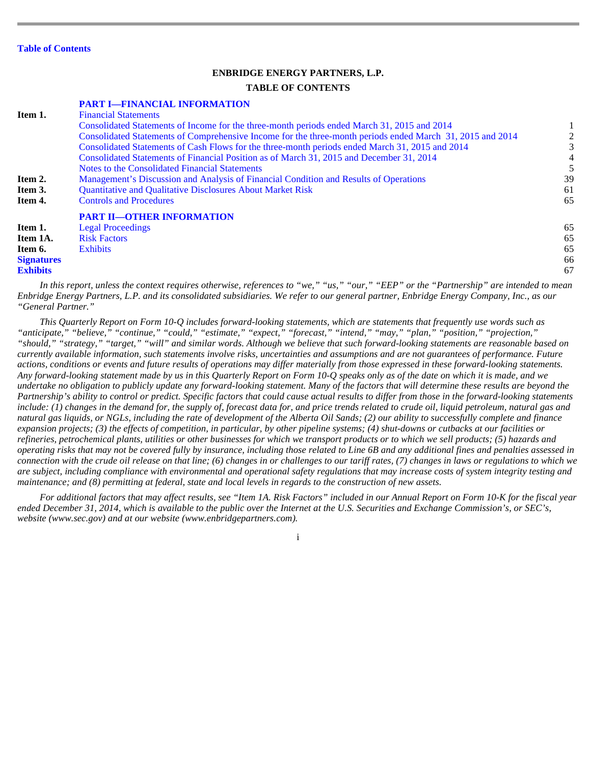**PART I—FINANCIAL INFORMATION** 

# **ENBRIDGE ENERGY PARTNERS, L.P.**

#### **TABLE OF CONTENTS**

| Item 1.           | <b>Financial Statements</b>                                                                               |    |
|-------------------|-----------------------------------------------------------------------------------------------------------|----|
|                   | Consolidated Statements of Income for the three-month periods ended March 31, 2015 and 2014               |    |
|                   | Consolidated Statements of Comprehensive Income for the three-month periods ended March 31, 2015 and 2014 |    |
|                   | Consolidated Statements of Cash Flows for the three-month periods ended March 31, 2015 and 2014           | 3  |
|                   | Consolidated Statements of Financial Position as of March 31, 2015 and December 31, 2014                  |    |
|                   | Notes to the Consolidated Financial Statements                                                            |    |
| Item 2.           | Management's Discussion and Analysis of Financial Condition and Results of Operations                     | 39 |
| Item 3.           | Quantitative and Qualitative Disclosures About Market Risk                                                | 61 |
| Item 4.           | <b>Controls and Procedures</b>                                                                            | 65 |
|                   | <b>PART II-OTHER INFORMATION</b>                                                                          |    |
| Item 1.           | <b>Legal Proceedings</b>                                                                                  | 65 |
| Item 1A.          | <b>Risk Factors</b>                                                                                       | 65 |
| Item 6.           | <b>Exhibits</b>                                                                                           | 65 |
| <b>Signatures</b> |                                                                                                           | 66 |
| <b>Exhibits</b>   |                                                                                                           | 67 |
|                   |                                                                                                           |    |

*In this report, unless the context requires otherwise, references to "we," "us," "our," "EEP" or the "Partnership" are intended to mean Enbridge Energy Partners, L.P. and its consolidated subsidiaries. We refer to our general partner, Enbridge Energy Company, Inc., as our "General Partner."* 

*This Quarterly Report on Form 10-Q includes forward-looking statements, which are statements that frequently use words such as "anticipate," "believe," "continue," "could," "estimate," "expect," "forecast," "intend," "may," "plan," "position," "projection," "should," "strategy," "target," "will" and similar words. Although we believe that such forward-looking statements are reasonable based on currently available information, such statements involve risks, uncertainties and assumptions and are not guarantees of performance. Future actions, conditions or events and future results of operations may differ materially from those expressed in these forward-looking statements. Any forward-looking statement made by us in this Quarterly Report on Form 10-Q speaks only as of the date on which it is made, and we undertake no obligation to publicly update any forward-looking statement. Many of the factors that will determine these results are beyond the Partnership's ability to control or predict. Specific factors that could cause actual results to differ from those in the forward-looking statements include: (1) changes in the demand for, the supply of, forecast data for, and price trends related to crude oil, liquid petroleum, natural gas and natural gas liquids, or NGLs, including the rate of development of the Alberta Oil Sands; (2) our ability to successfully complete and finance expansion projects; (3) the effects of competition, in particular, by other pipeline systems; (4) shut-downs or cutbacks at our facilities or refineries, petrochemical plants, utilities or other businesses for which we transport products or to which we sell products; (5) hazards and operating risks that may not be covered fully by insurance, including those related to Line 6B and any additional fines and penalties assessed in connection with the crude oil release on that line; (6) changes in or challenges to our tariff rates, (7) changes in laws or regulations to which we are subject, including compliance with environmental and operational safety regulations that may increase costs of system integrity testing and maintenance; and (8) permitting at federal, state and local levels in regards to the construction of new assets.* 

*For additional factors that may affect results, see "Item 1A. Risk Factors" included in our Annual Report on Form 10-K for the fiscal year ended December 31, 2014, which is available to the public over the Internet at the U.S. Securities and Exchange Commission's, or SEC's, website (www.sec.gov) and at our website (www.enbridgepartners.com).* 

i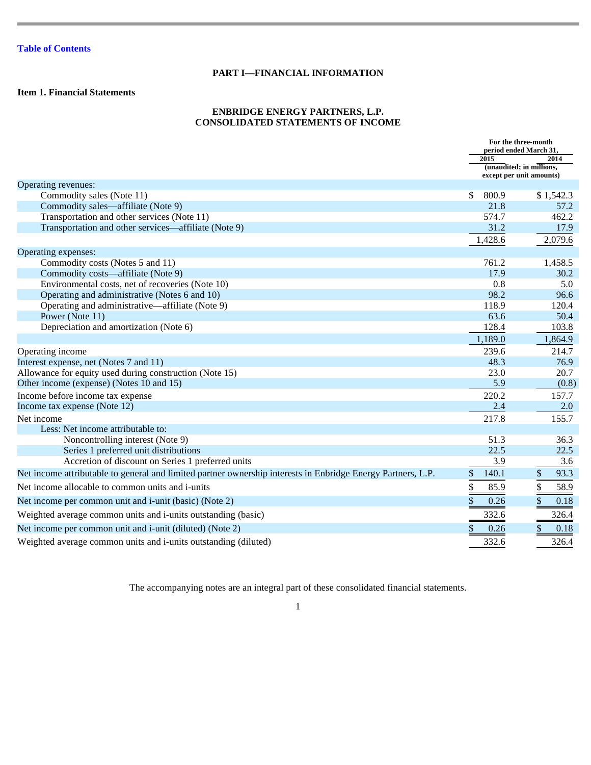# **PART I—FINANCIAL INFORMATION**

# **Item 1. Financial Statements**

# **ENBRIDGE ENERGY PARTNERS, L.P. CONSOLIDATED STATEMENTS OF INCOME**

|                                                                                                              | For the three-month<br>period ended March 31. |                          |
|--------------------------------------------------------------------------------------------------------------|-----------------------------------------------|--------------------------|
|                                                                                                              | 2015                                          | 2014                     |
|                                                                                                              |                                               | (unaudited; in millions, |
|                                                                                                              |                                               | except per unit amounts) |
| Operating revenues:<br>Commodity sales (Note 11)                                                             | \$<br>800.9                                   | \$1,542.3                |
| Commodity sales—affiliate (Note 9)                                                                           | 21.8                                          | 57.2                     |
| Transportation and other services (Note 11)                                                                  | 574.7                                         | 462.2                    |
| Transportation and other services—affiliate (Note 9)                                                         | 31.2                                          | 17.9                     |
|                                                                                                              |                                               |                          |
|                                                                                                              | 1,428.6                                       | 2,079.6                  |
| Operating expenses:<br>Commodity costs (Notes 5 and 11)                                                      | 761.2                                         |                          |
| Commodity costs—affiliate (Note 9)                                                                           | 17.9                                          | 1,458.5<br>30.2          |
| Environmental costs, net of recoveries (Note 10)                                                             | 0.8                                           | 5.0                      |
| Operating and administrative (Notes 6 and 10)                                                                | 98.2                                          | 96.6                     |
| Operating and administrative—affiliate (Note 9)                                                              | 118.9                                         | 120.4                    |
| Power (Note 11)                                                                                              | 63.6                                          | 50.4                     |
| Depreciation and amortization (Note 6)                                                                       | 128.4                                         | 103.8                    |
|                                                                                                              | 1,189.0                                       | 1,864.9                  |
| Operating income                                                                                             | 239.6                                         | 214.7                    |
| Interest expense, net (Notes 7 and 11)                                                                       | 48.3                                          | 76.9                     |
| Allowance for equity used during construction (Note 15)                                                      | 23.0                                          | 20.7                     |
| Other income (expense) (Notes 10 and 15)                                                                     | 5.9                                           | (0.8)                    |
| Income before income tax expense                                                                             | 220.2                                         | 157.7                    |
| Income tax expense (Note 12)                                                                                 | 2.4                                           | 2.0                      |
| Net income                                                                                                   | 217.8                                         | 155.7                    |
| Less: Net income attributable to:                                                                            |                                               |                          |
| Noncontrolling interest (Note 9)                                                                             | 51.3                                          | 36.3                     |
| Series 1 preferred unit distributions                                                                        | 22.5                                          | 22.5                     |
| Accretion of discount on Series 1 preferred units                                                            | 3.9                                           | 3.6                      |
| Net income attributable to general and limited partner ownership interests in Enbridge Energy Partners, L.P. | \$<br>140.1                                   | \$<br>93.3               |
| Net income allocable to common units and i-units                                                             | $\frac{1}{2}$<br>85.9                         | \$<br>58.9               |
| Net income per common unit and i-unit (basic) (Note 2)                                                       | \$<br>0.26                                    | \$<br>0.18               |
| Weighted average common units and i-units outstanding (basic)                                                | 332.6                                         | 326.4                    |
| Net income per common unit and i-unit (diluted) (Note 2)                                                     | \$<br>0.26                                    | \$<br>0.18               |
| Weighted average common units and i-units outstanding (diluted)                                              | 332.6                                         | 326.4                    |

The accompanying notes are an integral part of these consolidated financial statements.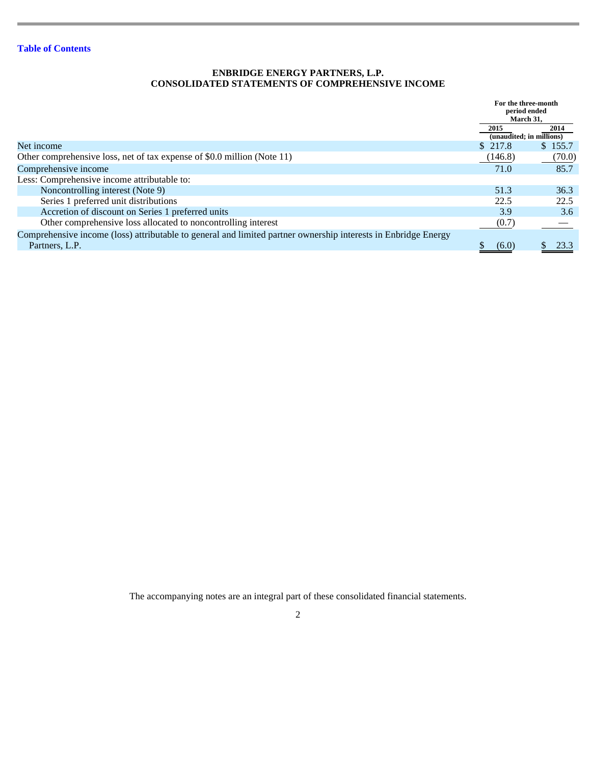# **ENBRIDGE ENERGY PARTNERS, L.P. CONSOLIDATED STATEMENTS OF COMPREHENSIVE INCOME**

|                                                                                                                                  | For the three-month<br>period ended<br>March 31, |         |
|----------------------------------------------------------------------------------------------------------------------------------|--------------------------------------------------|---------|
|                                                                                                                                  | 2015<br>(unaudited; in millions)                 | 2014    |
| Net income                                                                                                                       | \$217.8                                          | \$155.7 |
| Other comprehensive loss, net of tax expense of \$0.0 million (Note 11)                                                          | (146.8)                                          | (70.0)  |
| Comprehensive income                                                                                                             | 71.0                                             | 85.7    |
| Less: Comprehensive income attributable to:                                                                                      |                                                  |         |
| Noncontrolling interest (Note 9)                                                                                                 | 51.3                                             | 36.3    |
| Series 1 preferred unit distributions                                                                                            | 22.5                                             | 22.5    |
| Accretion of discount on Series 1 preferred units                                                                                | 3.9                                              | 3.6     |
| Other comprehensive loss allocated to noncontrolling interest                                                                    | (0.7)                                            |         |
| Comprehensive income (loss) attributable to general and limited partner ownership interests in Enbridge Energy<br>Partners, L.P. | (6.0)                                            | 23.3    |

The accompanying notes are an integral part of these consolidated financial statements.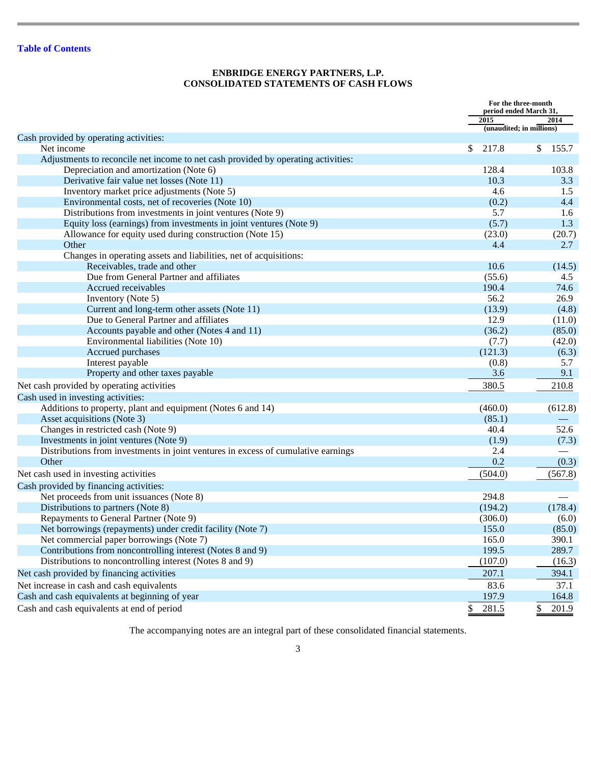# **ENBRIDGE ENERGY PARTNERS, L.P. CONSOLIDATED STATEMENTS OF CASH FLOWS**

|                                                                                   | For the three-month<br>period ended March 31. |             |
|-----------------------------------------------------------------------------------|-----------------------------------------------|-------------|
|                                                                                   | 2015<br>(unaudited; in millions)              | 2014        |
| Cash provided by operating activities:                                            |                                               |             |
| Net income                                                                        | 217.8<br>\$                                   | S.<br>155.7 |
| Adjustments to reconcile net income to net cash provided by operating activities: |                                               |             |
| Depreciation and amortization (Note 6)                                            | 128.4                                         | 103.8       |
| Derivative fair value net losses (Note 11)                                        | 10.3                                          | 3.3         |
| Inventory market price adjustments (Note 5)                                       | 4.6                                           | 1.5         |
| Environmental costs, net of recoveries (Note 10)                                  | (0.2)                                         | 4.4         |
| Distributions from investments in joint ventures (Note 9)                         | 5.7                                           | 1.6         |
| Equity loss (earnings) from investments in joint ventures (Note 9)                | (5.7)                                         | 1.3         |
| Allowance for equity used during construction (Note 15)                           | (23.0)                                        | (20.7)      |
| Other                                                                             | 4.4                                           | 2.7         |
| Changes in operating assets and liabilities, net of acquisitions:                 |                                               |             |
| Receivables, trade and other                                                      | 10.6                                          | (14.5)      |
| Due from General Partner and affiliates                                           | (55.6)                                        | 4.5         |
| Accrued receivables                                                               | 190.4                                         | 74.6        |
| Inventory (Note 5)                                                                | 56.2                                          | 26.9        |
| Current and long-term other assets (Note 11)                                      | (13.9)                                        | (4.8)       |
| Due to General Partner and affiliates                                             | 12.9                                          | (11.0)      |
| Accounts payable and other (Notes 4 and 11)                                       | (36.2)                                        | (85.0)      |
| Environmental liabilities (Note 10)                                               | (7.7)                                         | (42.0)      |
| Accrued purchases                                                                 | (121.3)                                       | (6.3)       |
| Interest payable                                                                  | (0.8)                                         | 5.7         |
| Property and other taxes payable                                                  | 3.6                                           | 9.1         |
| Net cash provided by operating activities                                         | 380.5                                         | 210.8       |
| Cash used in investing activities:                                                |                                               |             |
| Additions to property, plant and equipment (Notes 6 and 14)                       | (460.0)                                       | (612.8)     |
| Asset acquisitions (Note 3)                                                       | (85.1)                                        |             |
| Changes in restricted cash (Note 9)                                               | 40.4                                          | 52.6        |
| Investments in joint ventures (Note 9)                                            | (1.9)                                         | (7.3)       |
| Distributions from investments in joint ventures in excess of cumulative earnings | 2.4                                           |             |
| Other                                                                             | 0.2                                           | (0.3)       |
| Net cash used in investing activities                                             | (504.0)                                       | (567.8)     |
| Cash provided by financing activities:                                            |                                               |             |
| Net proceeds from unit issuances (Note 8)                                         | 294.8                                         |             |
| Distributions to partners (Note 8)                                                | (194.2)                                       | (178.4)     |
| Repayments to General Partner (Note 9)                                            | (306.0)                                       | (6.0)       |
| Net borrowings (repayments) under credit facility (Note 7)                        | 155.0                                         | (85.0)      |
| Net commercial paper borrowings (Note 7)                                          | 165.0                                         | 390.1       |
| Contributions from noncontrolling interest (Notes 8 and 9)                        | 199.5                                         | 289.7       |
| Distributions to noncontrolling interest (Notes 8 and 9)                          | (107.0)                                       | (16.3)      |
| Net cash provided by financing activities                                         | 207.1                                         | 394.1       |
| Net increase in cash and cash equivalents                                         | 83.6                                          | 37.1        |
| Cash and cash equivalents at beginning of year                                    | 197.9                                         | 164.8       |
|                                                                                   |                                               |             |
| Cash and cash equivalents at end of period                                        | \$<br>281.5                                   | \$<br>201.9 |

The accompanying notes are an integral part of these consolidated financial statements.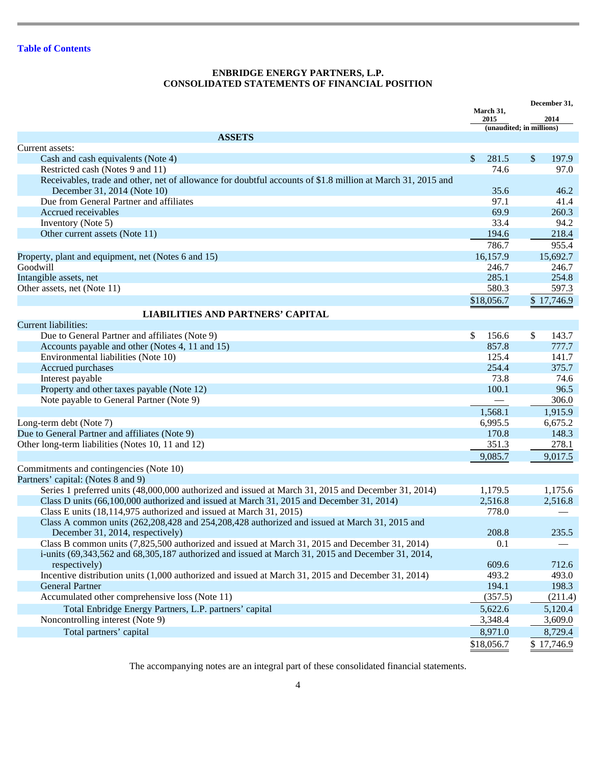# **ENBRIDGE ENERGY PARTNERS, L.P. CONSOLIDATED STATEMENTS OF FINANCIAL POSITION**

|                                                                                                             |                   | December 31,             |
|-------------------------------------------------------------------------------------------------------------|-------------------|--------------------------|
|                                                                                                             | March 31,<br>2015 | 2014                     |
|                                                                                                             |                   | (unaudited; in millions) |
| <b>ASSETS</b>                                                                                               |                   |                          |
| Current assets:                                                                                             |                   |                          |
| Cash and cash equivalents (Note 4)                                                                          | \$<br>281.5       | $\mathbb{S}$<br>197.9    |
| Restricted cash (Notes 9 and 11)                                                                            | 74.6              | 97.0                     |
| Receivables, trade and other, net of allowance for doubtful accounts of \$1.8 million at March 31, 2015 and |                   |                          |
| December 31, 2014 (Note 10)                                                                                 | 35.6              | 46.2                     |
| Due from General Partner and affiliates                                                                     | 97.1              | 41.4                     |
| Accrued receivables                                                                                         | 69.9              | 260.3                    |
| Inventory (Note 5)                                                                                          | 33.4              | 94.2                     |
| Other current assets (Note 11)                                                                              | 194.6             | 218.4                    |
|                                                                                                             | 786.7             | 955.4                    |
| Property, plant and equipment, net (Notes 6 and 15)                                                         | 16,157.9          | 15,692.7                 |
| Goodwill                                                                                                    | 246.7             | 246.7                    |
| Intangible assets, net                                                                                      | 285.1             | 254.8                    |
| Other assets, net (Note 11)                                                                                 | 580.3             | 597.3                    |
|                                                                                                             | \$18,056.7        | \$17,746.9               |
| <b>LIABILITIES AND PARTNERS' CAPITAL</b>                                                                    |                   |                          |
| <b>Current liabilities:</b>                                                                                 |                   |                          |
| Due to General Partner and affiliates (Note 9)                                                              | \$<br>156.6       | \$<br>143.7              |
| Accounts payable and other (Notes 4, 11 and 15)                                                             | 857.8             | 777.7                    |
| Environmental liabilities (Note 10)                                                                         | 125.4             | 141.7                    |
| Accrued purchases                                                                                           | 254.4             | 375.7                    |
| Interest payable                                                                                            | 73.8              | 74.6                     |
| Property and other taxes payable (Note 12)                                                                  | 100.1             | 96.5                     |
| Note payable to General Partner (Note 9)                                                                    |                   | 306.0                    |
|                                                                                                             | 1,568.1           | 1,915.9                  |
| Long-term debt (Note 7)                                                                                     | 6,995.5           | 6,675.2                  |
| Due to General Partner and affiliates (Note 9)                                                              | 170.8             | 148.3                    |
| Other long-term liabilities (Notes 10, 11 and 12)                                                           | 351.3             | 278.1                    |
|                                                                                                             |                   |                          |
|                                                                                                             | 9,085.7           | 9,017.5                  |
| Commitments and contingencies (Note 10)                                                                     |                   |                          |
| Partners' capital: (Notes 8 and 9)                                                                          |                   |                          |
| Series 1 preferred units (48,000,000 authorized and issued at March 31, 2015 and December 31, 2014)         | 1,179.5           | 1,175.6                  |
| Class D units (66,100,000 authorized and issued at March 31, 2015 and December 31, 2014)                    | 2,516.8           | 2,516.8                  |
| Class E units (18,114,975 authorized and issued at March 31, 2015)                                          | 778.0             |                          |
| Class A common units (262,208,428 and 254,208,428 authorized and issued at March 31, 2015 and               |                   |                          |
| December 31, 2014, respectively)                                                                            | 208.8             | 235.5                    |
| Class B common units (7,825,500 authorized and issued at March 31, 2015 and December 31, 2014)              | 0.1               |                          |
| i-units (69,343,562 and 68,305,187 authorized and issued at March 31, 2015 and December 31, 2014,           |                   |                          |
| respectively)                                                                                               | 609.6             | 712.6                    |
| Incentive distribution units (1,000 authorized and issued at March 31, 2015 and December 31, 2014)          | 493.2             | 493.0                    |
| <b>General Partner</b>                                                                                      | 194.1             | 198.3                    |
| Accumulated other comprehensive loss (Note 11)                                                              | (357.5)           | (211.4)                  |
| Total Enbridge Energy Partners, L.P. partners' capital                                                      | 5,622.6           | 5,120.4                  |
| Noncontrolling interest (Note 9)                                                                            | 3,348.4           | 3,609.0                  |
| Total partners' capital                                                                                     | 8,971.0           | 8,729.4                  |
|                                                                                                             | \$18,056.7        | \$17,746.9               |

The accompanying notes are an integral part of these consolidated financial statements.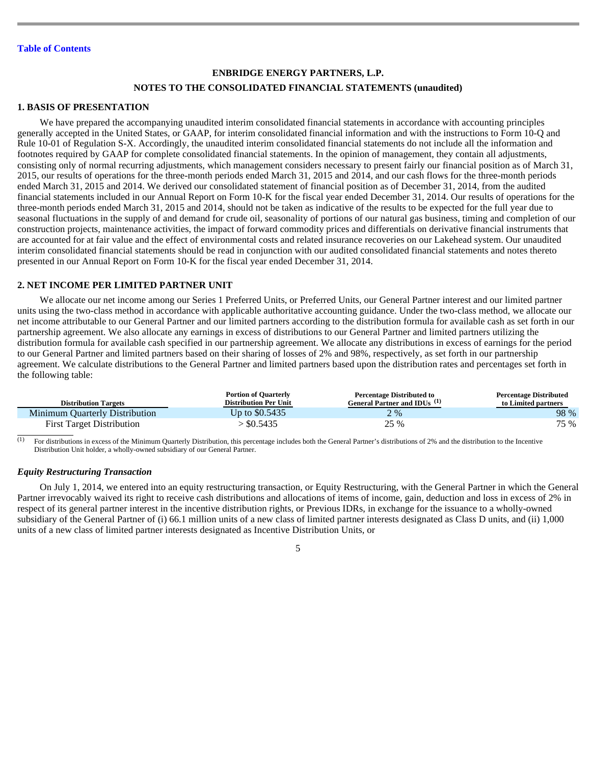# **ENBRIDGE ENERGY PARTNERS, L.P. NOTES TO THE CONSOLIDATED FINANCIAL STATEMENTS (unaudited)**

#### **1. BASIS OF PRESENTATION**

We have prepared the accompanying unaudited interim consolidated financial statements in accordance with accounting principles generally accepted in the United States, or GAAP, for interim consolidated financial information and with the instructions to Form 10-Q and Rule 10-01 of Regulation S-X. Accordingly, the unaudited interim consolidated financial statements do not include all the information and footnotes required by GAAP for complete consolidated financial statements. In the opinion of management, they contain all adjustments, consisting only of normal recurring adjustments, which management considers necessary to present fairly our financial position as of March 31, 2015, our results of operations for the three-month periods ended March 31, 2015 and 2014, and our cash flows for the three-month periods ended March 31, 2015 and 2014. We derived our consolidated statement of financial position as of December 31, 2014, from the audited financial statements included in our Annual Report on Form 10-K for the fiscal year ended December 31, 2014. Our results of operations for the three-month periods ended March 31, 2015 and 2014, should not be taken as indicative of the results to be expected for the full year due to seasonal fluctuations in the supply of and demand for crude oil, seasonality of portions of our natural gas business, timing and completion of our construction projects, maintenance activities, the impact of forward commodity prices and differentials on derivative financial instruments that are accounted for at fair value and the effect of environmental costs and related insurance recoveries on our Lakehead system. Our unaudited interim consolidated financial statements should be read in conjunction with our audited consolidated financial statements and notes thereto presented in our Annual Report on Form 10-K for the fiscal year ended December 31, 2014.

#### **2. NET INCOME PER LIMITED PARTNER UNIT**

We allocate our net income among our Series 1 Preferred Units, or Preferred Units, our General Partner interest and our limited partner units using the two-class method in accordance with applicable authoritative accounting guidance. Under the two-class method, we allocate our net income attributable to our General Partner and our limited partners according to the distribution formula for available cash as set forth in our partnership agreement. We also allocate any earnings in excess of distributions to our General Partner and limited partners utilizing the distribution formula for available cash specified in our partnership agreement. We allocate any distributions in excess of earnings for the period to our General Partner and limited partners based on their sharing of losses of 2% and 98%, respectively, as set forth in our partnership agreement. We calculate distributions to the General Partner and limited partners based upon the distribution rates and percentages set forth in the following table:

| <b>Distribution Targets</b>      | <b>Portion of Quarterly</b><br><b>Distribution Per Unit</b> | <b>Percentage Distributed to</b><br>General Partner and IDUs (1) | <b>Percentage Distributed</b><br>to Limited partners |
|----------------------------------|-------------------------------------------------------------|------------------------------------------------------------------|------------------------------------------------------|
| Minimum Quarterly Distribution   | Up to \$0.5435                                              | 2 %                                                              | 98 %                                                 |
| <b>First Target Distribution</b> | 80.5435 >                                                   | 25 %                                                             | 75 %                                                 |

 For distributions in excess of the Minimum Quarterly Distribution, this percentage includes both the General Partner's distributions of 2% and the distribution to the Incentive Distribution Unit holder, a wholly-owned subsidiary of our General Partner. (1)

# *Equity Restructuring Transaction*

On July 1, 2014, we entered into an equity restructuring transaction, or Equity Restructuring, with the General Partner in which the General Partner irrevocably waived its right to receive cash distributions and allocations of items of income, gain, deduction and loss in excess of 2% in respect of its general partner interest in the incentive distribution rights, or Previous IDRs, in exchange for the issuance to a wholly-owned subsidiary of the General Partner of (i) 66.1 million units of a new class of limited partner interests designated as Class D units, and (ii) 1,000 units of a new class of limited partner interests designated as Incentive Distribution Units, or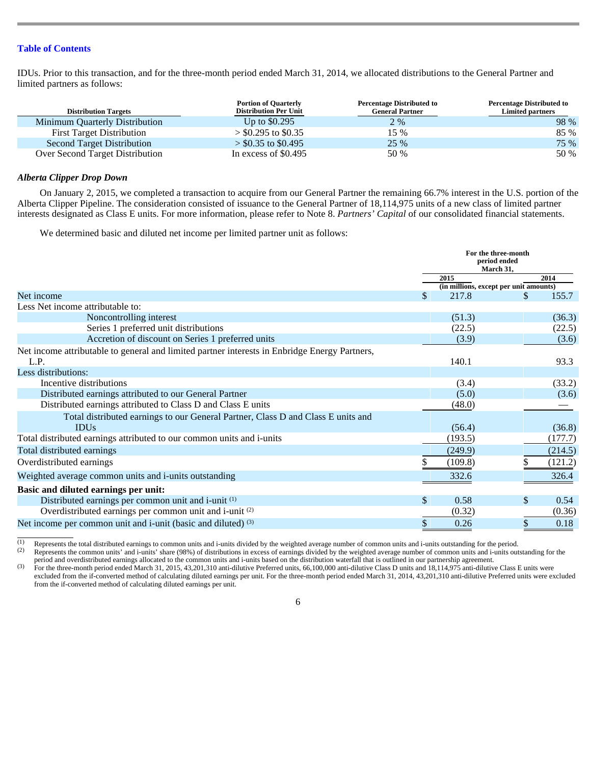IDUs. Prior to this transaction, and for the three-month period ended March 31, 2014, we allocated distributions to the General Partner and limited partners as follows:

| <b>Distribution Targets</b>       | <b>Portion of Quarterly</b><br><b>Distribution Per Unit</b> | <b>Percentage Distributed to</b><br><b>General Partner</b> | <b>Percentage Distributed to</b><br><b>Limited partners</b> |
|-----------------------------------|-------------------------------------------------------------|------------------------------------------------------------|-------------------------------------------------------------|
| Minimum Quarterly Distribution    | Up to $$0.295$                                              | 2 %                                                        | 98 %                                                        |
| <b>First Target Distribution</b>  | $>$ \$0.295 to \$0.35                                       | 15 %                                                       | 85 %                                                        |
| <b>Second Target Distribution</b> | $>$ \$0.35 to \$0.495                                       | 25 %                                                       | 75 %                                                        |
| Over Second Target Distribution   | In excess of $$0.495$                                       | 50 %                                                       | 50 %                                                        |

#### *Alberta Clipper Drop Down*

On January 2, 2015, we completed a transaction to acquire from our General Partner the remaining 66.7% interest in the U.S. portion of the Alberta Clipper Pipeline. The consideration consisted of issuance to the General Partner of 18,114,975 units of a new class of limited partner interests designated as Class E units. For more information, please refer to Note 8. *Partners' Capital* of our consolidated financial statements.

We determined basic and diluted net income per limited partner unit as follows:

|                                                                                               | For the three-month<br>period ended<br>March 31, |                                        |    |         |
|-----------------------------------------------------------------------------------------------|--------------------------------------------------|----------------------------------------|----|---------|
|                                                                                               |                                                  | 2015                                   |    | 2014    |
|                                                                                               |                                                  | (in millions, except per unit amounts) |    |         |
| Net income                                                                                    | $\mathbb{S}$                                     | 217.8                                  | S. | 155.7   |
| Less Net income attributable to:                                                              |                                                  |                                        |    |         |
| Noncontrolling interest                                                                       |                                                  | (51.3)                                 |    | (36.3)  |
| Series 1 preferred unit distributions                                                         |                                                  | (22.5)                                 |    | (22.5)  |
| Accretion of discount on Series 1 preferred units                                             |                                                  | (3.9)                                  |    | (3.6)   |
| Net income attributable to general and limited partner interests in Enbridge Energy Partners, |                                                  |                                        |    |         |
| L.P.                                                                                          |                                                  | 140.1                                  |    | 93.3    |
| Less distributions:                                                                           |                                                  |                                        |    |         |
| Incentive distributions                                                                       |                                                  | (3.4)                                  |    | (33.2)  |
| Distributed earnings attributed to our General Partner                                        |                                                  | (5.0)                                  |    | (3.6)   |
| Distributed earnings attributed to Class D and Class E units                                  |                                                  | (48.0)                                 |    |         |
| Total distributed earnings to our General Partner, Class D and Class E units and              |                                                  |                                        |    |         |
| <b>IDUs</b>                                                                                   |                                                  | (56.4)                                 |    | (36.8)  |
| Total distributed earnings attributed to our common units and i-units                         |                                                  | (193.5)                                |    | (177.7) |
| Total distributed earnings                                                                    |                                                  | (249.9)                                |    | (214.5) |
| Overdistributed earnings                                                                      |                                                  | (109.8)                                |    | (121.2) |
| Weighted average common units and i-units outstanding                                         |                                                  | 332.6                                  |    | 326.4   |
| Basic and diluted earnings per unit:                                                          |                                                  |                                        |    |         |
| Distributed earnings per common unit and i-unit (1)                                           | \$                                               | 0.58                                   | \$ | 0.54    |
| Overdistributed earnings per common unit and i-unit (2)                                       |                                                  | (0.32)                                 |    | (0.36)  |
| Net income per common unit and i-unit (basic and diluted) (3)                                 | \$                                               | 0.26                                   | \$ | 0.18    |

 $\frac{1}{(1)}$  Represents the total distributed earnings to common units and i-units divided by the weighted average number of common units and i-units outstanding for the period. Represents the common units' and i-units' share (98%) of distributions in excess of earnings divided by the weighted average number of common units and i-units outstanding for the (2)

period and overdistributed earnings allocated to the common units and i-units based on the distribution waterfall that is outlined in our partnership agreement.

 For the three-month period ended March 31, 2015, 43,201,310 anti-dilutive Preferred units, 66,100,000 anti-dilutive Class D units and 18,114,975 anti-dilutive Class E units were excluded from the if-converted method of calculating diluted earnings per unit. For the three-month period ended March 31, 2014, 43,201,310 anti-dilutive Preferred units were excluded from the if-converted method of calculating diluted earnings per unit. (3)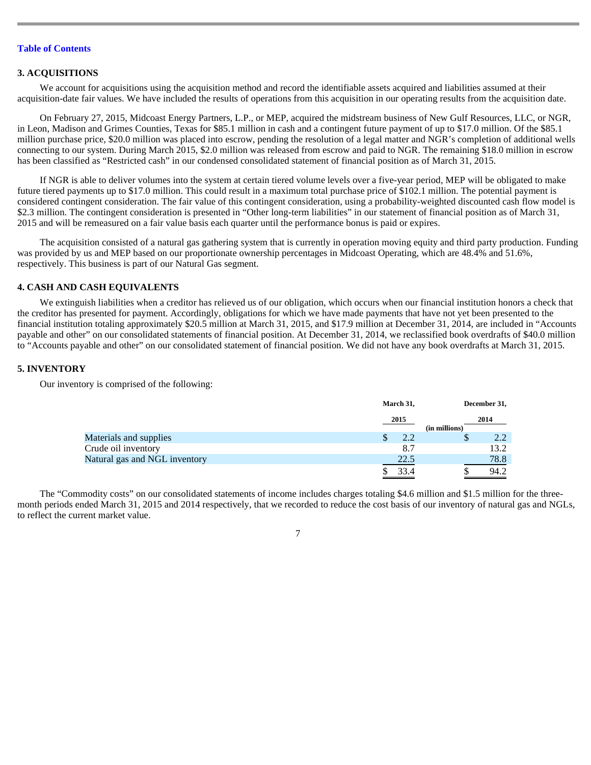#### **3. ACQUISITIONS**

We account for acquisitions using the acquisition method and record the identifiable assets acquired and liabilities assumed at their acquisition-date fair values. We have included the results of operations from this acquisition in our operating results from the acquisition date.

On February 27, 2015, Midcoast Energy Partners, L.P., or MEP, acquired the midstream business of New Gulf Resources, LLC, or NGR, in Leon, Madison and Grimes Counties, Texas for \$85.1 million in cash and a contingent future payment of up to \$17.0 million. Of the \$85.1 million purchase price, \$20.0 million was placed into escrow, pending the resolution of a legal matter and NGR's completion of additional wells connecting to our system. During March 2015, \$2.0 million was released from escrow and paid to NGR. The remaining \$18.0 million in escrow has been classified as "Restricted cash" in our condensed consolidated statement of financial position as of March 31, 2015.

If NGR is able to deliver volumes into the system at certain tiered volume levels over a five-year period, MEP will be obligated to make future tiered payments up to \$17.0 million. This could result in a maximum total purchase price of \$102.1 million. The potential payment is considered contingent consideration. The fair value of this contingent consideration, using a probability-weighted discounted cash flow model is \$2.3 million. The contingent consideration is presented in "Other long-term liabilities" in our statement of financial position as of March 31, 2015 and will be remeasured on a fair value basis each quarter until the performance bonus is paid or expires.

The acquisition consisted of a natural gas gathering system that is currently in operation moving equity and third party production. Funding was provided by us and MEP based on our proportionate ownership percentages in Midcoast Operating, which are 48.4% and 51.6%, respectively. This business is part of our Natural Gas segment.

#### **4. CASH AND CASH EQUIVALENTS**

We extinguish liabilities when a creditor has relieved us of our obligation, which occurs when our financial institution honors a check that the creditor has presented for payment. Accordingly, obligations for which we have made payments that have not yet been presented to the financial institution totaling approximately \$20.5 million at March 31, 2015, and \$17.9 million at December 31, 2014, are included in "Accounts payable and other" on our consolidated statements of financial position. At December 31, 2014, we reclassified book overdrafts of \$40.0 million to "Accounts payable and other" on our consolidated statement of financial position. We did not have any book overdrafts at March 31, 2015.

#### **5. INVENTORY**

Our inventory is comprised of the following:

|                               | March 31, | December 31,  |
|-------------------------------|-----------|---------------|
|                               | 2015      | 2014          |
|                               |           | (in millions) |
| Materials and supplies        | 2.2<br>S  | ۰D            |
| Crude oil inventory           | 8.7       | 13.2          |
| Natural gas and NGL inventory | 22.5      | 78.8          |
|                               | 33.4      | 94.2          |

The "Commodity costs" on our consolidated statements of income includes charges totaling \$4.6 million and \$1.5 million for the threemonth periods ended March 31, 2015 and 2014 respectively, that we recorded to reduce the cost basis of our inventory of natural gas and NGLs, to reflect the current market value.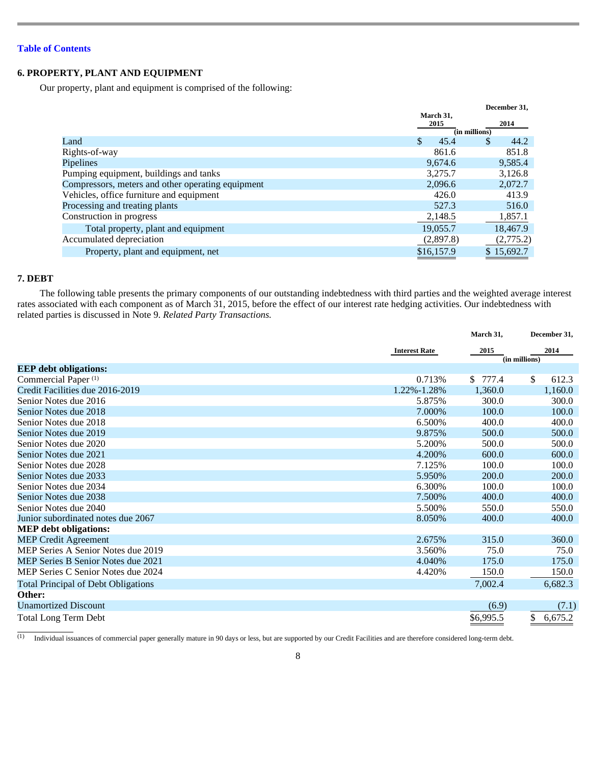# **6. PROPERTY, PLANT AND EQUIPMENT**

Our property, plant and equipment is comprised of the following:

|                                                   |                   | December 31,          |
|---------------------------------------------------|-------------------|-----------------------|
|                                                   | March 31,<br>2015 | 2014                  |
|                                                   |                   | (in millions)         |
| Land                                              | \$<br>45.4        | 44.2<br><sup>\$</sup> |
| Rights-of-way                                     | 861.6             | 851.8                 |
| Pipelines                                         | 9,674.6           | 9,585.4               |
| Pumping equipment, buildings and tanks            | 3,275.7           | 3,126.8               |
| Compressors, meters and other operating equipment | 2,096.6           | 2,072.7               |
| Vehicles, office furniture and equipment          | 426.0             | 413.9                 |
| Processing and treating plants                    | 527.3             | 516.0                 |
| Construction in progress                          | 2,148.5           | 1,857.1               |
| Total property, plant and equipment               | 19,055.7          | 18,467.9              |
| Accumulated depreciation                          | (2,897.8)         | (2,775.2)             |
| Property, plant and equipment, net                | \$16,157.9        | \$15,692.7            |
|                                                   |                   |                       |

# **7. DEBT**

The following table presents the primary components of our outstanding indebtedness with third parties and the weighted average interest rates associated with each component as of March 31, 2015, before the effect of our interest rate hedging activities. Our indebtedness with related parties is discussed in Note 9. *Related Party Transactions.* 

|                                            |                      | March 31,   | December 31,          |
|--------------------------------------------|----------------------|-------------|-----------------------|
|                                            | <b>Interest Rate</b> | 2015        | 2014<br>(in millions) |
| <b>EEP</b> debt obligations:               |                      |             |                       |
| Commercial Paper <sup>(1)</sup>            | 0.713%               | 777.4<br>S. | \$<br>612.3           |
| Credit Facilities due 2016-2019            | 1.22%-1.28%          | 1,360.0     | 1,160.0               |
| Senior Notes due 2016                      | 5.875%               | 300.0       | 300.0                 |
| Senior Notes due 2018                      | 7.000%               | 100.0       | 100.0                 |
| Senior Notes due 2018                      | 6.500%               | 400.0       | 400.0                 |
| Senior Notes due 2019                      | 9.875%               | 500.0       | 500.0                 |
| Senior Notes due 2020                      | 5.200%               | 500.0       | 500.0                 |
| Senior Notes due 2021                      | 4.200%               | 600.0       | 600.0                 |
| Senior Notes due 2028                      | 7.125%               | 100.0       | 100.0                 |
| Senior Notes due 2033                      | 5.950%               | 200.0       | 200.0                 |
| Senior Notes due 2034                      | 6.300%               | 100.0       | 100.0                 |
| Senior Notes due 2038                      | 7.500%               | 400.0       | 400.0                 |
| Senior Notes due 2040                      | 5.500%               | 550.0       | 550.0                 |
| Junior subordinated notes due 2067         | 8.050%               | 400.0       | 400.0                 |
| <b>MEP</b> debt obligations:               |                      |             |                       |
| <b>MEP Credit Agreement</b>                | 2.675%               | 315.0       | 360.0                 |
| MEP Series A Senior Notes due 2019         | 3.560%               | 75.0        | 75.0                  |
| MEP Series B Senior Notes due 2021         | 4.040%               | 175.0       | 175.0                 |
| MEP Series C Senior Notes due 2024         | 4.420%               | 150.0       | 150.0                 |
| <b>Total Principal of Debt Obligations</b> |                      | 7,002.4     | 6,682.3               |
| Other:                                     |                      |             |                       |
| <b>Unamortized Discount</b>                |                      | (6.9)       | (7.1)                 |
| <b>Total Long Term Debt</b>                |                      | \$6,995.5   | \$<br>6,675.2         |

 $\frac{1}{(1)}$ Individual issuances of commercial paper generally mature in 90 days or less, but are supported by our Credit Facilities and are therefore considered long-term debt.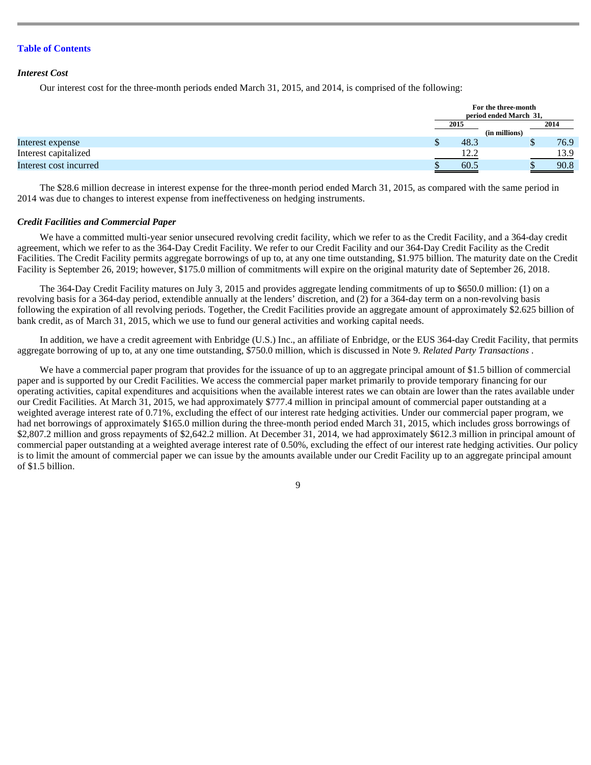#### *Interest Cost*

Our interest cost for the three-month periods ended March 31, 2015, and 2014, is comprised of the following:

|                        | For the three-month<br>period ended March 31, |               |      |
|------------------------|-----------------------------------------------|---------------|------|
|                        | 2015                                          |               | 2014 |
|                        |                                               | (in millions) |      |
| Interest expense       | 48.3                                          |               | 76.9 |
| Interest capitalized   | 12.2                                          |               | 13.9 |
| Interest cost incurred | 60.5                                          |               | 90.8 |

The \$28.6 million decrease in interest expense for the three-month period ended March 31, 2015, as compared with the same period in 2014 was due to changes to interest expense from ineffectiveness on hedging instruments.

#### *Credit Facilities and Commercial Paper*

We have a committed multi-year senior unsecured revolving credit facility, which we refer to as the Credit Facility, and a 364-day credit agreement, which we refer to as the 364-Day Credit Facility. We refer to our Credit Facility and our 364-Day Credit Facility as the Credit Facilities. The Credit Facility permits aggregate borrowings of up to, at any one time outstanding, \$1.975 billion. The maturity date on the Credit Facility is September 26, 2019; however, \$175.0 million of commitments will expire on the original maturity date of September 26, 2018.

The 364-Day Credit Facility matures on July 3, 2015 and provides aggregate lending commitments of up to \$650.0 million: (1) on a revolving basis for a 364-day period, extendible annually at the lenders' discretion, and (2) for a 364-day term on a non-revolving basis following the expiration of all revolving periods. Together, the Credit Facilities provide an aggregate amount of approximately \$2.625 billion of bank credit, as of March 31, 2015, which we use to fund our general activities and working capital needs.

In addition, we have a credit agreement with Enbridge (U.S.) Inc., an affiliate of Enbridge, or the EUS 364-day Credit Facility, that permits aggregate borrowing of up to, at any one time outstanding, \$750.0 million, which is discussed in Note 9. *Related Party Transactions* .

We have a commercial paper program that provides for the issuance of up to an aggregate principal amount of \$1.5 billion of commercial paper and is supported by our Credit Facilities. We access the commercial paper market primarily to provide temporary financing for our operating activities, capital expenditures and acquisitions when the available interest rates we can obtain are lower than the rates available under our Credit Facilities. At March 31, 2015, we had approximately \$777.4 million in principal amount of commercial paper outstanding at a weighted average interest rate of 0.71%, excluding the effect of our interest rate hedging activities. Under our commercial paper program, we had net borrowings of approximately \$165.0 million during the three-month period ended March 31, 2015, which includes gross borrowings of \$2,807.2 million and gross repayments of \$2,642.2 million. At December 31, 2014, we had approximately \$612.3 million in principal amount of commercial paper outstanding at a weighted average interest rate of 0.50%, excluding the effect of our interest rate hedging activities. Our policy is to limit the amount of commercial paper we can issue by the amounts available under our Credit Facility up to an aggregate principal amount of \$1.5 billion.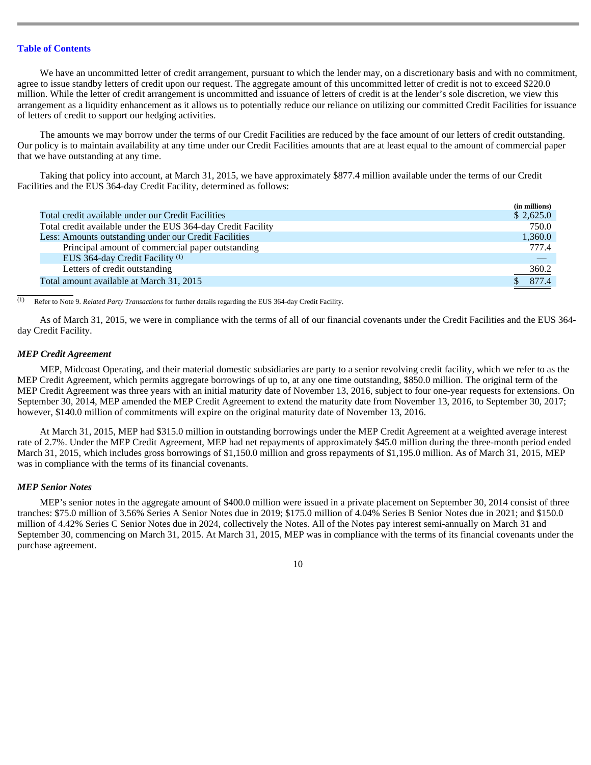We have an uncommitted letter of credit arrangement, pursuant to which the lender may, on a discretionary basis and with no commitment, agree to issue standby letters of credit upon our request. The aggregate amount of this uncommitted letter of credit is not to exceed \$220.0 million. While the letter of credit arrangement is uncommitted and issuance of letters of credit is at the lender's sole discretion, we view this arrangement as a liquidity enhancement as it allows us to potentially reduce our reliance on utilizing our committed Credit Facilities for issuance of letters of credit to support our hedging activities.

The amounts we may borrow under the terms of our Credit Facilities are reduced by the face amount of our letters of credit outstanding. Our policy is to maintain availability at any time under our Credit Facilities amounts that are at least equal to the amount of commercial paper that we have outstanding at any time.

Taking that policy into account, at March 31, 2015, we have approximately \$877.4 million available under the terms of our Credit Facilities and the EUS 364-day Credit Facility, determined as follows:

| (in millions) |
|---------------|
| \$2,625.0     |
| 750.0         |
| 1,360.0       |
| 777.4         |
|               |
| 360.2         |
| 877.4         |
|               |

 $\frac{1}{(1)}$ Refer to Note 9. *Related Party Transactions* for further details regarding the EUS 364-day Credit Facility.

As of March 31, 2015, we were in compliance with the terms of all of our financial covenants under the Credit Facilities and the EUS 364 day Credit Facility.

#### *MEP Credit Agreement*

MEP, Midcoast Operating, and their material domestic subsidiaries are party to a senior revolving credit facility, which we refer to as the MEP Credit Agreement, which permits aggregate borrowings of up to, at any one time outstanding, \$850.0 million. The original term of the MEP Credit Agreement was three years with an initial maturity date of November 13, 2016, subject to four one-year requests for extensions. On September 30, 2014, MEP amended the MEP Credit Agreement to extend the maturity date from November 13, 2016, to September 30, 2017; however, \$140.0 million of commitments will expire on the original maturity date of November 13, 2016.

At March 31, 2015, MEP had \$315.0 million in outstanding borrowings under the MEP Credit Agreement at a weighted average interest rate of 2.7%. Under the MEP Credit Agreement, MEP had net repayments of approximately \$45.0 million during the three-month period ended March 31, 2015, which includes gross borrowings of \$1,150.0 million and gross repayments of \$1,195.0 million. As of March 31, 2015, MEP was in compliance with the terms of its financial covenants.

#### *MEP Senior Notes*

MEP's senior notes in the aggregate amount of \$400.0 million were issued in a private placement on September 30, 2014 consist of three tranches: \$75.0 million of 3.56% Series A Senior Notes due in 2019; \$175.0 million of 4.04% Series B Senior Notes due in 2021; and \$150.0 million of 4.42% Series C Senior Notes due in 2024, collectively the Notes. All of the Notes pay interest semi-annually on March 31 and September 30, commencing on March 31, 2015. At March 31, 2015, MEP was in compliance with the terms of its financial covenants under the purchase agreement.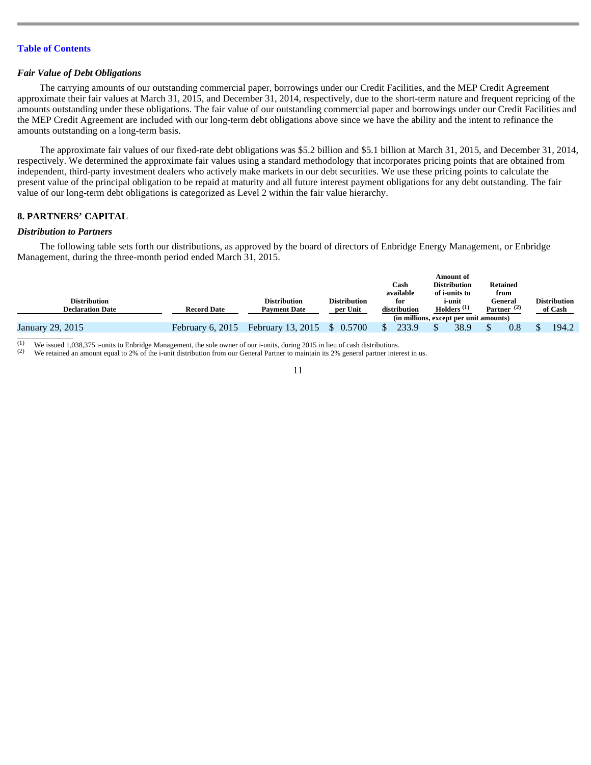#### *Fair Value of Debt Obligations*

The carrying amounts of our outstanding commercial paper, borrowings under our Credit Facilities, and the MEP Credit Agreement approximate their fair values at March 31, 2015, and December 31, 2014, respectively, due to the short-term nature and frequent repricing of the amounts outstanding under these obligations. The fair value of our outstanding commercial paper and borrowings under our Credit Facilities and the MEP Credit Agreement are included with our long-term debt obligations above since we have the ability and the intent to refinance the amounts outstanding on a long-term basis.

The approximate fair values of our fixed-rate debt obligations was \$5.2 billion and \$5.1 billion at March 31, 2015, and December 31, 2014, respectively. We determined the approximate fair values using a standard methodology that incorporates pricing points that are obtained from independent, third-party investment dealers who actively make markets in our debt securities. We use these pricing points to calculate the present value of the principal obligation to be repaid at maturity and all future interest payment obligations for any debt outstanding. The fair value of our long-term debt obligations is categorized as Level 2 within the fair value hierarchy.

#### **8. PARTNERS' CAPITAL**

#### *Distribution to Partners*

The following table sets forth our distributions, as approved by the board of directors of Enbridge Energy Management, or Enbridge Management, during the three-month period ended March 31, 2015.

|                         |                    |                             |                     |                                        |               | Amount of           |                 |                     |
|-------------------------|--------------------|-----------------------------|---------------------|----------------------------------------|---------------|---------------------|-----------------|---------------------|
|                         |                    |                             |                     | Cash                                   |               | <b>Distribution</b> | <b>Retained</b> |                     |
|                         |                    |                             |                     | available                              |               | of i-units to       | from            |                     |
| <b>Distribution</b>     |                    | <b>Distribution</b>         | <b>Distribution</b> | for                                    |               | i-unit              | General         | <b>Distribution</b> |
| <b>Declaration Date</b> | <b>Record Date</b> | <b>Payment Date</b>         | per Unit            | distribution                           | Holders $(1)$ |                     | Partner $(2)$   | of Cash             |
|                         |                    |                             |                     | (in millions, except per unit amounts) |               |                     |                 |                     |
| January 29, 2015        | February 6, $2015$ | February 13, 2015 \$ 0.5700 |                     | 233.9                                  |               | 38.9                | 0.8             | 194.2               |

 $\frac{1}{(1)}$  We issued 1,038,375 i-units to Enbridge Management, the sole owner of our i-units, during 2015 in lieu of cash distributions. (2)

We retained an amount equal to 2% of the i-unit distribution from our General Partner to maintain its 2% general partner interest in us.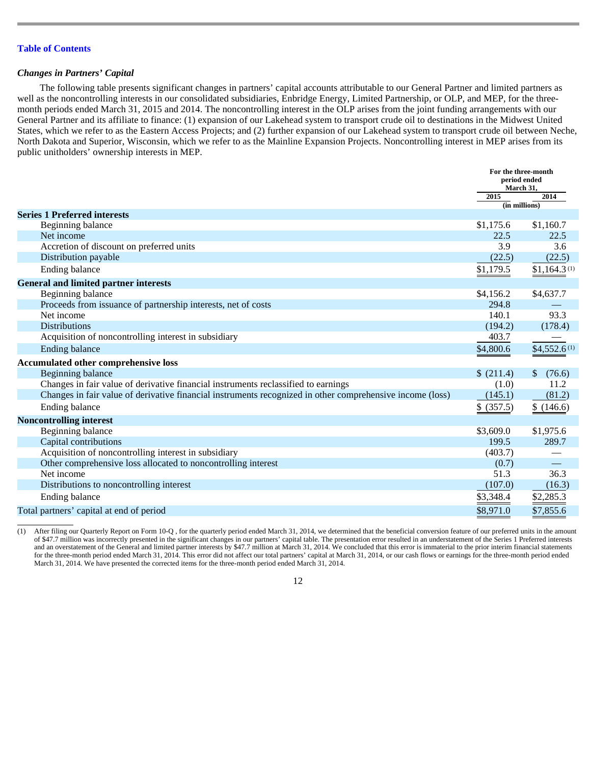#### *Changes in Partners' Capital*

The following table presents significant changes in partners' capital accounts attributable to our General Partner and limited partners as well as the noncontrolling interests in our consolidated subsidiaries, Enbridge Energy, Limited Partnership, or OLP, and MEP, for the threemonth periods ended March 31, 2015 and 2014. The noncontrolling interest in the OLP arises from the joint funding arrangements with our General Partner and its affiliate to finance: (1) expansion of our Lakehead system to transport crude oil to destinations in the Midwest United States, which we refer to as the Eastern Access Projects; and (2) further expansion of our Lakehead system to transport crude oil between Neche, North Dakota and Superior, Wisconsin, which we refer to as the Mainline Expansion Projects. Noncontrolling interest in MEP arises from its public unitholders' ownership interests in MEP.

|                                                                                                           | For the three-month<br>period ended<br>March 31, |                           |
|-----------------------------------------------------------------------------------------------------------|--------------------------------------------------|---------------------------|
|                                                                                                           | 2015<br>$(n$ millions)                           | 2014                      |
| <b>Series 1 Preferred interests</b>                                                                       |                                                  |                           |
| Beginning balance                                                                                         | \$1,175.6                                        | \$1,160.7                 |
| Net income                                                                                                | 22.5                                             | 22.5                      |
| Accretion of discount on preferred units                                                                  | 3.9                                              | 3.6                       |
| Distribution payable                                                                                      | (22.5)                                           | (22.5)                    |
| Ending balance                                                                                            | \$1,179.5                                        | $$1,164.3$ <sup>(1)</sup> |
| <b>General and limited partner interests</b>                                                              |                                                  |                           |
| Beginning balance                                                                                         | \$4,156.2                                        | \$4,637.7                 |
| Proceeds from issuance of partnership interests, net of costs                                             | 294.8                                            |                           |
| Net income                                                                                                | 140.1                                            | 93.3                      |
| <b>Distributions</b>                                                                                      | (194.2)                                          | (178.4)                   |
| Acquisition of noncontrolling interest in subsidiary                                                      | 403.7                                            |                           |
| Ending balance                                                                                            | \$4,800.6                                        | $$4,552.6^{(1)}$          |
| Accumulated other comprehensive loss                                                                      |                                                  |                           |
| Beginning balance                                                                                         | \$(211.4)                                        | $\mathbb{S}$<br>(76.6)    |
| Changes in fair value of derivative financial instruments reclassified to earnings                        | (1.0)                                            | 11.2                      |
| Changes in fair value of derivative financial instruments recognized in other comprehensive income (loss) | (145.1)                                          | (81.2)                    |
| Ending balance                                                                                            | \$ (357.5)                                       | \$(146.6)                 |
| <b>Noncontrolling interest</b>                                                                            |                                                  |                           |
| Beginning balance                                                                                         | \$3,609.0                                        | \$1,975.6                 |
| Capital contributions                                                                                     | 199.5                                            | 289.7                     |
| Acquisition of noncontrolling interest in subsidiary                                                      | (403.7)                                          |                           |
| Other comprehensive loss allocated to noncontrolling interest                                             | (0.7)                                            |                           |
| Net income                                                                                                | 51.3                                             | 36.3                      |
| Distributions to noncontrolling interest                                                                  | (107.0)                                          | (16.3)                    |
| Ending balance                                                                                            | \$3,348.4                                        | \$2,285.3                 |
| Total partners' capital at end of period                                                                  | \$8,971.0                                        | \$7,855.6                 |

 $(1)$ After filing our Quarterly Report on Form 10-Q, for the quarterly period ended March 31, 2014, we determined that the beneficial conversion feature of our preferred units in the amount of \$47.7 million was incorrectly presented in the significant changes in our partners' capital table. The presentation error resulted in an understatement of the Series 1 Preferred interests and an overstatement of the General and limited partner interests by \$47.7 million at March 31, 2014. We concluded that this error is immaterial to the prior interim financial statements for the three-month period ended March 31, 2014. This error did not affect our total partners' capital at March 31, 2014, or our cash flows or earnings for the three-month period ended March 31, 2014. We have presented the corrected items for the three-month period ended March 31, 2014.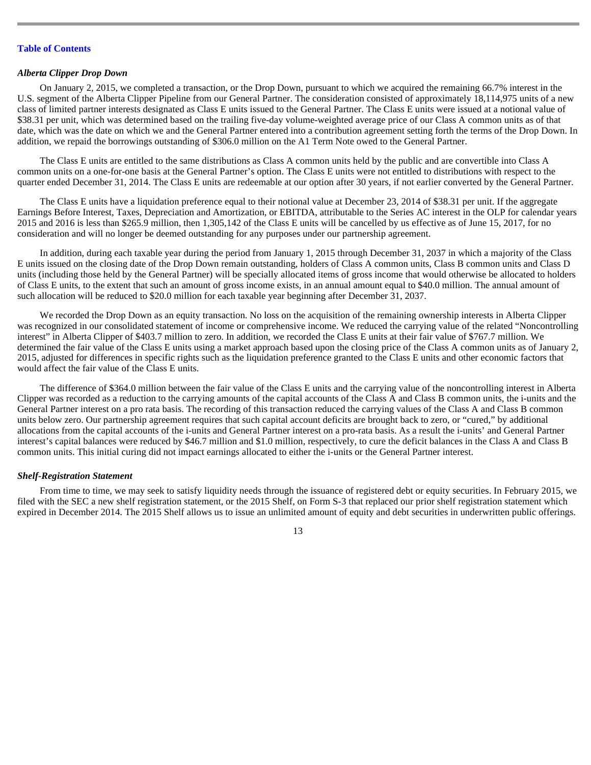#### *Alberta Clipper Drop Down*

On January 2, 2015, we completed a transaction, or the Drop Down, pursuant to which we acquired the remaining 66.7% interest in the U.S. segment of the Alberta Clipper Pipeline from our General Partner. The consideration consisted of approximately 18,114,975 units of a new class of limited partner interests designated as Class E units issued to the General Partner. The Class E units were issued at a notional value of \$38.31 per unit, which was determined based on the trailing five-day volume-weighted average price of our Class A common units as of that date, which was the date on which we and the General Partner entered into a contribution agreement setting forth the terms of the Drop Down. In addition, we repaid the borrowings outstanding of \$306.0 million on the A1 Term Note owed to the General Partner.

The Class E units are entitled to the same distributions as Class A common units held by the public and are convertible into Class A common units on a one-for-one basis at the General Partner's option. The Class E units were not entitled to distributions with respect to the quarter ended December 31, 2014. The Class E units are redeemable at our option after 30 years, if not earlier converted by the General Partner.

The Class E units have a liquidation preference equal to their notional value at December 23, 2014 of \$38.31 per unit. If the aggregate Earnings Before Interest, Taxes, Depreciation and Amortization, or EBITDA, attributable to the Series AC interest in the OLP for calendar years 2015 and 2016 is less than \$265.9 million, then 1,305,142 of the Class E units will be cancelled by us effective as of June 15, 2017, for no consideration and will no longer be deemed outstanding for any purposes under our partnership agreement.

In addition, during each taxable year during the period from January 1, 2015 through December 31, 2037 in which a majority of the Class E units issued on the closing date of the Drop Down remain outstanding, holders of Class A common units, Class B common units and Class D units (including those held by the General Partner) will be specially allocated items of gross income that would otherwise be allocated to holders of Class E units, to the extent that such an amount of gross income exists, in an annual amount equal to \$40.0 million. The annual amount of such allocation will be reduced to \$20.0 million for each taxable year beginning after December 31, 2037.

We recorded the Drop Down as an equity transaction. No loss on the acquisition of the remaining ownership interests in Alberta Clipper was recognized in our consolidated statement of income or comprehensive income. We reduced the carrying value of the related "Noncontrolling interest" in Alberta Clipper of \$403.7 million to zero. In addition, we recorded the Class E units at their fair value of \$767.7 million. We determined the fair value of the Class E units using a market approach based upon the closing price of the Class A common units as of January 2, 2015, adjusted for differences in specific rights such as the liquidation preference granted to the Class E units and other economic factors that would affect the fair value of the Class E units.

The difference of \$364.0 million between the fair value of the Class E units and the carrying value of the noncontrolling interest in Alberta Clipper was recorded as a reduction to the carrying amounts of the capital accounts of the Class A and Class B common units, the i-units and the General Partner interest on a pro rata basis. The recording of this transaction reduced the carrying values of the Class A and Class B common units below zero. Our partnership agreement requires that such capital account deficits are brought back to zero, or "cured," by additional allocations from the capital accounts of the i-units and General Partner interest on a pro-rata basis. As a result the i-units' and General Partner interest's capital balances were reduced by \$46.7 million and \$1.0 million, respectively, to cure the deficit balances in the Class A and Class B common units. This initial curing did not impact earnings allocated to either the i-units or the General Partner interest.

#### *Shelf-Registration Statement*

From time to time, we may seek to satisfy liquidity needs through the issuance of registered debt or equity securities. In February 2015, we filed with the SEC a new shelf registration statement, or the 2015 Shelf, on Form S-3 that replaced our prior shelf registration statement which expired in December 2014. The 2015 Shelf allows us to issue an unlimited amount of equity and debt securities in underwritten public offerings.

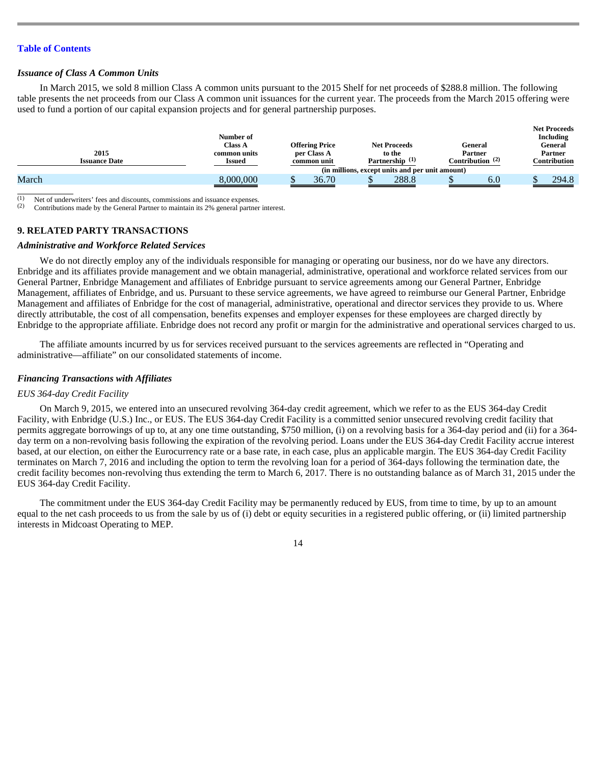#### *Issuance of Class A Common Units*

In March 2015, we sold 8 million Class A common units pursuant to the 2015 Shelf for net proceeds of \$288.8 million. The following table presents the net proceeds from our Class A common unit issuances for the current year. The proceeds from the March 2015 offering were used to fund a portion of our capital expansion projects and for general partnership purposes.

|                                                 |                       |                            |                    | <b>Net Proceeds</b> |  |  |
|-------------------------------------------------|-----------------------|----------------------------|--------------------|---------------------|--|--|
| Number of                                       |                       |                            |                    | Including           |  |  |
| <b>Class A</b>                                  | <b>Offering Price</b> | <b>Net Proceeds</b>        | General            | General             |  |  |
| common units                                    | per Class A           | to the                     | Partner            | Partner             |  |  |
| <b>Issued</b>                                   | common unit           | Partnership <sup>(1)</sup> | Contribution $(2)$ | Contribution        |  |  |
| (in millions, except units and per unit amount) |                       |                            |                    |                     |  |  |
| 8,000,000                                       | 36.70                 | 288.8                      | 6.0                | 294.8               |  |  |
|                                                 |                       |                            |                    |                     |  |  |

 $\frac{1}{(1)}$ Net of underwriters' fees and discounts, commissions and issuance expenses.

 Contributions made by the General Partner to maintain its 2% general partner interest. (2)

#### **9. RELATED PARTY TRANSACTIONS**

#### *Administrative and Workforce Related Services*

We do not directly employ any of the individuals responsible for managing or operating our business, nor do we have any directors. Enbridge and its affiliates provide management and we obtain managerial, administrative, operational and workforce related services from our General Partner, Enbridge Management and affiliates of Enbridge pursuant to service agreements among our General Partner, Enbridge Management, affiliates of Enbridge, and us. Pursuant to these service agreements, we have agreed to reimburse our General Partner, Enbridge Management and affiliates of Enbridge for the cost of managerial, administrative, operational and director services they provide to us. Where directly attributable, the cost of all compensation, benefits expenses and employer expenses for these employees are charged directly by Enbridge to the appropriate affiliate. Enbridge does not record any profit or margin for the administrative and operational services charged to us.

The affiliate amounts incurred by us for services received pursuant to the services agreements are reflected in "Operating and administrative—affiliate" on our consolidated statements of income.

#### *Financing Transactions with Affiliates*

#### *EUS 364-day Credit Facility*

On March 9, 2015, we entered into an unsecured revolving 364-day credit agreement, which we refer to as the EUS 364-day Credit Facility, with Enbridge (U.S.) Inc., or EUS. The EUS 364-day Credit Facility is a committed senior unsecured revolving credit facility that permits aggregate borrowings of up to, at any one time outstanding, \$750 million, (i) on a revolving basis for a 364-day period and (ii) for a 364 day term on a non-revolving basis following the expiration of the revolving period. Loans under the EUS 364-day Credit Facility accrue interest based, at our election, on either the Eurocurrency rate or a base rate, in each case, plus an applicable margin. The EUS 364-day Credit Facility terminates on March 7, 2016 and including the option to term the revolving loan for a period of 364-days following the termination date, the credit facility becomes non-revolving thus extending the term to March 6, 2017. There is no outstanding balance as of March 31, 2015 under the EUS 364-day Credit Facility.

The commitment under the EUS 364-day Credit Facility may be permanently reduced by EUS, from time to time, by up to an amount equal to the net cash proceeds to us from the sale by us of (i) debt or equity securities in a registered public offering, or (ii) limited partnership interests in Midcoast Operating to MEP.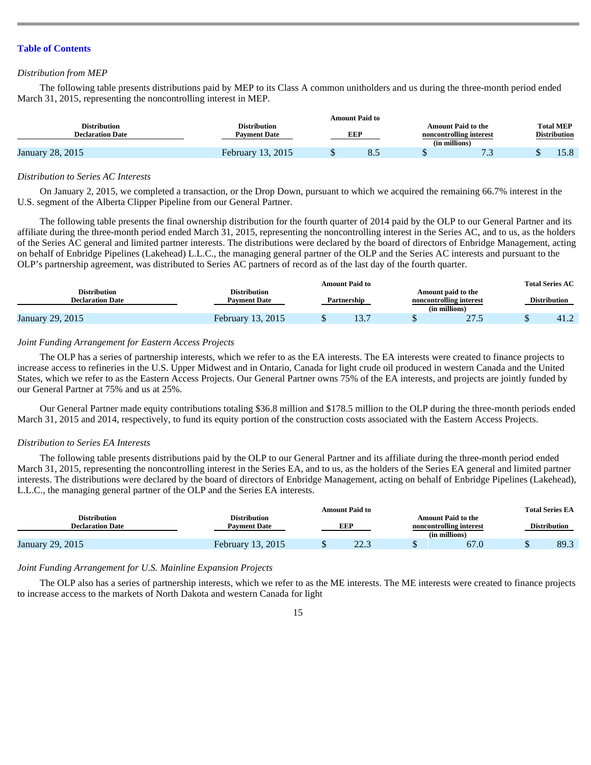#### *Distribution from MEP*

The following table presents distributions paid by MEP to its Class A common unitholders and us during the three-month period ended March 31, 2015, representing the noncontrolling interest in MEP.

|                                                |                                            | <b>Amount Paid to</b> |               |                                                      |                                         |
|------------------------------------------------|--------------------------------------------|-----------------------|---------------|------------------------------------------------------|-----------------------------------------|
| <b>Distribution</b><br><b>Declaration Date</b> | <b>Distribution</b><br><b>Pavment Date</b> | EEP                   | (in millions) | <b>Amount Paid to the</b><br>noncontrolling interest | <b>Total MEP</b><br><b>Distribution</b> |
| January 28, 2015                               | February 13, 2015                          | ن.ە                   |               | $\sim$<br>$\sim$                                     |                                         |

#### *Distribution to Series AC Interests*

On January 2, 2015, we completed a transaction, or the Drop Down, pursuant to which we acquired the remaining 66.7% interest in the U.S. segment of the Alberta Clipper Pipeline from our General Partner.

The following table presents the final ownership distribution for the fourth quarter of 2014 paid by the OLP to our General Partner and its affiliate during the three-month period ended March 31, 2015, representing the noncontrolling interest in the Series AC, and to us, as the holders of the Series AC general and limited partner interests. The distributions were declared by the board of directors of Enbridge Management, acting on behalf of Enbridge Pipelines (Lakehead) L.L.C., the managing general partner of the OLP and the Series AC interests and pursuant to the OLP's partnership agreement, was distributed to Series AC partners of record as of the last day of the fourth quarter.

|                                                | Amount Paid to                             |                                                                               |      |                     |      | <b>Total Series AC</b> |
|------------------------------------------------|--------------------------------------------|-------------------------------------------------------------------------------|------|---------------------|------|------------------------|
| <b>Distribution</b><br><b>Declaration Date</b> | <b>Distribution</b><br><b>Payment Date</b> | Amount paid to the<br>noncontrolling interest<br>Partnership<br>(in millions) |      | <b>Distribution</b> |      |                        |
| January 29, 2015                               | February 13, 2015                          |                                                                               | 13.1 |                     | 27.5 | 41.2                   |

#### *Joint Funding Arrangement for Eastern Access Projects*

The OLP has a series of partnership interests, which we refer to as the EA interests. The EA interests were created to finance projects to increase access to refineries in the U.S. Upper Midwest and in Ontario, Canada for light crude oil produced in western Canada and the United States, which we refer to as the Eastern Access Projects. Our General Partner owns 75% of the EA interests, and projects are jointly funded by our General Partner at 75% and us at 25%.

Our General Partner made equity contributions totaling \$36.8 million and \$178.5 million to the OLP during the three-month periods ended March 31, 2015 and 2014, respectively, to fund its equity portion of the construction costs associated with the Eastern Access Projects.

#### *Distribution to Series EA Interests*

The following table presents distributions paid by the OLP to our General Partner and its affiliate during the three-month period ended March 31, 2015, representing the noncontrolling interest in the Series EA, and to us, as the holders of the Series EA general and limited partner interests. The distributions were declared by the board of directors of Enbridge Management, acting on behalf of Enbridge Pipelines (Lakehead), L.L.C., the managing general partner of the OLP and the Series EA interests.

|                                                |                                            |                                                                              | <b>Amount Paid to</b> |      |                     | <b>Total Series EA</b> |
|------------------------------------------------|--------------------------------------------|------------------------------------------------------------------------------|-----------------------|------|---------------------|------------------------|
| <b>Distribution</b><br><b>Declaration Date</b> | <b>Distribution</b><br><b>Payment Date</b> | <b>Amount Paid to the</b><br>EEF<br>noncontrolling interest<br>(in millions) |                       |      | <b>Distribution</b> |                        |
| <b>January 29, 2015</b>                        | February 13, 2015                          |                                                                              | າາ 1<br>44.L          | 67.C | w                   | 89.3                   |

#### *Joint Funding Arrangement for U.S. Mainline Expansion Projects*

The OLP also has a series of partnership interests, which we refer to as the ME interests. The ME interests were created to finance projects to increase access to the markets of North Dakota and western Canada for light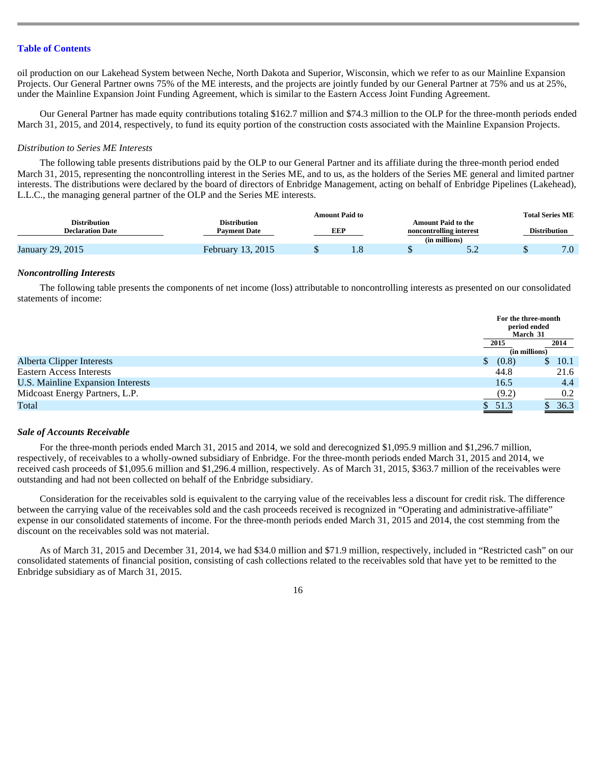oil production on our Lakehead System between Neche, North Dakota and Superior, Wisconsin, which we refer to as our Mainline Expansion Projects. Our General Partner owns 75% of the ME interests, and the projects are jointly funded by our General Partner at 75% and us at 25%, under the Mainline Expansion Joint Funding Agreement, which is similar to the Eastern Access Joint Funding Agreement.

Our General Partner has made equity contributions totaling \$162.7 million and \$74.3 million to the OLP for the three-month periods ended March 31, 2015, and 2014, respectively, to fund its equity portion of the construction costs associated with the Mainline Expansion Projects.

#### *Distribution to Series ME Interests*

The following table presents distributions paid by the OLP to our General Partner and its affiliate during the three-month period ended March 31, 2015, representing the noncontrolling interest in the Series ME, and to us, as the holders of the Series ME general and limited partner interests. The distributions were declared by the board of directors of Enbridge Management, acting on behalf of Enbridge Pipelines (Lakehead), L.L.C., the managing general partner of the OLP and the Series ME interests.

|                                                |                                            |                                                                                     | <b>Amount Paid to</b> |                     | <b>Total Series ME</b> |
|------------------------------------------------|--------------------------------------------|-------------------------------------------------------------------------------------|-----------------------|---------------------|------------------------|
| <b>Distribution</b><br><b>Declaration Date</b> | <b>Distribution</b><br><b>Payment Date</b> | <b>Amount Paid to the</b><br><b>EEP</b><br>noncontrolling interest<br>(in millions) |                       | <b>Distribution</b> |                        |
| January 29, 2015                               | February 13, 2015                          |                                                                                     | 1.0                   | ے .                 | 7.0                    |

#### *Noncontrolling Interests*

The following table presents the components of net income (loss) attributable to noncontrolling interests as presented on our consolidated statements of income:

|                                   |             | For the three-month<br>period ended<br>March 31 |
|-----------------------------------|-------------|-------------------------------------------------|
|                                   | 2015        | 2014                                            |
|                                   |             | (in millions)                                   |
| <b>Alberta Clipper Interests</b>  | (0.8)<br>\$ | 10.1                                            |
| <b>Eastern Access Interests</b>   | 44.8        | 21.6                                            |
| U.S. Mainline Expansion Interests | 16.5        | 4.4                                             |
| Midcoast Energy Partners, L.P.    | (9.2)       | 0.2                                             |
| Total                             | 51.3<br>S.  | 36.3                                            |

#### *Sale of Accounts Receivable*

For the three-month periods ended March 31, 2015 and 2014, we sold and derecognized \$1,095.9 million and \$1,296.7 million, respectively, of receivables to a wholly-owned subsidiary of Enbridge. For the three-month periods ended March 31, 2015 and 2014, we received cash proceeds of \$1,095.6 million and \$1,296.4 million, respectively. As of March 31, 2015, \$363.7 million of the receivables were outstanding and had not been collected on behalf of the Enbridge subsidiary.

Consideration for the receivables sold is equivalent to the carrying value of the receivables less a discount for credit risk. The difference between the carrying value of the receivables sold and the cash proceeds received is recognized in "Operating and administrative-affiliate" expense in our consolidated statements of income. For the three-month periods ended March 31, 2015 and 2014, the cost stemming from the discount on the receivables sold was not material.

As of March 31, 2015 and December 31, 2014, we had \$34.0 million and \$71.9 million, respectively, included in "Restricted cash" on our consolidated statements of financial position, consisting of cash collections related to the receivables sold that have yet to be remitted to the Enbridge subsidiary as of March 31, 2015.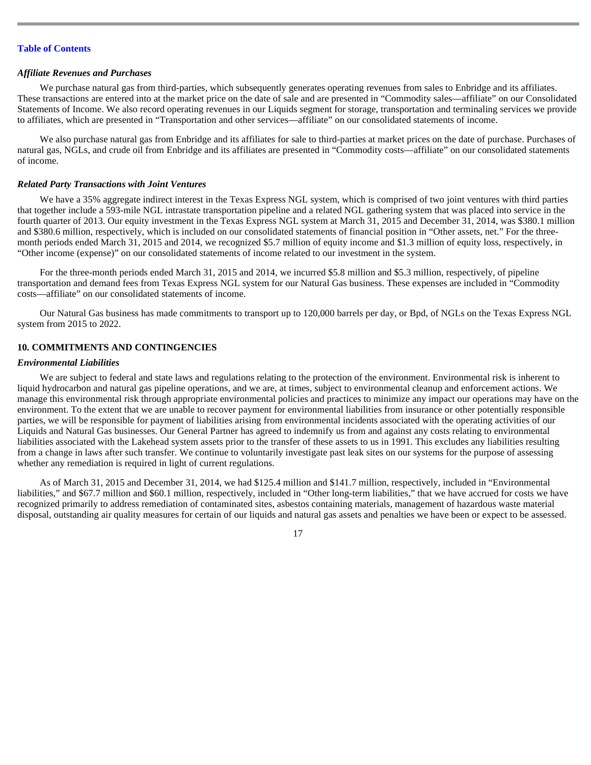#### *Affiliate Revenues and Purchases*

We purchase natural gas from third-parties, which subsequently generates operating revenues from sales to Enbridge and its affiliates. These transactions are entered into at the market price on the date of sale and are presented in "Commodity sales—affiliate" on our Consolidated Statements of Income. We also record operating revenues in our Liquids segment for storage, transportation and terminaling services we provide to affiliates, which are presented in "Transportation and other services—affiliate" on our consolidated statements of income.

We also purchase natural gas from Enbridge and its affiliates for sale to third-parties at market prices on the date of purchase. Purchases of natural gas, NGLs, and crude oil from Enbridge and its affiliates are presented in "Commodity costs—affiliate" on our consolidated statements of income.

#### *Related Party Transactions with Joint Ventures*

We have a 35% aggregate indirect interest in the Texas Express NGL system, which is comprised of two joint ventures with third parties that together include a 593-mile NGL intrastate transportation pipeline and a related NGL gathering system that was placed into service in the fourth quarter of 2013. Our equity investment in the Texas Express NGL system at March 31, 2015 and December 31, 2014, was \$380.1 million and \$380.6 million, respectively, which is included on our consolidated statements of financial position in "Other assets, net." For the threemonth periods ended March 31, 2015 and 2014, we recognized \$5.7 million of equity income and \$1.3 million of equity loss, respectively, in "Other income (expense)" on our consolidated statements of income related to our investment in the system.

For the three-month periods ended March 31, 2015 and 2014, we incurred \$5.8 million and \$5.3 million, respectively, of pipeline transportation and demand fees from Texas Express NGL system for our Natural Gas business. These expenses are included in "Commodity costs—affiliate" on our consolidated statements of income.

Our Natural Gas business has made commitments to transport up to 120,000 barrels per day, or Bpd, of NGLs on the Texas Express NGL system from 2015 to 2022.

# **10. COMMITMENTS AND CONTINGENCIES**

#### *Environmental Liabilities*

We are subject to federal and state laws and regulations relating to the protection of the environment. Environmental risk is inherent to liquid hydrocarbon and natural gas pipeline operations, and we are, at times, subject to environmental cleanup and enforcement actions. We manage this environmental risk through appropriate environmental policies and practices to minimize any impact our operations may have on the environment. To the extent that we are unable to recover payment for environmental liabilities from insurance or other potentially responsible parties, we will be responsible for payment of liabilities arising from environmental incidents associated with the operating activities of our Liquids and Natural Gas businesses. Our General Partner has agreed to indemnify us from and against any costs relating to environmental liabilities associated with the Lakehead system assets prior to the transfer of these assets to us in 1991. This excludes any liabilities resulting from a change in laws after such transfer. We continue to voluntarily investigate past leak sites on our systems for the purpose of assessing whether any remediation is required in light of current regulations.

As of March 31, 2015 and December 31, 2014, we had \$125.4 million and \$141.7 million, respectively, included in "Environmental liabilities," and \$67.7 million and \$60.1 million, respectively, included in "Other long-term liabilities," that we have accrued for costs we have recognized primarily to address remediation of contaminated sites, asbestos containing materials, management of hazardous waste material disposal, outstanding air quality measures for certain of our liquids and natural gas assets and penalties we have been or expect to be assessed.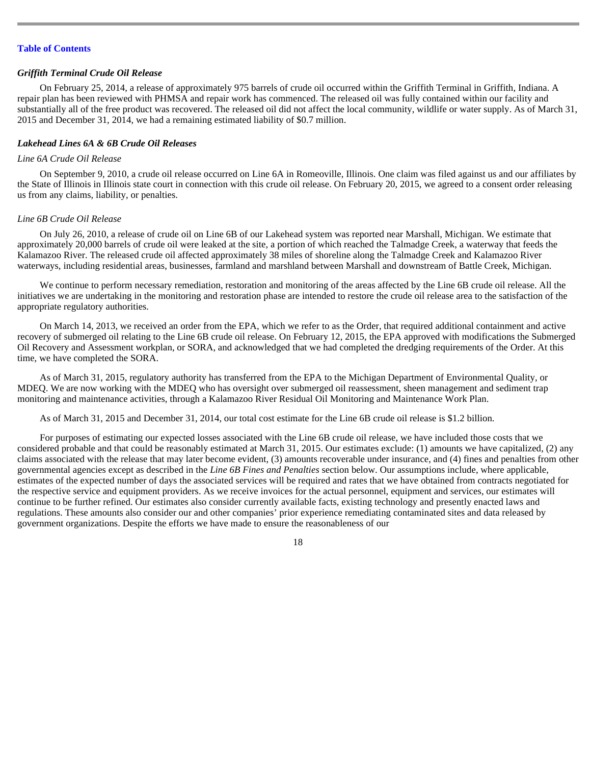#### *Griffith Terminal Crude Oil Release*

On February 25, 2014, a release of approximately 975 barrels of crude oil occurred within the Griffith Terminal in Griffith, Indiana. A repair plan has been reviewed with PHMSA and repair work has commenced. The released oil was fully contained within our facility and substantially all of the free product was recovered. The released oil did not affect the local community, wildlife or water supply. As of March 31, 2015 and December 31, 2014, we had a remaining estimated liability of \$0.7 million.

### *Lakehead Lines 6A & 6B Crude Oil Releases*

# *Line 6A Crude Oil Release*

On September 9, 2010, a crude oil release occurred on Line 6A in Romeoville, Illinois. One claim was filed against us and our affiliates by the State of Illinois in Illinois state court in connection with this crude oil release. On February 20, 2015, we agreed to a consent order releasing us from any claims, liability, or penalties.

#### *Line 6B Crude Oil Release*

On July 26, 2010, a release of crude oil on Line 6B of our Lakehead system was reported near Marshall, Michigan. We estimate that approximately 20,000 barrels of crude oil were leaked at the site, a portion of which reached the Talmadge Creek, a waterway that feeds the Kalamazoo River. The released crude oil affected approximately 38 miles of shoreline along the Talmadge Creek and Kalamazoo River waterways, including residential areas, businesses, farmland and marshland between Marshall and downstream of Battle Creek, Michigan.

We continue to perform necessary remediation, restoration and monitoring of the areas affected by the Line 6B crude oil release. All the initiatives we are undertaking in the monitoring and restoration phase are intended to restore the crude oil release area to the satisfaction of the appropriate regulatory authorities.

On March 14, 2013, we received an order from the EPA, which we refer to as the Order, that required additional containment and active recovery of submerged oil relating to the Line 6B crude oil release. On February 12, 2015, the EPA approved with modifications the Submerged Oil Recovery and Assessment workplan, or SORA, and acknowledged that we had completed the dredging requirements of the Order. At this time, we have completed the SORA.

As of March 31, 2015, regulatory authority has transferred from the EPA to the Michigan Department of Environmental Quality, or MDEQ. We are now working with the MDEQ who has oversight over submerged oil reassessment, sheen management and sediment trap monitoring and maintenance activities, through a Kalamazoo River Residual Oil Monitoring and Maintenance Work Plan.

As of March 31, 2015 and December 31, 2014, our total cost estimate for the Line 6B crude oil release is \$1.2 billion.

For purposes of estimating our expected losses associated with the Line 6B crude oil release, we have included those costs that we considered probable and that could be reasonably estimated at March 31, 2015. Our estimates exclude: (1) amounts we have capitalized, (2) any claims associated with the release that may later become evident, (3) amounts recoverable under insurance, and (4) fines and penalties from other governmental agencies except as described in the *Line 6B Fines and Penalties* section below. Our assumptions include, where applicable, estimates of the expected number of days the associated services will be required and rates that we have obtained from contracts negotiated for the respective service and equipment providers. As we receive invoices for the actual personnel, equipment and services, our estimates will continue to be further refined. Our estimates also consider currently available facts, existing technology and presently enacted laws and regulations. These amounts also consider our and other companies' prior experience remediating contaminated sites and data released by government organizations. Despite the efforts we have made to ensure the reasonableness of our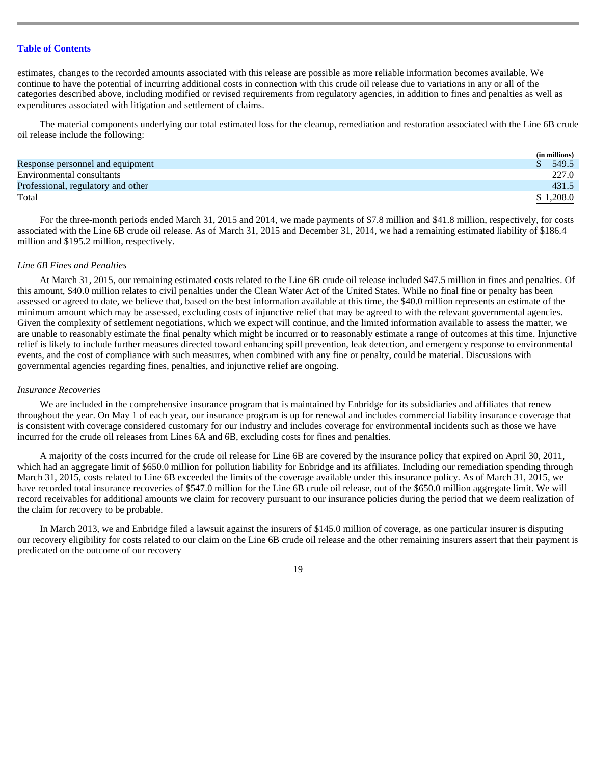estimates, changes to the recorded amounts associated with this release are possible as more reliable information becomes available. We continue to have the potential of incurring additional costs in connection with this crude oil release due to variations in any or all of the categories described above, including modified or revised requirements from regulatory agencies, in addition to fines and penalties as well as expenditures associated with litigation and settlement of claims.

The material components underlying our total estimated loss for the cleanup, remediation and restoration associated with the Line 6B crude oil release include the following:

|                                    | (in millions) |
|------------------------------------|---------------|
| Response personnel and equipment   | \$549.5       |
| Environmental consultants          | 227.0         |
| Professional, regulatory and other | 431.5         |
| Total                              | \$1,208.0     |

For the three-month periods ended March 31, 2015 and 2014, we made payments of \$7.8 million and \$41.8 million, respectively, for costs associated with the Line 6B crude oil release. As of March 31, 2015 and December 31, 2014, we had a remaining estimated liability of \$186.4 million and \$195.2 million, respectively.

#### *Line 6B Fines and Penalties*

At March 31, 2015, our remaining estimated costs related to the Line 6B crude oil release included \$47.5 million in fines and penalties. Of this amount, \$40.0 million relates to civil penalties under the Clean Water Act of the United States. While no final fine or penalty has been assessed or agreed to date, we believe that, based on the best information available at this time, the \$40.0 million represents an estimate of the minimum amount which may be assessed, excluding costs of injunctive relief that may be agreed to with the relevant governmental agencies. Given the complexity of settlement negotiations, which we expect will continue, and the limited information available to assess the matter, we are unable to reasonably estimate the final penalty which might be incurred or to reasonably estimate a range of outcomes at this time. Injunctive relief is likely to include further measures directed toward enhancing spill prevention, leak detection, and emergency response to environmental events, and the cost of compliance with such measures, when combined with any fine or penalty, could be material. Discussions with governmental agencies regarding fines, penalties, and injunctive relief are ongoing.

#### *Insurance Recoveries*

We are included in the comprehensive insurance program that is maintained by Enbridge for its subsidiaries and affiliates that renew throughout the year. On May 1 of each year, our insurance program is up for renewal and includes commercial liability insurance coverage that is consistent with coverage considered customary for our industry and includes coverage for environmental incidents such as those we have incurred for the crude oil releases from Lines 6A and 6B, excluding costs for fines and penalties.

A majority of the costs incurred for the crude oil release for Line 6B are covered by the insurance policy that expired on April 30, 2011, which had an aggregate limit of \$650.0 million for pollution liability for Enbridge and its affiliates. Including our remediation spending through March 31, 2015, costs related to Line 6B exceeded the limits of the coverage available under this insurance policy. As of March 31, 2015, we have recorded total insurance recoveries of \$547.0 million for the Line 6B crude oil release, out of the \$650.0 million aggregate limit. We will record receivables for additional amounts we claim for recovery pursuant to our insurance policies during the period that we deem realization of the claim for recovery to be probable.

In March 2013, we and Enbridge filed a lawsuit against the insurers of \$145.0 million of coverage, as one particular insurer is disputing our recovery eligibility for costs related to our claim on the Line 6B crude oil release and the other remaining insurers assert that their payment is predicated on the outcome of our recovery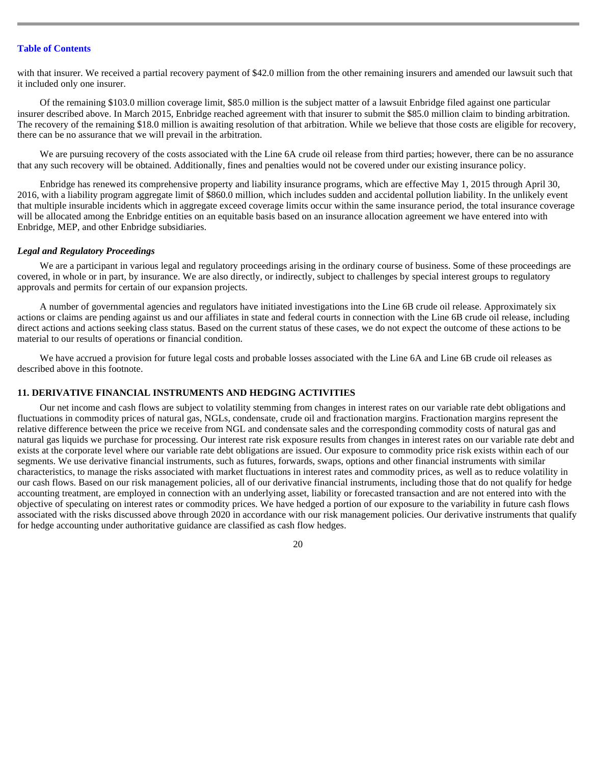with that insurer. We received a partial recovery payment of \$42.0 million from the other remaining insurers and amended our lawsuit such that it included only one insurer.

Of the remaining \$103.0 million coverage limit, \$85.0 million is the subject matter of a lawsuit Enbridge filed against one particular insurer described above. In March 2015, Enbridge reached agreement with that insurer to submit the \$85.0 million claim to binding arbitration. The recovery of the remaining \$18.0 million is awaiting resolution of that arbitration. While we believe that those costs are eligible for recovery, there can be no assurance that we will prevail in the arbitration.

We are pursuing recovery of the costs associated with the Line 6A crude oil release from third parties; however, there can be no assurance that any such recovery will be obtained. Additionally, fines and penalties would not be covered under our existing insurance policy.

Enbridge has renewed its comprehensive property and liability insurance programs, which are effective May 1, 2015 through April 30, 2016, with a liability program aggregate limit of \$860.0 million, which includes sudden and accidental pollution liability. In the unlikely event that multiple insurable incidents which in aggregate exceed coverage limits occur within the same insurance period, the total insurance coverage will be allocated among the Enbridge entities on an equitable basis based on an insurance allocation agreement we have entered into with Enbridge, MEP, and other Enbridge subsidiaries.

#### *Legal and Regulatory Proceedings*

We are a participant in various legal and regulatory proceedings arising in the ordinary course of business. Some of these proceedings are covered, in whole or in part, by insurance. We are also directly, or indirectly, subject to challenges by special interest groups to regulatory approvals and permits for certain of our expansion projects.

A number of governmental agencies and regulators have initiated investigations into the Line 6B crude oil release. Approximately six actions or claims are pending against us and our affiliates in state and federal courts in connection with the Line 6B crude oil release, including direct actions and actions seeking class status. Based on the current status of these cases, we do not expect the outcome of these actions to be material to our results of operations or financial condition.

We have accrued a provision for future legal costs and probable losses associated with the Line 6A and Line 6B crude oil releases as described above in this footnote.

#### **11. DERIVATIVE FINANCIAL INSTRUMENTS AND HEDGING ACTIVITIES**

Our net income and cash flows are subject to volatility stemming from changes in interest rates on our variable rate debt obligations and fluctuations in commodity prices of natural gas, NGLs, condensate, crude oil and fractionation margins. Fractionation margins represent the relative difference between the price we receive from NGL and condensate sales and the corresponding commodity costs of natural gas and natural gas liquids we purchase for processing. Our interest rate risk exposure results from changes in interest rates on our variable rate debt and exists at the corporate level where our variable rate debt obligations are issued. Our exposure to commodity price risk exists within each of our segments. We use derivative financial instruments, such as futures, forwards, swaps, options and other financial instruments with similar characteristics, to manage the risks associated with market fluctuations in interest rates and commodity prices, as well as to reduce volatility in our cash flows. Based on our risk management policies, all of our derivative financial instruments, including those that do not qualify for hedge accounting treatment, are employed in connection with an underlying asset, liability or forecasted transaction and are not entered into with the objective of speculating on interest rates or commodity prices. We have hedged a portion of our exposure to the variability in future cash flows associated with the risks discussed above through 2020 in accordance with our risk management policies. Our derivative instruments that qualify for hedge accounting under authoritative guidance are classified as cash flow hedges.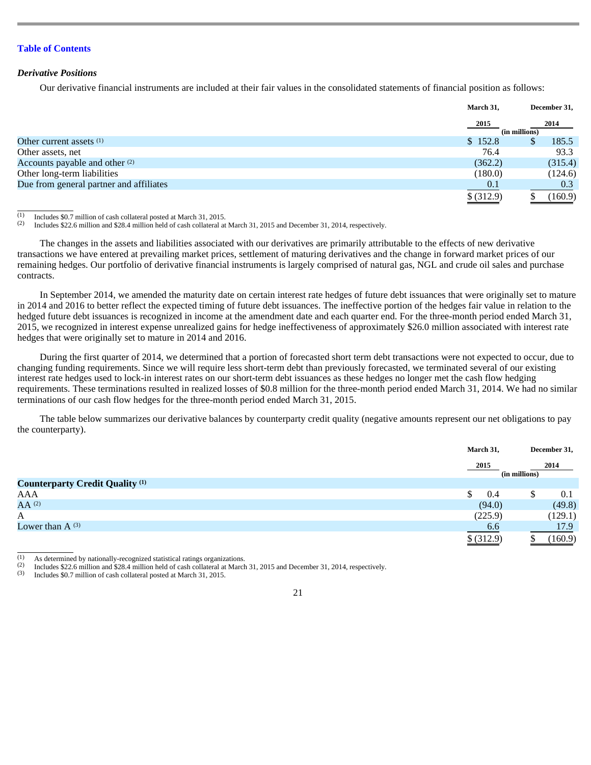#### *Derivative Positions*

Our derivative financial instruments are included at their fair values in the consolidated statements of financial position as follows:

|                                           | March 31,  |               | December 31, |
|-------------------------------------------|------------|---------------|--------------|
|                                           | 2015       | (in millions) | 2014         |
| Other current assets <sup>(1)</sup>       | \$152.8    |               | 185.5        |
| Other assets, net                         | 76.4       |               | 93.3         |
| Accounts payable and other <sup>(2)</sup> | (362.2)    |               | (315.4)      |
| Other long-term liabilities               | (180.0)    |               | (124.6)      |
| Due from general partner and affiliates   | 0.1        |               | 0.3          |
|                                           | \$ (312.9) |               | (160.9)      |

 $\frac{1}{(1)}$ Includes \$0.7 million of cash collateral posted at March 31, 2015.

 Includes \$22.6 million and \$28.4 million held of cash collateral at March 31, 2015 and December 31, 2014, respectively. (2)

The changes in the assets and liabilities associated with our derivatives are primarily attributable to the effects of new derivative transactions we have entered at prevailing market prices, settlement of maturing derivatives and the change in forward market prices of our remaining hedges. Our portfolio of derivative financial instruments is largely comprised of natural gas, NGL and crude oil sales and purchase contracts.

In September 2014, we amended the maturity date on certain interest rate hedges of future debt issuances that were originally set to mature in 2014 and 2016 to better reflect the expected timing of future debt issuances. The ineffective portion of the hedges fair value in relation to the hedged future debt issuances is recognized in income at the amendment date and each quarter end. For the three-month period ended March 31, 2015, we recognized in interest expense unrealized gains for hedge ineffectiveness of approximately \$26.0 million associated with interest rate hedges that were originally set to mature in 2014 and 2016.

During the first quarter of 2014, we determined that a portion of forecasted short term debt transactions were not expected to occur, due to changing funding requirements. Since we will require less short-term debt than previously forecasted, we terminated several of our existing interest rate hedges used to lock-in interest rates on our short-term debt issuances as these hedges no longer met the cash flow hedging requirements. These terminations resulted in realized losses of \$0.8 million for the three-month period ended March 31, 2014. We had no similar terminations of our cash flow hedges for the three-month period ended March 31, 2015.

The table below summarizes our derivative balances by counterparty credit quality (negative amounts represent our net obligations to pay the counterparty).

|                                        | March 31,  | December 31,          |
|----------------------------------------|------------|-----------------------|
|                                        | 2015       | 2014<br>(in millions) |
| <b>Counterparty Credit Quality (1)</b> |            |                       |
| AAA                                    | \$<br>0.4  | 0.1                   |
| $AA^{(2)}$                             | (94.0)     | (49.8)                |
| A                                      | (225.9)    | (129.1)               |
| Lower than $A^{(3)}$                   | 6.6        | 17.9                  |
|                                        | \$ (312.9) | (160.9)               |

 $\frac{1}{(1)}$ As determined by nationally-recognized statistical ratings organizations.

 Includes \$22.6 million and \$28.4 million held of cash collateral at March 31, 2015 and December 31, 2014, respectively. (2)

 Includes \$0.7 million of cash collateral posted at March 31, 2015. (3)

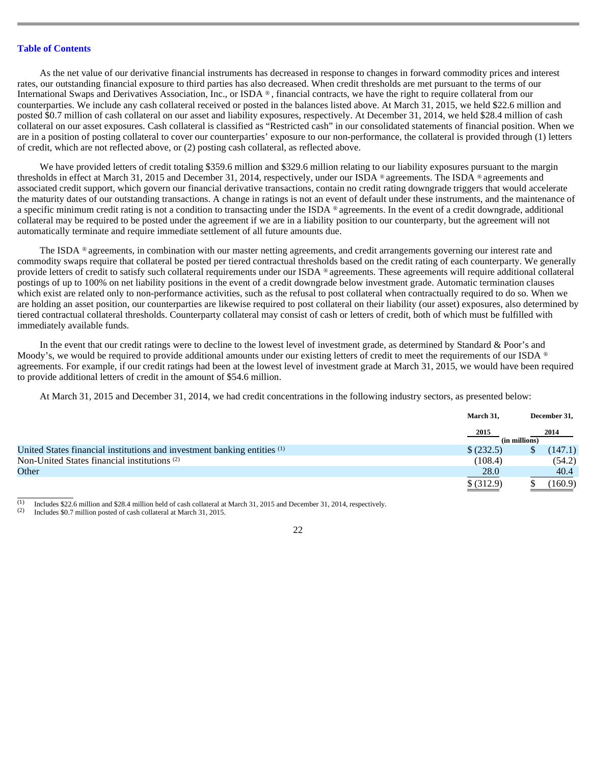As the net value of our derivative financial instruments has decreased in response to changes in forward commodity prices and interest rates, our outstanding financial exposure to third parties has also decreased. When credit thresholds are met pursuant to the terms of our International Swaps and Derivatives Association, Inc., or ISDA  $\textdegree$ , financial contracts, we have the right to require collateral from our counterparties. We include any cash collateral received or posted in the balances listed above. At March 31, 2015, we held \$22.6 million and posted \$0.7 million of cash collateral on our asset and liability exposures, respectively. At December 31, 2014, we held \$28.4 million of cash collateral on our asset exposures. Cash collateral is classified as "Restricted cash" in our consolidated statements of financial position. When we are in a position of posting collateral to cover our counterparties' exposure to our non-performance, the collateral is provided through (1) letters of credit, which are not reflected above, or (2) posting cash collateral, as reflected above.

We have provided letters of credit totaling \$359.6 million and \$329.6 million relating to our liability exposures pursuant to the margin thresholds in effect at March 31, 2015 and December 31, 2014, respectively, under our ISDA ® agreements. The ISDA ® agreements and associated credit support, which govern our financial derivative transactions, contain no credit rating downgrade triggers that would accelerate the maturity dates of our outstanding transactions. A change in ratings is not an event of default under these instruments, and the maintenance of a specific minimum credit rating is not a condition to transacting under the ISDA ® agreements. In the event of a credit downgrade, additional collateral may be required to be posted under the agreement if we are in a liability position to our counterparty, but the agreement will not automatically terminate and require immediate settlement of all future amounts due.

The ISDA ® agreements, in combination with our master netting agreements, and credit arrangements governing our interest rate and commodity swaps require that collateral be posted per tiered contractual thresholds based on the credit rating of each counterparty. We generally provide letters of credit to satisfy such collateral requirements under our ISDA ® agreements. These agreements will require additional collateral postings of up to 100% on net liability positions in the event of a credit downgrade below investment grade. Automatic termination clauses which exist are related only to non-performance activities, such as the refusal to post collateral when contractually required to do so. When we are holding an asset position, our counterparties are likewise required to post collateral on their liability (our asset) exposures, also determined by tiered contractual collateral thresholds. Counterparty collateral may consist of cash or letters of credit, both of which must be fulfilled with immediately available funds.

In the event that our credit ratings were to decline to the lowest level of investment grade, as determined by Standard & Poor's and Moody's, we would be required to provide additional amounts under our existing letters of credit to meet the requirements of our ISDA ® agreements. For example, if our credit ratings had been at the lowest level of investment grade at March 31, 2015, we would have been required to provide additional letters of credit in the amount of \$54.6 million.

At March 31, 2015 and December 31, 2014, we had credit concentrations in the following industry sectors, as presented below:

|                                                                          | March 31,  | December 31,  |
|--------------------------------------------------------------------------|------------|---------------|
|                                                                          | 2015       | 2014          |
|                                                                          |            | (in millions) |
| United States financial institutions and investment banking entities (1) | \$ (232.5) | (147.1)       |
| Non-United States financial institutions <sup>(2)</sup>                  | (108.4)    | (54.2)        |
| Other                                                                    | 28.0       | 40.4          |
|                                                                          | \$ (312.9) | (160.9)       |

 $\frac{1}{(1)}$ Includes \$22.6 million and \$28.4 million held of cash collateral at March 31, 2015 and December 31, 2014, respectively.

 Includes \$0.7 million posted of cash collateral at March 31, 2015. (2)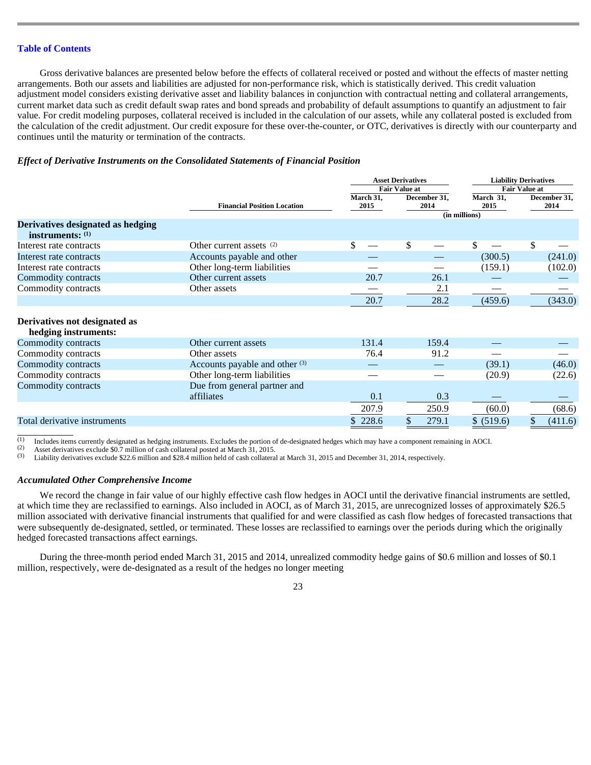Gross derivative balances are presented below before the effects of collateral received or posted and without the effects of master netting arrangements. Both our assets and liabilities are adjusted for non-performance risk, which is statistically derived. This credit valuation adjustment model considers existing derivative asset and liability balances in conjunction with contractual netting and collateral arrangements, current market data such as credit default swap rates and bond spreads and probability of default assumptions to quantify an adjustment to fair value. For credit modeling purposes, collateral received is included in the calculation of our assets, while any collateral posted is excluded from the calculation of the credit adjustment. Our credit exposure for these over-the-counter, or OTC, derivatives is directly with our counterparty and continues until the maturity or termination of the contracts.

#### *Effect of Derivative Instruments on the Consolidated Statements of Financial Position*

|                                                         |                                            | <b>Asset Derivatives</b> |      |                      |       | <b>Liability Derivatives</b> |     |                      |  |
|---------------------------------------------------------|--------------------------------------------|--------------------------|------|----------------------|-------|------------------------------|-----|----------------------|--|
|                                                         |                                            |                          |      | <b>Fair Value at</b> |       | <b>Fair Value at</b>         |     |                      |  |
|                                                         | <b>Financial Position Location</b>         | March 31,<br>2015        |      | December 31.<br>2014 |       | March 31,<br>2015            |     | December 31,<br>2014 |  |
|                                                         |                                            |                          |      |                      |       | (in millions)                |     |                      |  |
| Derivatives designated as hedging<br>instruments: $(1)$ |                                            |                          |      |                      |       |                              |     |                      |  |
| Interest rate contracts                                 | Other current assets (2)                   | \$                       |      | \$                   |       | \$                           | \$. |                      |  |
| Interest rate contracts                                 | Accounts payable and other                 |                          |      |                      |       | (300.5)                      |     | (241.0)              |  |
| Interest rate contracts                                 | Other long-term liabilities                |                          |      |                      |       | (159.1)                      |     | (102.0)              |  |
| Commodity contracts                                     | Other current assets                       |                          | 20.7 |                      | 26.1  |                              |     |                      |  |
| Commodity contracts                                     | Other assets                               |                          |      |                      | 2.1   |                              |     |                      |  |
|                                                         |                                            |                          | 20.7 |                      | 28.2  | (459.6)                      |     | (343.0)              |  |
| Derivatives not designated as<br>hedging instruments:   |                                            |                          |      |                      |       |                              |     |                      |  |
| Commodity contracts                                     | Other current assets                       | 131.4                    |      |                      | 159.4 |                              |     |                      |  |
| Commodity contracts                                     | Other assets                               |                          | 76.4 |                      | 91.2  |                              |     |                      |  |
| Commodity contracts                                     | Accounts payable and other <sup>(3)</sup>  |                          |      |                      |       | (39.1)                       |     | (46.0)               |  |
| Commodity contracts                                     | Other long-term liabilities                |                          |      |                      |       | (20.9)                       |     | (22.6)               |  |
| Commodity contracts                                     | Due from general partner and<br>affiliates |                          | 0.1  |                      | 0.3   |                              |     |                      |  |
|                                                         |                                            | 207.9                    |      |                      | 250.9 | (60.0)                       |     | (68.6)               |  |
| Total derivative instruments                            |                                            | 228.6                    |      | \$                   | 279.1 | \$ (519.6)                   |     | (411.6)              |  |

 $\frac{1}{(1)}$ Includes items currently designated as hedging instruments. Excludes the portion of de-designated hedges which may have a component remaining in AOCI.

 Asset derivatives exclude \$0.7 million of cash collateral posted at March 31, 2015. (2)

 Liability derivatives exclude \$22.6 million and \$28.4 million held of cash collateral at March 31, 2015 and December 31, 2014, respectively. (3)

#### *Accumulated Other Comprehensive Income*

We record the change in fair value of our highly effective cash flow hedges in AOCI until the derivative financial instruments are settled, at which time they are reclassified to earnings. Also included in AOCI, as of March 31, 2015, are unrecognized losses of approximately \$26.5 million associated with derivative financial instruments that qualified for and were classified as cash flow hedges of forecasted transactions that were subsequently de-designated, settled, or terminated. These losses are reclassified to earnings over the periods during which the originally hedged forecasted transactions affect earnings.

During the three-month period ended March 31, 2015 and 2014, unrealized commodity hedge gains of \$0.6 million and losses of \$0.1 million, respectively, were de-designated as a result of the hedges no longer meeting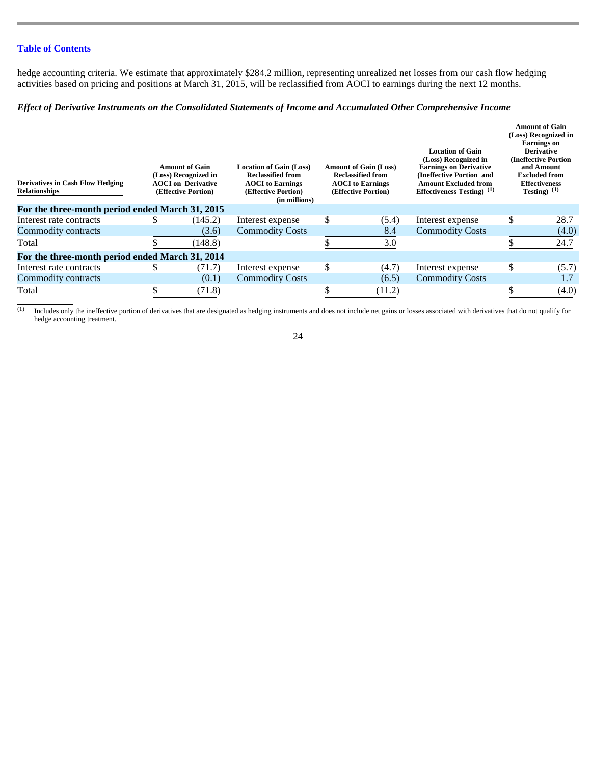hedge accounting criteria. We estimate that approximately \$284.2 million, representing unrealized net losses from our cash flow hedging activities based on pricing and positions at March 31, 2015, will be reclassified from AOCI to earnings during the next 12 months.

# *Effect of Derivative Instruments on the Consolidated Statements of Income and Accumulated Other Comprehensive Income*

| Derivatives in Cash Flow Hedging<br><b>Relationships</b> | <b>Amount of Gain</b><br>(Loss) Recognized in<br><b>AOCI</b> on Derivative<br>(Effective Portion) |         | <b>Location of Gain (Loss)</b><br><b>Reclassified from</b><br><b>AOCI</b> to Earnings<br>(Effective Portion)<br>(in millions) | <b>Amount of Gain (Loss)</b><br><b>Reclassified from</b><br><b>AOCI</b> to Earnings<br>(Effective Portion) | <b>Location of Gain</b><br>(Loss) Recognized in<br><b>Earnings on Derivative</b><br>(Ineffective Portion and<br><b>Amount Excluded from</b><br>Effectiveness Testing $(1)$ | <b>Amount of Gain</b><br>(Loss) Recognized in<br><b>Earnings</b> on<br><b>Derivative</b><br><b>(Ineffective Portion)</b><br>and Amount<br><b>Excluded from</b><br><b>Effectiveness</b><br>Testing $(1)$ |       |
|----------------------------------------------------------|---------------------------------------------------------------------------------------------------|---------|-------------------------------------------------------------------------------------------------------------------------------|------------------------------------------------------------------------------------------------------------|----------------------------------------------------------------------------------------------------------------------------------------------------------------------------|---------------------------------------------------------------------------------------------------------------------------------------------------------------------------------------------------------|-------|
| For the three-month period ended March 31, 2015          |                                                                                                   |         |                                                                                                                               |                                                                                                            |                                                                                                                                                                            |                                                                                                                                                                                                         |       |
| Interest rate contracts                                  | Ж                                                                                                 | (145.2) | Interest expense                                                                                                              | \$<br>(5.4)                                                                                                | Interest expense                                                                                                                                                           | \$                                                                                                                                                                                                      | 28.7  |
| Commodity contracts                                      |                                                                                                   | (3.6)   | <b>Commodity Costs</b>                                                                                                        | 8.4                                                                                                        | <b>Commodity Costs</b>                                                                                                                                                     |                                                                                                                                                                                                         | (4.0) |
| Total                                                    |                                                                                                   | (148.8) |                                                                                                                               | 3.0                                                                                                        |                                                                                                                                                                            |                                                                                                                                                                                                         | 24.7  |
| For the three-month period ended March 31, 2014          |                                                                                                   |         |                                                                                                                               |                                                                                                            |                                                                                                                                                                            |                                                                                                                                                                                                         |       |
| Interest rate contracts                                  | S                                                                                                 | (71.7)  | Interest expense                                                                                                              | \$<br>(4.7)                                                                                                | Interest expense                                                                                                                                                           | \$                                                                                                                                                                                                      | (5.7) |
| Commodity contracts                                      |                                                                                                   | (0.1)   | <b>Commodity Costs</b>                                                                                                        | (6.5)                                                                                                      | <b>Commodity Costs</b>                                                                                                                                                     |                                                                                                                                                                                                         | 1.1   |
| Total                                                    |                                                                                                   | (71.8)  |                                                                                                                               | (11.2)                                                                                                     |                                                                                                                                                                            |                                                                                                                                                                                                         | (4.0) |

 $\frac{1}{(1)}$  Includes only the ineffective portion of derivatives that are designated as hedging instruments and does not include net gains or losses associated with derivatives that do not qualify for hedge accounting treatment.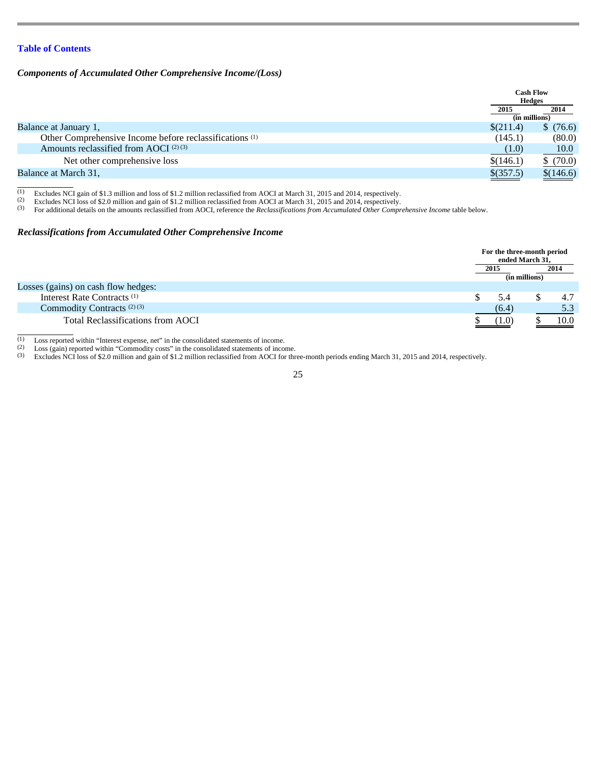# *Components of Accumulated Other Comprehensive Income/(Loss)*

|                                                                    | <b>Cash Flow</b><br><b>Hedges</b> |           |  |
|--------------------------------------------------------------------|-----------------------------------|-----------|--|
|                                                                    | 2015                              | 2014      |  |
|                                                                    | (in millions)                     |           |  |
| Balance at January 1,                                              | \$(211.4)                         | \$(76.6)  |  |
| Other Comprehensive Income before reclassifications <sup>(1)</sup> | (145.1)                           | (80.0)    |  |
| Amounts reclassified from AOCI <sup>(2)(3)</sup>                   | (1.0)                             | 10.0      |  |
| Net other comprehensive loss                                       | \$(146.1)                         | \$(70.0)  |  |
| Balance at March 31.                                               | $$$ (357.5)                       | \$(146.6) |  |

 $\frac{1}{(1)}$ Excludes NCI gain of \$1.3 million and loss of \$1.2 million reclassified from AOCI at March 31, 2015 and 2014, respectively.

 Excludes NCI loss of \$2.0 million and gain of \$1.2 million reclassified from AOCI at March 31, 2015 and 2014, respectively. (2)

 For additional details on the amounts reclassified from AOCI, reference the *Reclassifications from Accumulated Other Comprehensive Income* table below. (3)

### *Reclassifications from Accumulated Other Comprehensive Income*

|                                          | For the three-month period<br>ended March 31, |               |  |      |
|------------------------------------------|-----------------------------------------------|---------------|--|------|
|                                          | 2015                                          |               |  | 2014 |
|                                          |                                               | (in millions) |  |      |
| Losses (gains) on cash flow hedges:      |                                               |               |  |      |
| Interest Rate Contracts <sup>(1)</sup>   |                                               |               |  | 4.7  |
| Commodity Contracts <sup>(2)(3)</sup>    | (6.4)                                         |               |  | 5.3  |
| <b>Total Reclassifications from AOCI</b> | (1.0)                                         |               |  | 10.0 |

 $\frac{1}{(1)}$ Loss reported within "Interest expense, net" in the consolidated statements of income.

 Loss (gain) reported within "Commodity costs" in the consolidated statements of income. (2)

 Excludes NCI loss of \$2.0 million and gain of \$1.2 million reclassified from AOCI for three-month periods ending March 31, 2015 and 2014, respectively. (3)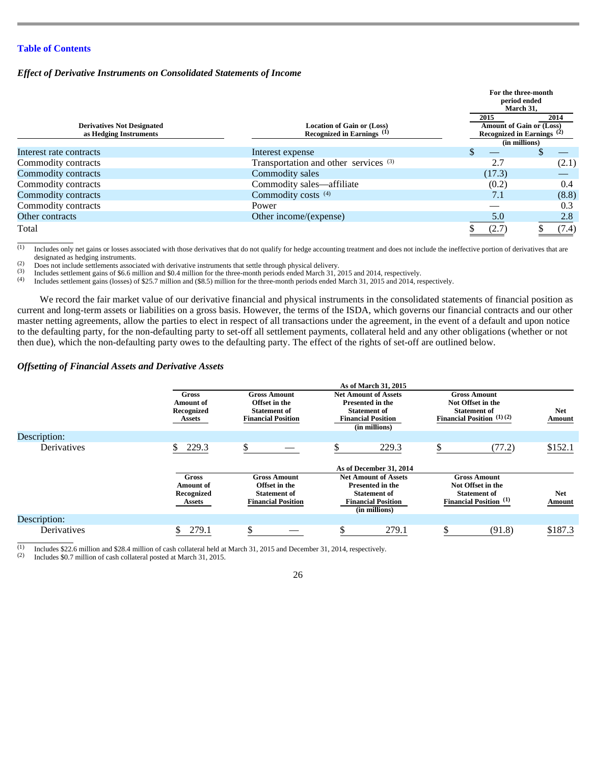#### *Effect of Derivative Instruments on Consolidated Statements of Income*

|                                                             |                                                                            |                                                                                          | For the three-month<br>period ended<br>March 31, |  |  |  |  |
|-------------------------------------------------------------|----------------------------------------------------------------------------|------------------------------------------------------------------------------------------|--------------------------------------------------|--|--|--|--|
| <b>Derivatives Not Designated</b><br>as Hedging Instruments | <b>Location of Gain or (Loss)</b><br>Recognized in Earnings <sup>(1)</sup> | 2015<br><b>Amount of Gain or (Loss)</b><br>Recognized in Earnings $(2)$<br>(in millions) | 2014                                             |  |  |  |  |
| Interest rate contracts                                     | Interest expense                                                           |                                                                                          |                                                  |  |  |  |  |
| Commodity contracts                                         | Transportation and other services (3)                                      | 2.7                                                                                      | (2.1)                                            |  |  |  |  |
| Commodity contracts                                         | Commodity sales                                                            | (17.3)                                                                                   |                                                  |  |  |  |  |
| Commodity contracts                                         | Commodity sales-affiliate                                                  | (0.2)                                                                                    | 0.4                                              |  |  |  |  |
| Commodity contracts                                         | Commodity costs (4)                                                        | 7.1                                                                                      | (8.8)                                            |  |  |  |  |
| Commodity contracts                                         | Power                                                                      |                                                                                          | 0.3                                              |  |  |  |  |
| Other contracts                                             | Other income/(expense)                                                     | 5.0                                                                                      | 2.8                                              |  |  |  |  |
| Total                                                       |                                                                            | (2.7)                                                                                    | (7.4)                                            |  |  |  |  |

 $\frac{1}{(1)}$  Includes only net gains or losses associated with those derivatives that do not qualify for hedge accounting treatment and does not include the ineffective portion of derivatives that are designated as hedging instruments.

 Does not include settlements associated with derivative instruments that settle through physical delivery. (2)

 Includes settlement gains of \$6.6 million and \$0.4 million for the three-month periods ended March 31, 2015 and 2014, respectively. (3) (4)

Includes settlement gains (losses) of \$25.7 million and (\$8.5) million for the three-month periods ended March 31, 2015 and 2014, respectively.

We record the fair market value of our derivative financial and physical instruments in the consolidated statements of financial position as current and long-term assets or liabilities on a gross basis. However, the terms of the ISDA, which governs our financial contracts and our other master netting agreements, allow the parties to elect in respect of all transactions under the agreement, in the event of a default and upon notice to the defaulting party, for the non-defaulting party to set-off all settlement payments, collateral held and any other obligations (whether or not then due), which the non-defaulting party owes to the defaulting party. The effect of the rights of set-off are outlined below.

# *Offsetting of Financial Assets and Derivative Assets*

|              |                                                   |                                                                                          | As of March 31, 2015                                                                                                        |                                                                                                    |                      |
|--------------|---------------------------------------------------|------------------------------------------------------------------------------------------|-----------------------------------------------------------------------------------------------------------------------------|----------------------------------------------------------------------------------------------------|----------------------|
|              | Gross<br><b>Amount of</b><br>Recognized<br>Assets | <b>Gross Amount</b><br>Offset in the<br><b>Statement of</b><br><b>Financial Position</b> | <b>Net Amount of Assets</b><br><b>Presented in the</b><br><b>Statement of</b><br><b>Financial Position</b><br>(in millions) | <b>Gross Amount</b><br>Not Offset in the<br><b>Statement of</b><br>Financial Position (1)(2)       | <b>Net</b><br>Amount |
| Description: |                                                   |                                                                                          |                                                                                                                             |                                                                                                    |                      |
| Derivatives  | 229.3                                             |                                                                                          | 229.3                                                                                                                       | (77.2)                                                                                             | \$152.1              |
|              |                                                   |                                                                                          | As of December 31, 2014                                                                                                     |                                                                                                    |                      |
|              | Gross<br><b>Amount</b> of<br>Recognized<br>Assets | <b>Gross Amount</b><br>Offset in the<br><b>Statement of</b><br><b>Financial Position</b> | <b>Net Amount of Assets</b><br><b>Presented in the</b><br><b>Statement of</b><br><b>Financial Position</b><br>(in millions) | <b>Gross Amount</b><br>Not Offset in the<br><b>Statement of</b><br><b>Financial Position</b> $(1)$ | <b>Net</b><br>Amount |
| Description: |                                                   |                                                                                          |                                                                                                                             |                                                                                                    |                      |
| Derivatives  | 279.1                                             |                                                                                          | 279.1                                                                                                                       | (91.8)                                                                                             | \$187.3              |

 $\frac{1}{(1)}$ Includes \$22.6 million and \$28.4 million of cash collateral held at March 31, 2015 and December 31, 2014, respectively.

 Includes \$0.7 million of cash collateral posted at March 31, 2015. (2)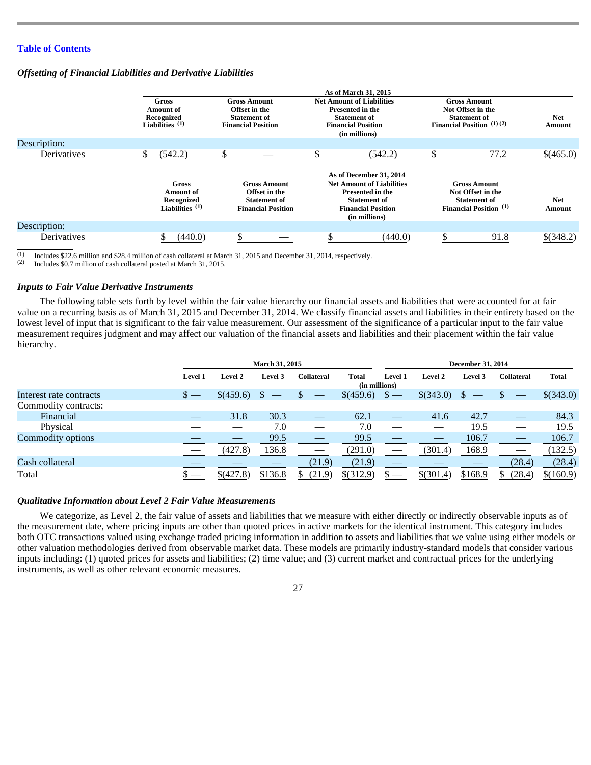#### *Offsetting of Financial Liabilities and Derivative Liabilities*

|              |                                                                     |                                                                                          | As of March 31, 2015                                                                                                      |                                                                                                      |                      |
|--------------|---------------------------------------------------------------------|------------------------------------------------------------------------------------------|---------------------------------------------------------------------------------------------------------------------------|------------------------------------------------------------------------------------------------------|----------------------|
|              | Gross<br>Amount of<br>Recognized<br>Liabilities $(1)$               | <b>Gross Amount</b><br>Offset in the<br><b>Statement of</b><br><b>Financial Position</b> | <b>Net Amount of Liabilities</b><br>Presented in the<br><b>Statement of</b><br><b>Financial Position</b><br>(in millions) | <b>Gross Amount</b><br>Not Offset in the<br><b>Statement of</b><br>Financial Position $(1)(2)$       | <b>Net</b><br>Amount |
| Description: |                                                                     |                                                                                          |                                                                                                                           |                                                                                                      |                      |
| Derivatives  | (542.2)                                                             | Φ                                                                                        | (542.2)                                                                                                                   | 77.2                                                                                                 | \$(465.0)            |
|              |                                                                     |                                                                                          | As of December 31, 2014                                                                                                   |                                                                                                      |                      |
|              | <b>Gross</b><br><b>Amount of</b><br>Recognized<br>Liabilities $(1)$ | <b>Gross Amount</b><br>Offset in the<br><b>Statement of</b><br><b>Financial Position</b> | <b>Net Amount of Liabilities</b><br>Presented in the<br><b>Statement of</b><br><b>Financial Position</b><br>(in millions) | <b>Gross Amount</b><br>Not Offset in the<br><b>Statement of</b><br>Financial Position <sup>(1)</sup> | <b>Net</b><br>Amount |
| Description: |                                                                     |                                                                                          |                                                                                                                           |                                                                                                      |                      |
| Derivatives  | (440.0)                                                             | Φ                                                                                        | (440.0)                                                                                                                   | 91.8                                                                                                 | \$(348.2)            |

 $\frac{1}{(1)}$ Includes \$22.6 million and \$28.4 million of cash collateral at March 31, 2015 and December 31, 2014, respectively.

 Includes \$0.7 million of cash collateral posted at March 31, 2015. (2)

#### *Inputs to Fair Value Derivative Instruments*

The following table sets forth by level within the fair value hierarchy our financial assets and liabilities that were accounted for at fair value on a recurring basis as of March 31, 2015 and December 31, 2014. We classify financial assets and liabilities in their entirety based on the lowest level of input that is significant to the fair value measurement. Our assessment of the significance of a particular input to the fair value measurement requires judgment and may affect our valuation of the financial assets and liabilities and their placement within the fair value hierarchy.

|                         | <b>March 31, 2015</b> |           |         |            | <b>December 31, 2014</b> |                |           |         |            |              |
|-------------------------|-----------------------|-----------|---------|------------|--------------------------|----------------|-----------|---------|------------|--------------|
|                         | Level 1               | Level 2   | Level 3 | Collateral | Total<br>(in millions)   | <b>Level 1</b> | Level 2   | Level 3 | Collateral | <b>Total</b> |
| Interest rate contracts | $\mathsf{s}$ —        | \$(459.6) |         |            | \$(459.6)                | $\mathbf{s}$ — | \$(343.0) |         |            | \$(343.0)    |
| Commodity contracts:    |                       |           |         |            |                          |                |           |         |            |              |
| Financial               |                       | 31.8      | 30.3    |            | 62.1                     |                | 41.6      | 42.7    |            | 84.3         |
| Physical                |                       |           | 7.0     |            | 7.0                      |                |           | 19.5    |            | 19.5         |
| Commodity options       |                       |           | 99.5    |            | 99.5                     |                |           | 106.7   |            | 106.7        |
|                         |                       | (427.8)   | 136.8   |            | (291.0)                  |                | (301.4)   | 168.9   |            | (132.5)      |
| Cash collateral         |                       |           |         | (21.9)     | (21.9)                   |                |           |         | (28.4)     | (28.4)       |
| Total                   |                       | \$(427.8) | \$136.8 | (21.9)     | \$(312.9)                |                | \$(301.4) | \$168.9 | (28.4)     | \$(160.9)    |

# *Qualitative Information about Level 2 Fair Value Measurements*

We categorize, as Level 2, the fair value of assets and liabilities that we measure with either directly or indirectly observable inputs as of the measurement date, where pricing inputs are other than quoted prices in active markets for the identical instrument. This category includes both OTC transactions valued using exchange traded pricing information in addition to assets and liabilities that we value using either models or other valuation methodologies derived from observable market data. These models are primarily industry-standard models that consider various inputs including: (1) quoted prices for assets and liabilities; (2) time value; and (3) current market and contractual prices for the underlying instruments, as well as other relevant economic measures.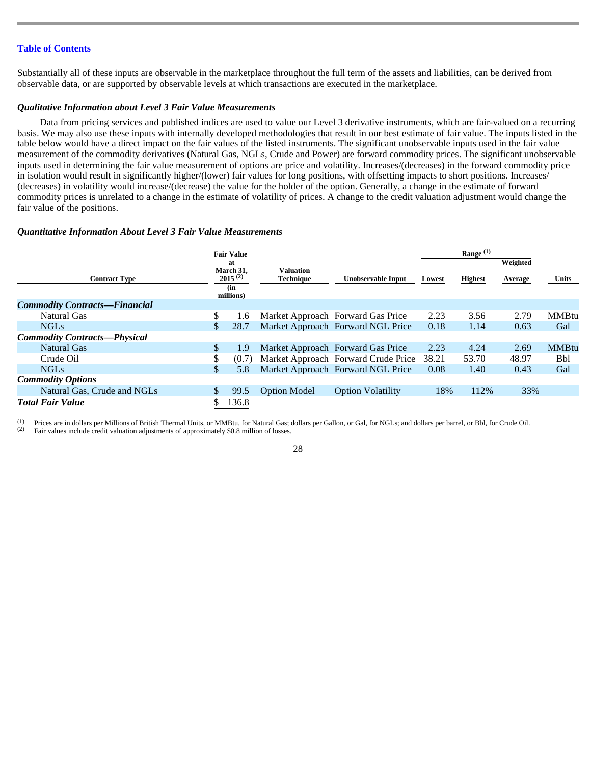Substantially all of these inputs are observable in the marketplace throughout the full term of the assets and liabilities, can be derived from observable data, or are supported by observable levels at which transactions are executed in the marketplace.

#### *Qualitative Information about Level 3 Fair Value Measurements*

Data from pricing services and published indices are used to value our Level 3 derivative instruments, which are fair-valued on a recurring basis. We may also use these inputs with internally developed methodologies that result in our best estimate of fair value. The inputs listed in the table below would have a direct impact on the fair values of the listed instruments. The significant unobservable inputs used in the fair value measurement of the commodity derivatives (Natural Gas, NGLs, Crude and Power) are forward commodity prices. The significant unobservable inputs used in determining the fair value measurement of options are price and volatility. Increases/(decreases) in the forward commodity price in isolation would result in significantly higher/(lower) fair values for long positions, with offsetting impacts to short positions. Increases/ (decreases) in volatility would increase/(decrease) the value for the holder of the option. Generally, a change in the estimate of forward commodity prices is unrelated to a change in the estimate of volatility of prices. A change to the credit valuation adjustment would change the fair value of the positions.

#### *Quantitative Information About Level 3 Fair Value Measurements*

|                                      |                                                     | <b>Fair Value</b> |                                      |                                     |        | Range $(1)$    |                     |              |
|--------------------------------------|-----------------------------------------------------|-------------------|--------------------------------------|-------------------------------------|--------|----------------|---------------------|--------------|
| <b>Contract Type</b>                 | at<br>March 31,<br>$2015^{(2)}$<br>(in<br>millions) |                   | <b>Valuation</b><br><b>Technique</b> | Unobservable Input                  | Lowest | <b>Highest</b> | Weighted<br>Average | <b>Units</b> |
| <b>Commodity Contracts—Financial</b> |                                                     |                   |                                      |                                     |        |                |                     |              |
| Natural Gas                          | \$                                                  | 1.6               |                                      | Market Approach Forward Gas Price   | 2.23   | 3.56           | 2.79                | <b>MMBtu</b> |
| <b>NGLs</b>                          | \$                                                  | 28.7              |                                      | Market Approach Forward NGL Price   | 0.18   | 1.14           | 0.63                | Gal          |
| <b>Commodity Contracts-Physical</b>  |                                                     |                   |                                      |                                     |        |                |                     |              |
| <b>Natural Gas</b>                   | \$                                                  | 1.9               |                                      | Market Approach Forward Gas Price   | 2.23   | 4.24           | 2.69                | <b>MMBtu</b> |
| Crude Oil                            | \$                                                  | (0.7)             |                                      | Market Approach Forward Crude Price | 38.21  | 53.70          | 48.97               | <b>Bbl</b>   |
| <b>NGLs</b>                          | \$                                                  | 5.8               |                                      | Market Approach Forward NGL Price   | 0.08   | 1.40           | 0.43                | Gal          |
| <b>Commodity Options</b>             |                                                     |                   |                                      |                                     |        |                |                     |              |
| Natural Gas, Crude and NGLs          | \$                                                  | 99.5              | <b>Option Model</b>                  | <b>Option Volatility</b>            | 18%    | 112%           | 33%                 |              |
| <b>Total Fair Value</b>              |                                                     | 136.8             |                                      |                                     |        |                |                     |              |

 $\frac{1}{(1)}$ Prices are in dollars per Millions of British Thermal Units, or MMBtu, for Natural Gas; dollars per Gallon, or Gal, for NGLs; and dollars per barrel, or Bbl, for Crude Oil.

 Fair values include credit valuation adjustments of approximately \$0.8 million of losses. (2)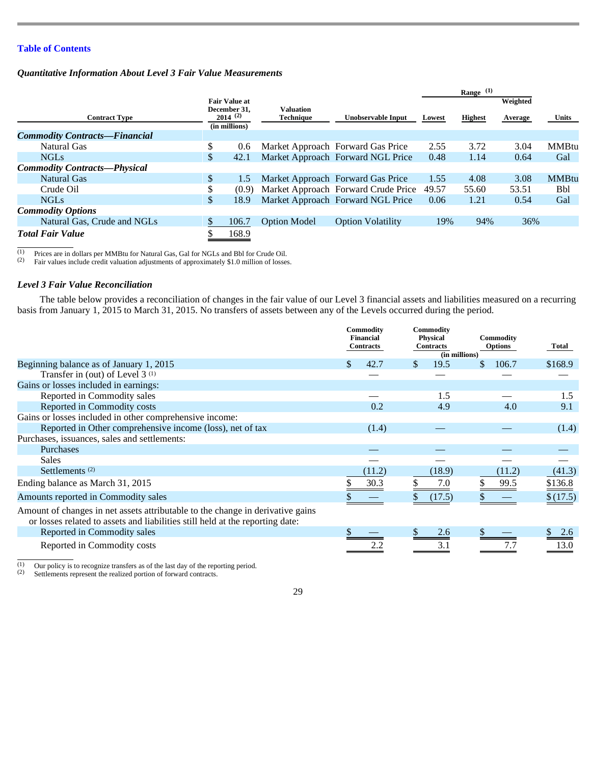#### *Quantitative Information About Level 3 Fair Value Measurements*

|                                      |    |                                               |                               |                                     | Range $(1)$ |                |          |              |
|--------------------------------------|----|-----------------------------------------------|-------------------------------|-------------------------------------|-------------|----------------|----------|--------------|
|                                      |    | <b>Fair Value at</b>                          |                               |                                     |             |                | Weighted |              |
| <b>Contract Type</b>                 |    | December 31.<br>$2014^{(2)}$<br>(in millions) | Valuation<br><b>Technique</b> | Unobservable Input                  | Lowest      | <b>Highest</b> | Average  | <b>Units</b> |
| <b>Commodity Contracts-Financial</b> |    |                                               |                               |                                     |             |                |          |              |
| Natural Gas                          | \$ | 0.6                                           |                               | Market Approach Forward Gas Price   | 2.55        | 3.72           | 3.04     | <b>MMBtu</b> |
| <b>NGLs</b>                          | S  | 42.1                                          |                               | Market Approach Forward NGL Price   | 0.48        | 1.14           | 0.64     | Gal          |
| <b>Commodity Contracts—Physical</b>  |    |                                               |                               |                                     |             |                |          |              |
| <b>Natural Gas</b>                   | \$ | 1.5                                           |                               | Market Approach Forward Gas Price   | 1.55        | 4.08           | 3.08     | <b>MMBtu</b> |
| Crude Oil                            | S  | (0.9)                                         |                               | Market Approach Forward Crude Price | 49.57       | 55.60          | 53.51    | <b>Bbl</b>   |
| <b>NGLs</b>                          | \$ | 18.9                                          |                               | Market Approach Forward NGL Price   | 0.06        | 1.21           | 0.54     | Gal          |
| <b>Commodity Options</b>             |    |                                               |                               |                                     |             |                |          |              |
| Natural Gas, Crude and NGLs          |    | 106.7                                         | <b>Option Model</b>           | <b>Option Volatility</b>            | 19%         | 94%            | 36%      |              |
| <b>Total Fair Value</b>              |    | 168.9                                         |                               |                                     |             |                |          |              |

 $\frac{1}{(1)}$ Prices are in dollars per MMBtu for Natural Gas, Gal for NGLs and Bbl for Crude Oil.

 Fair values include credit valuation adjustments of approximately \$1.0 million of losses. (2)

#### *Level 3 Fair Value Reconciliation*

The table below provides a reconciliation of changes in the fair value of our Level 3 financial assets and liabilities measured on a recurring basis from January 1, 2015 to March 31, 2015. No transfers of assets between any of the Levels occurred during the period.

|                                                                                                                                                                 |     | Commodity<br>Financial<br><b>Contracts</b> | Commodity<br><b>Physical</b><br><b>Contracts</b><br>(in millions) |               | Commodity<br><b>Options</b> | Total    |
|-----------------------------------------------------------------------------------------------------------------------------------------------------------------|-----|--------------------------------------------|-------------------------------------------------------------------|---------------|-----------------------------|----------|
| Beginning balance as of January 1, 2015                                                                                                                         | \$. | 42.7                                       | \$<br>19.5                                                        | $\mathcal{S}$ | 106.7                       | \$168.9  |
| Transfer in (out) of Level $3^{(1)}$                                                                                                                            |     |                                            |                                                                   |               |                             |          |
| Gains or losses included in earnings:                                                                                                                           |     |                                            |                                                                   |               |                             |          |
| Reported in Commodity sales                                                                                                                                     |     |                                            | 1.5                                                               |               |                             | 1.5      |
| Reported in Commodity costs                                                                                                                                     |     | 0.2                                        | 4.9                                                               |               | 4.0                         | 9.1      |
| Gains or losses included in other comprehensive income:                                                                                                         |     |                                            |                                                                   |               |                             |          |
| Reported in Other comprehensive income (loss), net of tax                                                                                                       |     | (1.4)                                      |                                                                   |               |                             | (1.4)    |
| Purchases, issuances, sales and settlements:                                                                                                                    |     |                                            |                                                                   |               |                             |          |
| Purchases                                                                                                                                                       |     |                                            |                                                                   |               |                             |          |
| Sales                                                                                                                                                           |     |                                            |                                                                   |               |                             |          |
| Settlements $(2)$                                                                                                                                               |     | (11.2)                                     | (18.9)                                                            |               | (11.2)                      | (41.3)   |
| Ending balance as March 31, 2015                                                                                                                                |     | 30.3                                       | 7.0                                                               |               | 99.5                        | \$136.8  |
| Amounts reported in Commodity sales                                                                                                                             |     |                                            | (17.5)                                                            |               |                             | \$(17.5) |
| Amount of changes in net assets attributable to the change in derivative gains<br>or losses related to assets and liabilities still held at the reporting date: |     |                                            |                                                                   |               |                             |          |
| Reported in Commodity sales                                                                                                                                     |     |                                            | 2.6                                                               |               |                             | 2.6      |
| Reported in Commodity costs                                                                                                                                     |     |                                            | 3.1                                                               |               | 7.7                         | 13.0     |
| (1)<br>Our policy is to recognize transfers as of the last day of the reporting period                                                                          |     |                                            |                                                                   |               |                             |          |

Our policy is to recognize transfers as of the last day of the reporting period.

 Settlements represent the realized portion of forward contracts.  $(2)$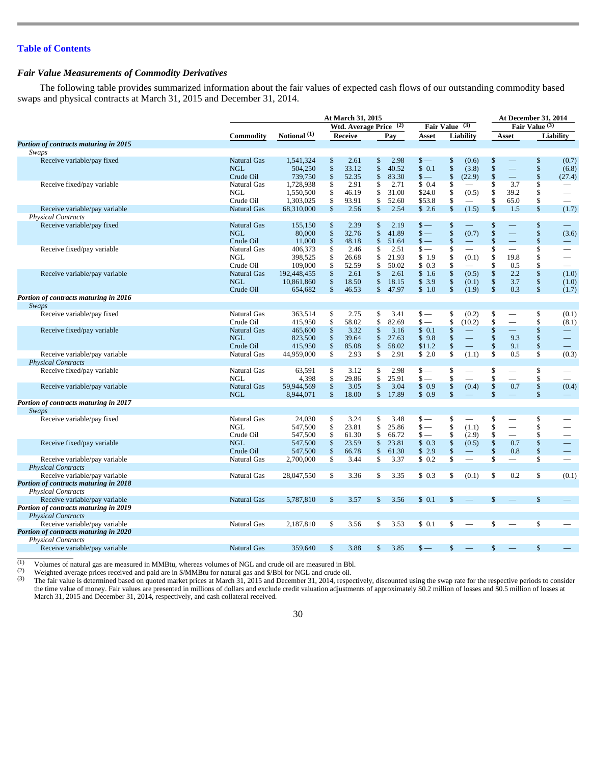#### *Fair Value Measurements of Commodity Derivatives*

The following table provides summarized information about the fair values of expected cash flows of our outstanding commodity based swaps and physical contracts at March 31, 2015 and December 31, 2014.

|                                       |                    | At March 31, 2015       |               |                          |                    |       |                   | At December 31, 2014 |                          |               |                          |                    |                          |
|---------------------------------------|--------------------|-------------------------|---------------|--------------------------|--------------------|-------|-------------------|----------------------|--------------------------|---------------|--------------------------|--------------------|--------------------------|
|                                       |                    |                         |               | Wtd. Average Price $(2)$ |                    |       | <b>Fair Value</b> |                      | (3)                      |               |                          | Fair Value $(3)$   |                          |
|                                       | Commodity          | Notional <sup>(1)</sup> |               | Receive                  |                    | Pay   | Asset             |                      | Liability                |               | Asset                    |                    | Liability                |
| Portion of contracts maturing in 2015 |                    |                         |               |                          |                    |       |                   |                      |                          |               |                          |                    |                          |
| Swaps                                 |                    |                         |               |                          |                    |       |                   |                      |                          |               |                          |                    |                          |
| Receive variable/pay fixed            | <b>Natural Gas</b> | 1,541,324               | \$            | 2.61                     | $\frac{1}{2}$      | 2.98  | $\frac{\ }{s-}$   | \$                   | (0.6)                    | \$            |                          | \$                 | (0.7)                    |
|                                       | <b>NGL</b>         | 504,250                 | \$            | 33.12                    | \$                 | 40.52 | \$0.1             | $\sqrt{\ }$          | (3.8)                    | \$            | $\equiv$                 | $\,$               | (6.8)                    |
|                                       | Crude Oil          | 739,750                 | \$            | 52.35                    | $\sqrt$            | 83.30 | $s -$             | \$                   | (22.9)                   | \$            | $\equiv$                 | \$                 | (27.4)                   |
| Receive fixed/pay variable            | Natural Gas        | 1,728,938               | \$            | 2.91                     | \$                 | 2.71  | \$0.4             | \$                   | $\overline{\phantom{0}}$ | \$            | 3.7                      | \$                 |                          |
|                                       | <b>NGL</b>         | 1,550,500               | \$            | 46.19                    | \$                 | 31.00 | \$24.0            | \$                   | (0.5)                    | \$            | 39.2                     | \$                 | $\equiv$                 |
|                                       | Crude Oil          | 1,303,025               | \$            | 93.91                    | \$                 | 52.60 | \$53.8            | \$                   | $\overline{\phantom{0}}$ | \$            | 65.0                     | \$                 | $\overline{\phantom{0}}$ |
| Receive variable/pay variable         | <b>Natural Gas</b> | 68,310,000              | $\sqrt{\ }$   | 2.56                     | $\sqrt$            | 2.54  | \$2.6             | $\mathbb{S}$         | (1.5)                    | $\sqrt$       | 1.5                      | $\frac{1}{2}$      | (1.7)                    |
| <b>Physical Contracts</b>             |                    |                         |               |                          |                    |       |                   |                      |                          |               |                          |                    |                          |
| Receive variable/pay fixed            | <b>Natural Gas</b> | 155,150                 | \$            | 2.39                     | \$                 | 2.19  | $\mathbf{s} =$    | \$                   |                          | \$            |                          | $\sqrt$            |                          |
|                                       | <b>NGL</b>         | 80,000                  | $\mathsf{\$}$ | 32.76                    | $\mathbf{\hat{S}}$ | 41.89 | $\mathbf{s} =$    | $\mathbf{\hat{S}}$   | (0.7)                    | \$            | ш.                       | \$                 | (3.6)                    |
|                                       | Crude Oil          | 11,000                  | \$            | 48.18                    | \$                 | 51.64 | $s -$             | \$                   |                          | \$            | ÷,                       | \$                 |                          |
| Receive fixed/pay variable            | Natural Gas        | 406,373                 | \$            | 2.46                     | \$                 | 2.51  | $s-$              | \$                   | $\overline{\phantom{0}}$ | \$            | $\overline{\phantom{0}}$ | \$                 |                          |
|                                       | <b>NGL</b>         | 398,525                 | \$            | 26.68                    | $\mathsf{\$}$      | 21.93 | \$1.9             | \$                   | (0.1)                    | \$            | 19.8                     | \$                 | $\equiv$                 |
|                                       | Crude Oil          | 109,000                 | \$            | 52.59                    | $\mathsf{\$}$      | 50.02 | \$0.3             | \$                   |                          | \$            | 0.5                      | \$                 |                          |
| Receive variable/pay variable         | <b>Natural Gas</b> | 192,448,455             | \$            | 2.61                     | \$                 | 2.61  | \$1.6             | \$                   | (0.5)                    | \$            | 2.2                      | \$                 | (1.0)                    |
|                                       | <b>NGL</b>         | 10,861,860              | \$            | 18.50                    | \$                 | 18.15 | \$3.9             | \$                   | (0.1)                    | \$            | 3.7                      | \$                 | (1.0)                    |
|                                       | Crude Oil          | 654,682                 | \$            | 46.53                    | \$                 | 47.97 | \$1.0             | $\mathbb{S}$         | (1.9)                    | $\mathcal{S}$ | 0.3                      | $\mathbf{\hat{S}}$ | (1.7)                    |
| Portion of contracts maturing in 2016 |                    |                         |               |                          |                    |       |                   |                      |                          |               |                          |                    |                          |
| Swaps                                 |                    |                         |               |                          |                    |       |                   |                      |                          |               |                          |                    |                          |
| Receive variable/pay fixed            | Natural Gas        | 363,514                 | \$            | 2.75                     | \$                 | 3.41  | $s-$              | \$                   | (0.2)                    | \$            | $\overline{\phantom{0}}$ | \$                 | (0.1)                    |
|                                       | Crude Oil          | 415,950                 | \$            | 58.02                    | \$                 | 82.69 | $s-$              | \$                   | (10.2)                   | \$            | $\qquad \qquad$          | \$                 | (8.1)                    |
| Receive fixed/pay variable            | <b>Natural Gas</b> | 465,600                 | \$            | 3.32                     | $\mathcal{S}$      | 3.16  | \$0.1             | \$                   |                          | \$            | ŽЦ.                      | \$                 |                          |
|                                       | <b>NGL</b>         | 823,500                 | \$            | 39.64                    | $\sqrt$            | 27.63 | \$9.8             | \$                   | $\equiv$                 | \$            | 9.3                      | \$                 |                          |
|                                       | Crude Oil          | 415,950                 | \$            | 85.08                    | \$                 | 58.02 | \$11.2            | \$                   | $\equiv$                 | \$            | 9.1                      | \$                 | $\overline{\phantom{0}}$ |
| Receive variable/pay variable         | Natural Gas        | 44,959,000              | \$            | 2.93                     | \$                 | 2.91  | \$2.0             | \$                   | (1.1)                    | \$            | 0.5                      | \$                 | (0.3)                    |
| <b>Physical Contracts</b>             |                    |                         |               |                          |                    |       |                   |                      |                          |               |                          |                    |                          |
| Receive fixed/pay variable            | Natural Gas        | 63,591                  | \$            | 3.12                     | \$                 | 2.98  | $s-$              | \$                   |                          | \$            | $\overline{\phantom{0}}$ | \$                 |                          |
|                                       | <b>NGL</b>         | 4.398                   | \$            | 29.86                    | \$                 | 25.91 | $\mathbf{s} =$    | \$                   | $\overline{\phantom{0}}$ | \$            | $\overline{\phantom{0}}$ | \$                 | $\equiv$                 |
| Receive variable/pay variable         | <b>Natural Gas</b> | 59,944,569              | \$            | 3.05                     | \$                 | 3.04  | \$0.9             | $\mathbb{S}$         | (0.4)                    | \$            | 0.7                      | \$                 | (0.4)                    |
|                                       | <b>NGL</b>         | 8,944,071               | \$            | 18.00                    | \$                 | 17.89 | \$0.9             | $\mathbf{\hat{S}}$   |                          | \$            |                          | \$                 |                          |
| Portion of contracts maturing in 2017 |                    |                         |               |                          |                    |       |                   |                      |                          |               |                          |                    |                          |
| <b>Swaps</b>                          |                    |                         |               |                          |                    |       |                   |                      |                          |               |                          |                    |                          |
| Receive variable/pay fixed            | Natural Gas        | 24,030                  | \$            | 3.24                     | \$                 | 3.48  | $\frac{1}{2}$     | \$                   | <u>in d</u>              | \$            |                          | $\overline{\$}$    |                          |
|                                       | <b>NGL</b>         | 547,500                 | \$            | 23.81                    | \$                 | 25.86 | $s -$             | \$                   | (1.1)                    | \$            | $\overline{\phantom{0}}$ | \$                 |                          |
|                                       | Crude Oil          | 547,500                 | \$            | 61.30                    | \$                 | 66.72 | $s -$             | \$                   | (2.9)                    | \$            | $\equiv$                 | \$                 | $\overline{\phantom{0}}$ |
| Receive fixed/pay variable            | <b>NGL</b>         | 547,500                 | \$            | 23.59                    | \$                 | 23.81 | \$0.3             | $\mathbb{S}$         | (0.5)                    | \$            | 0.7                      | \$                 |                          |
|                                       | Crude Oil          | 547,500                 | \$            | 66.78                    | \$                 | 61.30 | \$2.9             | $\mathbb{S}$         |                          | \$            | 0.8                      | \$                 | $\overline{\phantom{0}}$ |
| Receive variable/pay variable         | Natural Gas        | 2,700,000               | \$            | 3.44                     | \$                 | 3.37  | \$0.2             | \$                   | $\equiv$                 | \$            | $\equiv$                 | \$                 | $\equiv$                 |
| <b>Physical Contracts</b>             |                    |                         |               |                          |                    |       |                   |                      |                          |               |                          |                    |                          |
| Receive variable/pay variable         | Natural Gas        | 28,047,550              | \$            | 3.36                     | \$                 | 3.35  | \$0.3             | \$                   | (0.1)                    | \$            | 0.2                      | \$                 | (0.1)                    |
| Portion of contracts maturing in 2018 |                    |                         |               |                          |                    |       |                   |                      |                          |               |                          |                    |                          |
| <b>Physical Contracts</b>             |                    |                         |               |                          |                    |       |                   |                      |                          |               |                          |                    |                          |
| Receive variable/pay variable         | Natural Gas        | 5,787,810               | \$            | 3.57                     | $\mathbb{S}$       | 3.56  | \$0.1             | \$                   | ш.                       | \$            | $\equiv$                 | $\mathsf{\$}$      |                          |
| Portion of contracts maturing in 2019 |                    |                         |               |                          |                    |       |                   |                      |                          |               |                          |                    |                          |
| <b>Physical Contracts</b>             |                    |                         |               |                          |                    |       |                   |                      |                          |               |                          |                    |                          |
| Receive variable/pay variable         | Natural Gas        | 2,187,810               | \$            | 3.56                     | \$                 | 3.53  | \$0.1             | \$                   | $\equiv$                 | \$            | $\equiv$                 | $\mathbb{S}$       |                          |
|                                       |                    |                         |               |                          |                    |       |                   |                      |                          |               |                          |                    |                          |
| Portion of contracts maturing in 2020 |                    |                         |               |                          |                    |       |                   |                      |                          |               |                          |                    |                          |
| <b>Physical Contracts</b>             | <b>Natural Gas</b> | 359,640                 | \$            |                          | \$                 |       | $\frac{\ }{s-}$   | \$                   |                          | \$            |                          | \$                 |                          |
| Receive variable/pay variable         |                    |                         |               | 3.88                     |                    | 3.85  |                   |                      |                          |               |                          |                    |                          |

 $\frac{1}{(1)}$ Volumes of natural gas are measured in MMBtu, whereas volumes of NGL and crude oil are measured in Bbl.

 Weighted average prices received and paid are in \$/MMBtu for natural gas and \$/Bbl for NGL and crude oil. (2)

 The fair value is determined based on quoted market prices at March 31, 2015 and December 31, 2014, respectively, discounted using the swap rate for the respective periods to consider the time value of money. Fair values are presented in millions of dollars and exclude credit valuation adjustments of approximately \$0.2 million of losses and \$0.5 million of losses at March 31, 2015 and December 31, 2014, respectively, and cash collateral received. (3)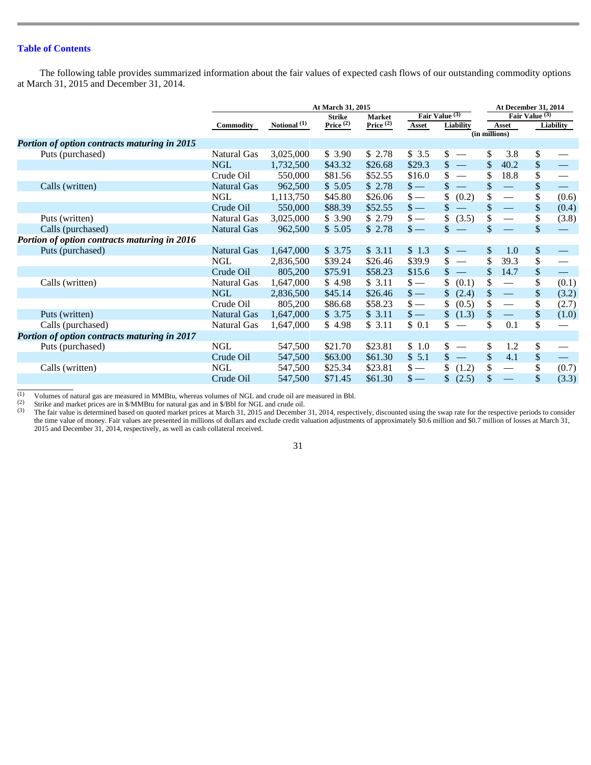The following table provides summarized information about the fair values of expected cash flows of our outstanding commodity options at March 31, 2015 and December 31, 2014.

|                                              | At March 31, 2015  |                |                              |                              |                 |                                        | At December 31, 2014 |                          |                  |                               |  |
|----------------------------------------------|--------------------|----------------|------------------------------|------------------------------|-----------------|----------------------------------------|----------------------|--------------------------|------------------|-------------------------------|--|
|                                              | Commodity          | Notional $(1)$ | <b>Strike</b><br>Price $(2)$ | <b>Market</b><br>Price $(2)$ | Asset           | Fair Value <sup>(3)</sup><br>Liability | (in millions)        | Asset                    | Fair Value $(3)$ | <b>Liability</b>              |  |
| Portion of option contracts maturing in 2015 |                    |                |                              |                              |                 |                                        |                      |                          |                  |                               |  |
| Puts (purchased)                             | <b>Natural Gas</b> | 3,025,000      | \$3.90                       | \$2.78                       | \$3.5           | \$                                     | \$                   | 3.8                      | \$               |                               |  |
|                                              | <b>NGL</b>         | 1,732,500      | \$43.32                      | \$26.68                      | \$29.3          | \$<br>$\overline{\phantom{m}}$         | \$                   | 40.2                     | \$               |                               |  |
|                                              | Crude Oil          | 550,000        | \$81.56                      | \$52.55                      | \$16.0          | \$                                     | \$                   | 18.8                     | \$               |                               |  |
| Calls (written)                              | <b>Natural Gas</b> | 962,500        | \$5.05                       | \$2.78                       | $\frac{1}{2}$   | \$<br>$\frac{1}{2}$                    | \$                   | $\overline{\phantom{m}}$ | \$               |                               |  |
|                                              | NGL                | 1,113,750      | \$45.80                      | \$26.06                      | $\mathcal{S}$ — | \$<br>(0.2)                            | \$                   | $\hspace{0.05cm}$        | \$               | (0.6)                         |  |
|                                              | Crude Oil          | 550,000        | \$88.39                      | \$52.55                      | $\frac{\S}{\S}$ | \$                                     | \$                   | $\overline{\phantom{m}}$ | $\$\,$           | (0.4)                         |  |
| Puts (written)                               | <b>Natural Gas</b> | 3,025,000      | \$3.90                       | \$2.79                       | $\frac{\S}{\S}$ | \$<br>(3.5)                            | \$                   | $\hspace{0.05cm}$        | \$               | (3.8)                         |  |
| Calls (purchased)                            | <b>Natural Gas</b> | 962,500        | \$5.05                       | \$2.78                       | $\mathsf{s}$ —  | \$.                                    | \$                   |                          | \$               |                               |  |
| Portion of option contracts maturing in 2016 |                    |                |                              |                              |                 |                                        |                      |                          |                  |                               |  |
| Puts (purchased)                             | <b>Natural Gas</b> | 1,647,000      | \$3.75                       | \$3.11                       | \$1.3           | \$                                     | \$                   | 1.0                      | \$               |                               |  |
|                                              | NGL                | 2,836,500      | \$39.24                      | \$26.46                      | \$39.9          | \$                                     | \$                   | 39.3                     | \$               | $\overbrace{\phantom{aaaaa}}$ |  |
|                                              | Crude Oil          | 805,200        | \$75.91                      | \$58.23                      | \$15.6          | \$                                     | \$                   | 14.7                     | \$               |                               |  |
| Calls (written)                              | Natural Gas        | 1,647,000      | \$4.98                       | \$3.11                       | $\frac{1}{2}$   | \$<br>(0.1)                            | \$                   | $\overline{\phantom{m}}$ | \$               | (0.1)                         |  |
|                                              | <b>NGL</b>         | 2,836,500      | \$45.14                      | \$26.46                      | $\sqrt{$}$      | $\mathbb{S}$<br>(2.4)                  | \$                   | $\overline{\phantom{m}}$ | \$               | (3.2)                         |  |
|                                              | Crude Oil          | 805,200        | \$86.68                      | \$58.23                      | $\mathsf{s}-$   | \$<br>(0.5)                            | \$                   |                          | \$               | (2.7)                         |  |
| Puts (written)                               | <b>Natural Gas</b> | 1,647,000      | \$3.75                       | \$3.11                       | $\frac{1}{2}$   | $\mathbb{S}$<br>(1.3)                  | \$                   | $\overline{\phantom{m}}$ | \$               | (1.0)                         |  |
| Calls (purchased)                            | <b>Natural Gas</b> | 1,647,000      | \$4.98                       | \$3.11                       | \$0.1           | \$                                     | \$                   | 0.1                      | \$               |                               |  |
| Portion of option contracts maturing in 2017 |                    |                |                              |                              |                 |                                        |                      |                          |                  |                               |  |
| Puts (purchased)                             | <b>NGL</b>         | 547,500        | \$21.70                      | \$23.81                      | \$1.0           | \$<br>$\overline{\phantom{a}}$         | \$                   | 1.2                      | \$               |                               |  |
|                                              | Crude Oil          | 547,500        | \$63.00                      | \$61.30                      | \$5.1           | \$<br>$\overline{\phantom{a}}$         | \$                   | 4.1                      | \$               |                               |  |
| Calls (written)                              | <b>NGL</b>         | 547,500        | \$25.34                      | \$23.81                      | $\mathsf{s}-$   | \$<br>(1.2)                            | \$                   |                          | \$               | (0.7)                         |  |
|                                              | Crude Oil          | 547,500        | \$71.45                      | \$61.30                      | $\frac{\S}{\S}$ | \$<br>(2.5)                            | \$                   |                          | \$               | (3.3)                         |  |
|                                              |                    |                |                              |                              |                 |                                        |                      |                          |                  |                               |  |

 $\frac{1}{(1)}$ Volumes of natural gas are measured in MMBtu, whereas volumes of NGL and crude oil are measured in Bbl.

 Strike and market prices are in \$/MMBtu for natural gas and in \$/Bbl for NGL and crude oil. (2)

 The fair value is determined based on quoted market prices at March 31, 2015 and December 31, 2014, respectively, discounted using the swap rate for the respective periods to consider the time value of money. Fair values are presented in millions of dollars and exclude credit valuation adjustments of approximately \$0.6 million and \$0.7 million of losses at March 31, 2015 and December 31, 2014, respectively, as well as cash collateral received. (3)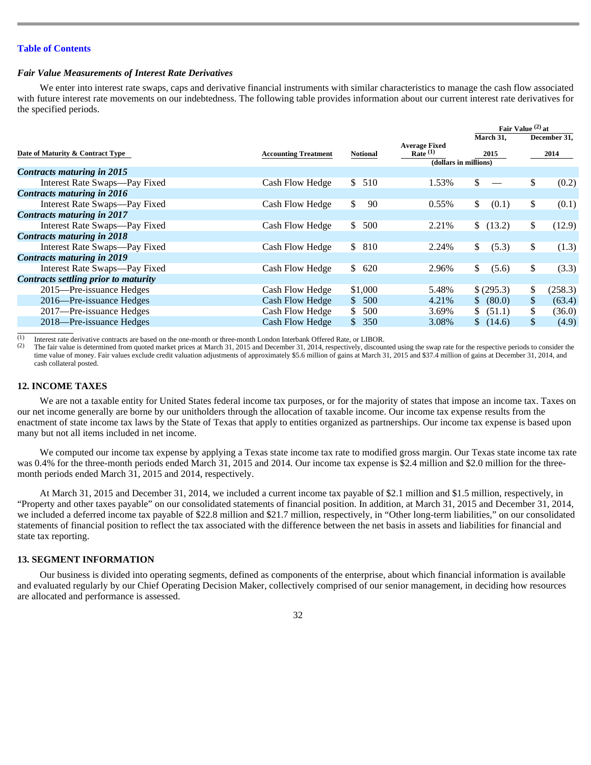#### *Fair Value Measurements of Interest Rate Derivatives*

We enter into interest rate swaps, caps and derivative financial instruments with similar characteristics to manage the cash flow associated with future interest rate movements on our indebtedness. The following table provides information about our current interest rate derivatives for the specified periods.

|                                      |                             |                 |                                    | Fair Value (2) at             |              |         |  |  |
|--------------------------------------|-----------------------------|-----------------|------------------------------------|-------------------------------|--------------|---------|--|--|
| Date of Maturity & Contract Type     |                             |                 |                                    | March 31,                     | December 31, |         |  |  |
|                                      | <b>Accounting Treatment</b> | <b>Notional</b> | <b>Average Fixed</b><br>Rate $(1)$ | 2015<br>(dollars in millions) |              | 2014    |  |  |
| Contracts maturing in 2015           |                             |                 |                                    |                               |              |         |  |  |
| Interest Rate Swaps—Pay Fixed        | Cash Flow Hedge             | \$510           | 1.53%                              | \$                            | \$           | (0.2)   |  |  |
| Contracts maturing in 2016           |                             |                 |                                    |                               |              |         |  |  |
| Interest Rate Swaps—Pay Fixed        | Cash Flow Hedge             | \$<br>90        | 0.55%                              | \$<br>(0.1)                   | \$           | (0.1)   |  |  |
| <b>Contracts maturing in 2017</b>    |                             |                 |                                    |                               |              |         |  |  |
| Interest Rate Swaps—Pay Fixed        | Cash Flow Hedge             | 500<br>S.       | 2.21%                              | (13.2)<br>S.                  | \$           | (12.9)  |  |  |
| <b>Contracts maturing in 2018</b>    |                             |                 |                                    |                               |              |         |  |  |
| Interest Rate Swaps—Pay Fixed        | Cash Flow Hedge             | \$ 810          | 2.24%                              | \$<br>(5.3)                   | \$           | (1.3)   |  |  |
| <b>Contracts maturing in 2019</b>    |                             |                 |                                    |                               |              |         |  |  |
| Interest Rate Swaps—Pay Fixed        | Cash Flow Hedge             | \$620           | 2.96%                              | \$<br>(5.6)                   | \$           | (3.3)   |  |  |
| Contracts settling prior to maturity |                             |                 |                                    |                               |              |         |  |  |
| 2015—Pre-issuance Hedges             | Cash Flow Hedge             | \$1,000         | 5.48%                              | \$(295.3)                     | \$           | (258.3) |  |  |
| 2016—Pre-issuance Hedges             | <b>Cash Flow Hedge</b>      | \$500           | 4.21%                              | (80.0)<br>S.                  | $\mathbb{S}$ | (63.4)  |  |  |
| 2017—Pre-issuance Hedges             | Cash Flow Hedge             | 500<br>S.       | 3.69%                              | \$<br>(51.1)                  | \$           | (36.0)  |  |  |
| 2018—Pre-issuance Hedges             | <b>Cash Flow Hedge</b>      | \$350           | 3.08%                              | (14.6)                        | $\mathbb{S}$ | (4.9)   |  |  |
|                                      |                             |                 |                                    |                               |              |         |  |  |

 $\frac{1}{(1)}$ Interest rate derivative contracts are based on the one-month or three-month London Interbank Offered Rate, or LIBOR.

The fair value is determined from quoted market prices at March 31, 2015 and December 31, 2014, respectively, discounted using the swap rate for the respective periods to consider the time value of money. Fair values exclude credit valuation adjustments of approximately \$5.6 million of gains at March 31, 2015 and \$37.4 million of gains at December 31, 2014, and cash collateral posted. (2)

#### **12. INCOME TAXES**

We are not a taxable entity for United States federal income tax purposes, or for the majority of states that impose an income tax. Taxes on our net income generally are borne by our unitholders through the allocation of taxable income. Our income tax expense results from the enactment of state income tax laws by the State of Texas that apply to entities organized as partnerships. Our income tax expense is based upon many but not all items included in net income.

We computed our income tax expense by applying a Texas state income tax rate to modified gross margin. Our Texas state income tax rate was 0.4% for the three-month periods ended March 31, 2015 and 2014. Our income tax expense is \$2.4 million and \$2.0 million for the threemonth periods ended March 31, 2015 and 2014, respectively.

At March 31, 2015 and December 31, 2014, we included a current income tax payable of \$2.1 million and \$1.5 million, respectively, in "Property and other taxes payable" on our consolidated statements of financial position. In addition, at March 31, 2015 and December 31, 2014, we included a deferred income tax payable of \$22.8 million and \$21.7 million, respectively, in "Other long-term liabilities," on our consolidated statements of financial position to reflect the tax associated with the difference between the net basis in assets and liabilities for financial and state tax reporting.

# **13. SEGMENT INFORMATION**

Our business is divided into operating segments, defined as components of the enterprise, about which financial information is available and evaluated regularly by our Chief Operating Decision Maker, collectively comprised of our senior management, in deciding how resources are allocated and performance is assessed.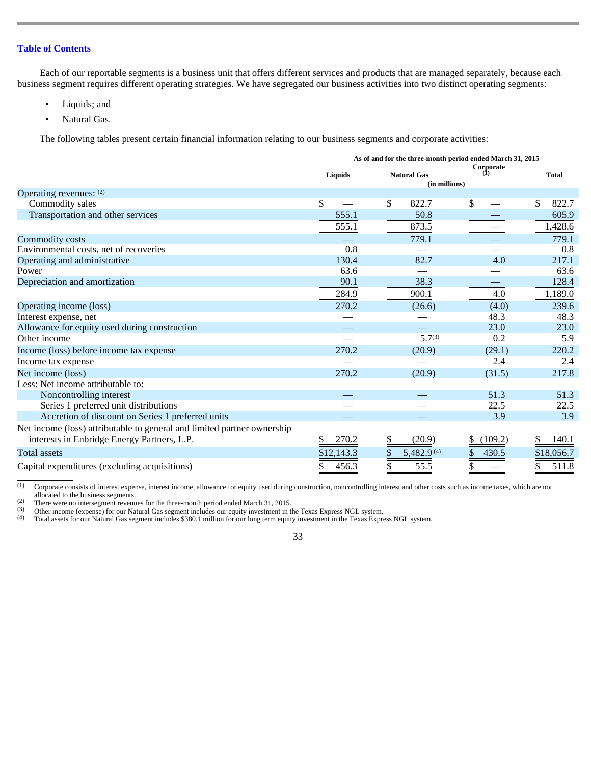Each of our reportable segments is a business unit that offers different services and products that are managed separately, because each business segment requires different operating strategies. We have segregated our business activities into two distinct operating segments:

- Liquids; and
- Natural Gas.

The following tables present certain financial information relating to our business segments and corporate activities:

|                                                                                                                        |             | As of and for the three-month period ended March 31, 2015 |                  |              |
|------------------------------------------------------------------------------------------------------------------------|-------------|-----------------------------------------------------------|------------------|--------------|
|                                                                                                                        | Liquids     | <b>Natural Gas</b><br>(in millions)                       | Corporate<br>(1) | <b>Total</b> |
| Operating revenues: (2)                                                                                                |             |                                                           |                  |              |
| Commodity sales                                                                                                        | \$          | \$<br>822.7                                               | \$               | \$<br>822.7  |
| Transportation and other services                                                                                      | 555.1       | 50.8                                                      |                  | 605.9        |
|                                                                                                                        | 555.1       | 873.5                                                     |                  | 1,428.6      |
| Commodity costs                                                                                                        |             | 779.1                                                     |                  | 779.1        |
| Environmental costs, net of recoveries                                                                                 | 0.8         |                                                           |                  | 0.8          |
| Operating and administrative                                                                                           | 130.4       | 82.7                                                      | 4.0              | 217.1        |
| Power                                                                                                                  | 63.6        |                                                           |                  | 63.6         |
| Depreciation and amortization                                                                                          | 90.1        | 38.3                                                      |                  | 128.4        |
|                                                                                                                        | 284.9       | 900.1                                                     | 4.0              | 1,189.0      |
| Operating income (loss)                                                                                                | 270.2       | (26.6)                                                    | (4.0)            | 239.6        |
| Interest expense, net                                                                                                  |             |                                                           | 48.3             | 48.3         |
| Allowance for equity used during construction                                                                          |             |                                                           | 23.0             | 23.0         |
| Other income                                                                                                           |             | $5.7^{(3)}$                                               | 0.2              | 5.9          |
| Income (loss) before income tax expense                                                                                | 270.2       | (20.9)                                                    | (29.1)           | 220.2        |
| Income tax expense                                                                                                     |             |                                                           | 2.4              | 2.4          |
| Net income (loss)                                                                                                      | 270.2       | (20.9)                                                    | (31.5)           | 217.8        |
| Less: Net income attributable to:                                                                                      |             |                                                           |                  |              |
| Noncontrolling interest                                                                                                |             |                                                           | 51.3             | 51.3         |
| Series 1 preferred unit distributions                                                                                  |             |                                                           | 22.5             | 22.5         |
| Accretion of discount on Series 1 preferred units                                                                      |             |                                                           | 3.9              | 3.9          |
| Net income (loss) attributable to general and limited partner ownership<br>interests in Enbridge Energy Partners, L.P. | 270.2<br>\$ | (20.9)                                                    | (109.2)<br>\$    | 140.1        |
| <b>Total assets</b>                                                                                                    | \$12,143.3  | 5,482.9 <sup>(4)</sup>                                    | \$<br>430.5      | \$18,056.7   |
| Capital expenditures (excluding acquisitions)                                                                          | 456.3<br>\$ | \$<br>55.5                                                | \$               | \$<br>511.8  |

 $\frac{1}{(1)}$  Corporate consists of interest expense, interest income, allowance for equity used during construction, noncontrolling interest and other costs such as income taxes, which are not allocated to the business segments.

 There were no intersegment revenues for the three-month period ended March 31, 2015. (2)

 Other income (expense) for our Natural Gas segment includes our equity investment in the Texas Express NGL system. (3)

 Total assets for our Natural Gas segment includes \$380.1 million for our long term equity investment in the Texas Express NGL system. (4)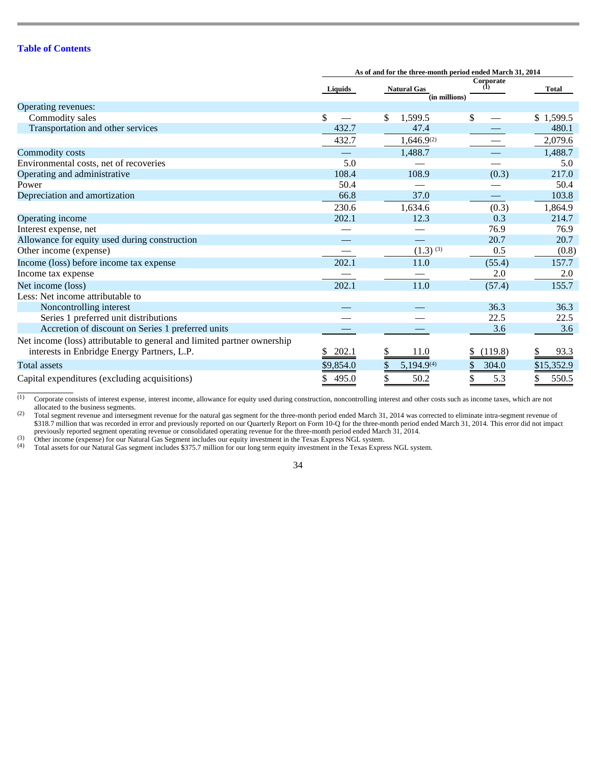|                                                                                                                        | As of and for the three-month period ended March 31, 2014 |                                     |                        |              |  |
|------------------------------------------------------------------------------------------------------------------------|-----------------------------------------------------------|-------------------------------------|------------------------|--------------|--|
|                                                                                                                        | Liquids                                                   | <b>Natural Gas</b><br>(in millions) | Corporate<br>$\bar{1}$ | <b>Total</b> |  |
| Operating revenues:                                                                                                    |                                                           |                                     |                        |              |  |
| Commodity sales                                                                                                        | \$                                                        | 1,599.5<br>\$                       | \$                     | \$1,599.5    |  |
| Transportation and other services                                                                                      | 432.7                                                     | 47.4                                |                        | 480.1        |  |
|                                                                                                                        | 432.7                                                     | $1,646.9^{(2)}$                     |                        | 2,079.6      |  |
| Commodity costs                                                                                                        |                                                           | 1,488.7                             |                        | 1,488.7      |  |
| Environmental costs, net of recoveries                                                                                 | 5.0                                                       |                                     |                        | 5.0          |  |
| Operating and administrative                                                                                           | 108.4                                                     | 108.9                               | (0.3)                  | 217.0        |  |
| Power                                                                                                                  | 50.4                                                      |                                     |                        | 50.4         |  |
| Depreciation and amortization                                                                                          | 66.8                                                      | 37.0                                |                        | 103.8        |  |
|                                                                                                                        | 230.6                                                     | 1,634.6                             | (0.3)                  | 1,864.9      |  |
| Operating income                                                                                                       | 202.1                                                     | 12.3                                | 0.3                    | 214.7        |  |
| Interest expense, net                                                                                                  |                                                           |                                     | 76.9                   | 76.9         |  |
| Allowance for equity used during construction                                                                          |                                                           |                                     | 20.7                   | 20.7         |  |
| Other income (expense)                                                                                                 |                                                           | $(1.3)$ (3)                         | 0.5                    | (0.8)        |  |
| Income (loss) before income tax expense                                                                                | 202.1                                                     | 11.0                                | (55.4)                 | 157.7        |  |
| Income tax expense                                                                                                     |                                                           |                                     | 2.0                    | 2.0          |  |
| Net income (loss)                                                                                                      | 202.1                                                     | 11.0                                | (57.4)                 | 155.7        |  |
| Less: Net income attributable to                                                                                       |                                                           |                                     |                        |              |  |
| Noncontrolling interest                                                                                                |                                                           |                                     | 36.3                   | 36.3         |  |
| Series 1 preferred unit distributions                                                                                  |                                                           |                                     | 22.5                   | 22.5         |  |
| Accretion of discount on Series 1 preferred units                                                                      |                                                           |                                     | 3.6                    | 3.6          |  |
| Net income (loss) attributable to general and limited partner ownership<br>interests in Enbridge Energy Partners, L.P. | 202.1<br>\$                                               | \$<br>11.0                          | (119.8)<br>\$          | 93.3         |  |
| <b>Total assets</b>                                                                                                    | \$9,854.0                                                 | 5,194.9(4)                          | \$<br>304.0            | \$15,352.9   |  |
| Capital expenditures (excluding acquisitions)                                                                          | \$<br>495.0                                               | 50.2                                | 5.3<br>\$              | 550.5<br>\$  |  |

 $\frac{1}{(1)}$  Corporate consists of interest expense, interest income, allowance for equity used during construction, noncontrolling interest and other costs such as income taxes, which are not allocated to the business segments.

 Total segment revenue and intersegment revenue for the natural gas segment for the three-month period ended March 31, 2014 was corrected to eliminate intra-segment revenue of \$318.7 million that was recorded in error and previously reported on our Quarterly Report on Form 10-Q for the three-month period ended March 31, 2014. This error did not impact previously reported segment operating revenue or consolidated operating revenue for the three-month period ended March 31, 2014. (2)

 Other income (expense) for our Natural Gas Segment includes our equity investment in the Texas Express NGL system. (3)

 Total assets for our Natural Gas segment includes \$375.7 million for our long term equity investment in the Texas Express NGL system. (4)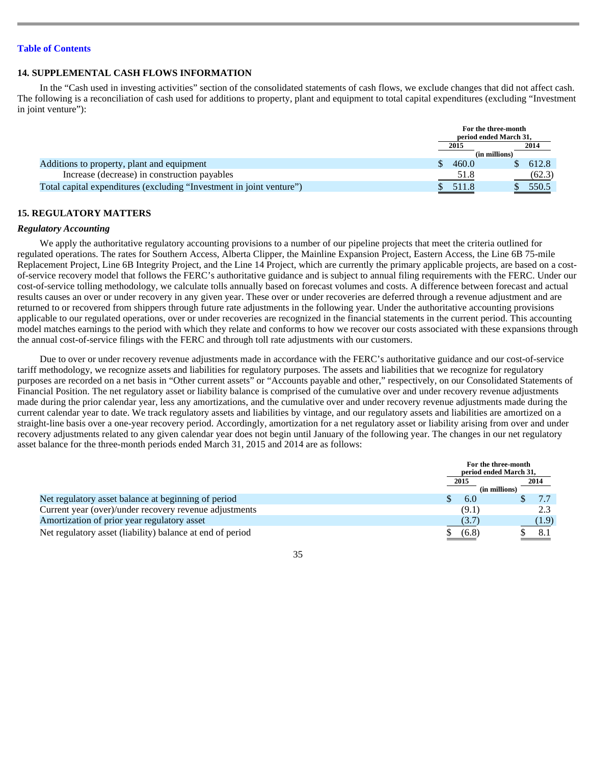## **14. SUPPLEMENTAL CASH FLOWS INFORMATION**

In the "Cash used in investing activities" section of the consolidated statements of cash flows, we exclude changes that did not affect cash. The following is a reconciliation of cash used for additions to property, plant and equipment to total capital expenditures (excluding "Investment in joint venture"):

|                                                                      |               | For the three-month<br>period ended March 31, |  |  |
|----------------------------------------------------------------------|---------------|-----------------------------------------------|--|--|
|                                                                      | 2015          | 2014                                          |  |  |
|                                                                      | (in millions) |                                               |  |  |
| Additions to property, plant and equipment                           | 460.0         | 612.8                                         |  |  |
| Increase (decrease) in construction payables                         | 51.8          | (62.3)                                        |  |  |
| Total capital expenditures (excluding "Investment in joint venture") | 511.8         | 550.5                                         |  |  |

## **15. REGULATORY MATTERS**

## *Regulatory Accounting*

We apply the authoritative regulatory accounting provisions to a number of our pipeline projects that meet the criteria outlined for regulated operations. The rates for Southern Access, Alberta Clipper, the Mainline Expansion Project, Eastern Access, the Line 6B 75-mile Replacement Project, Line 6B Integrity Project, and the Line 14 Project, which are currently the primary applicable projects, are based on a costof-service recovery model that follows the FERC's authoritative guidance and is subject to annual filing requirements with the FERC. Under our cost-of-service tolling methodology, we calculate tolls annually based on forecast volumes and costs. A difference between forecast and actual results causes an over or under recovery in any given year. These over or under recoveries are deferred through a revenue adjustment and are returned to or recovered from shippers through future rate adjustments in the following year. Under the authoritative accounting provisions applicable to our regulated operations, over or under recoveries are recognized in the financial statements in the current period. This accounting model matches earnings to the period with which they relate and conforms to how we recover our costs associated with these expansions through the annual cost-of-service filings with the FERC and through toll rate adjustments with our customers.

Due to over or under recovery revenue adjustments made in accordance with the FERC's authoritative guidance and our cost-of-service tariff methodology, we recognize assets and liabilities for regulatory purposes. The assets and liabilities that we recognize for regulatory purposes are recorded on a net basis in "Other current assets" or "Accounts payable and other," respectively, on our Consolidated Statements of Financial Position. The net regulatory asset or liability balance is comprised of the cumulative over and under recovery revenue adjustments made during the prior calendar year, less any amortizations, and the cumulative over and under recovery revenue adjustments made during the current calendar year to date. We track regulatory assets and liabilities by vintage, and our regulatory assets and liabilities are amortized on a straight-line basis over a one-year recovery period. Accordingly, amortization for a net regulatory asset or liability arising from over and under recovery adjustments related to any given calendar year does not begin until January of the following year. The changes in our net regulatory asset balance for the three-month periods ended March 31, 2015 and 2014 are as follows:

|                                                           | For the three-month<br>period ended March 31, |       |  |
|-----------------------------------------------------------|-----------------------------------------------|-------|--|
|                                                           | 2015                                          | 2014  |  |
|                                                           | (in millions)                                 |       |  |
| Net regulatory asset balance at beginning of period       | 6.0                                           |       |  |
| Current year (over)/under recovery revenue adjustments    | (9.1)                                         |       |  |
| Amortization of prior year regulatory asset               | (3.7)                                         | (1.9) |  |
| Net regulatory asset (liability) balance at end of period | (6.8)                                         |       |  |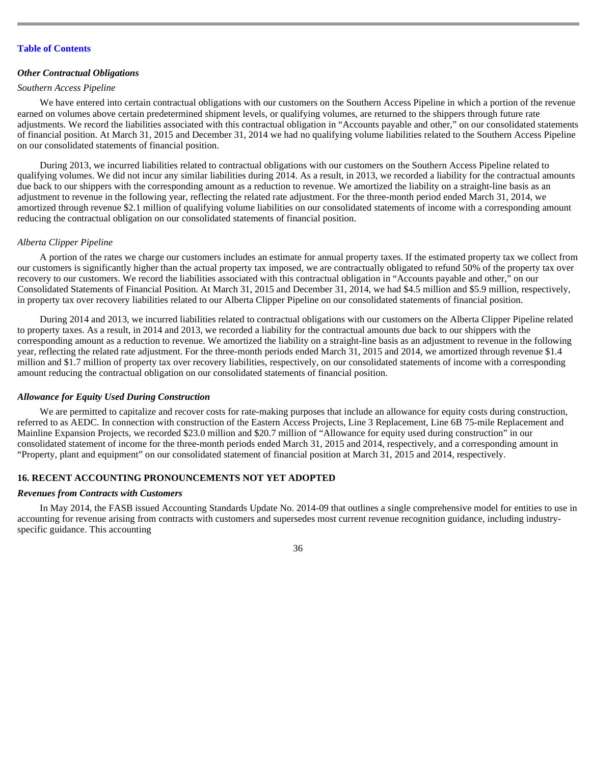#### *Other Contractual Obligations*

## *Southern Access Pipeline*

We have entered into certain contractual obligations with our customers on the Southern Access Pipeline in which a portion of the revenue earned on volumes above certain predetermined shipment levels, or qualifying volumes, are returned to the shippers through future rate adjustments. We record the liabilities associated with this contractual obligation in "Accounts payable and other," on our consolidated statements of financial position. At March 31, 2015 and December 31, 2014 we had no qualifying volume liabilities related to the Southern Access Pipeline on our consolidated statements of financial position.

During 2013, we incurred liabilities related to contractual obligations with our customers on the Southern Access Pipeline related to qualifying volumes. We did not incur any similar liabilities during 2014. As a result, in 2013, we recorded a liability for the contractual amounts due back to our shippers with the corresponding amount as a reduction to revenue. We amortized the liability on a straight-line basis as an adjustment to revenue in the following year, reflecting the related rate adjustment. For the three-month period ended March 31, 2014, we amortized through revenue \$2.1 million of qualifying volume liabilities on our consolidated statements of income with a corresponding amount reducing the contractual obligation on our consolidated statements of financial position.

### *Alberta Clipper Pipeline*

A portion of the rates we charge our customers includes an estimate for annual property taxes. If the estimated property tax we collect from our customers is significantly higher than the actual property tax imposed, we are contractually obligated to refund 50% of the property tax over recovery to our customers. We record the liabilities associated with this contractual obligation in "Accounts payable and other," on our Consolidated Statements of Financial Position. At March 31, 2015 and December 31, 2014, we had \$4.5 million and \$5.9 million, respectively, in property tax over recovery liabilities related to our Alberta Clipper Pipeline on our consolidated statements of financial position.

During 2014 and 2013, we incurred liabilities related to contractual obligations with our customers on the Alberta Clipper Pipeline related to property taxes. As a result, in 2014 and 2013, we recorded a liability for the contractual amounts due back to our shippers with the corresponding amount as a reduction to revenue. We amortized the liability on a straight-line basis as an adjustment to revenue in the following year, reflecting the related rate adjustment. For the three-month periods ended March 31, 2015 and 2014, we amortized through revenue \$1.4 million and \$1.7 million of property tax over recovery liabilities, respectively, on our consolidated statements of income with a corresponding amount reducing the contractual obligation on our consolidated statements of financial position.

## *Allowance for Equity Used During Construction*

We are permitted to capitalize and recover costs for rate-making purposes that include an allowance for equity costs during construction, referred to as AEDC. In connection with construction of the Eastern Access Projects, Line 3 Replacement, Line 6B 75-mile Replacement and Mainline Expansion Projects, we recorded \$23.0 million and \$20.7 million of "Allowance for equity used during construction" in our consolidated statement of income for the three-month periods ended March 31, 2015 and 2014, respectively, and a corresponding amount in "Property, plant and equipment" on our consolidated statement of financial position at March 31, 2015 and 2014, respectively.

## **16. RECENT ACCOUNTING PRONOUNCEMENTS NOT YET ADOPTED**

## *Revenues from Contracts with Customers*

In May 2014, the FASB issued Accounting Standards Update No. 2014-09 that outlines a single comprehensive model for entities to use in accounting for revenue arising from contracts with customers and supersedes most current revenue recognition guidance, including industryspecific guidance. This accounting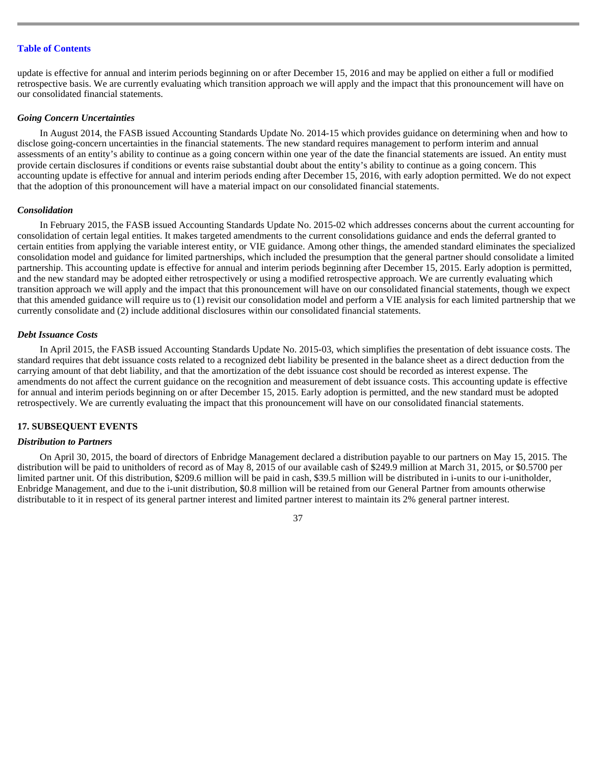update is effective for annual and interim periods beginning on or after December 15, 2016 and may be applied on either a full or modified retrospective basis. We are currently evaluating which transition approach we will apply and the impact that this pronouncement will have on our consolidated financial statements.

## *Going Concern Uncertainties*

In August 2014, the FASB issued Accounting Standards Update No. 2014-15 which provides guidance on determining when and how to disclose going-concern uncertainties in the financial statements. The new standard requires management to perform interim and annual assessments of an entity's ability to continue as a going concern within one year of the date the financial statements are issued. An entity must provide certain disclosures if conditions or events raise substantial doubt about the entity's ability to continue as a going concern. This accounting update is effective for annual and interim periods ending after December 15, 2016, with early adoption permitted. We do not expect that the adoption of this pronouncement will have a material impact on our consolidated financial statements.

#### *Consolidation*

In February 2015, the FASB issued Accounting Standards Update No. 2015-02 which addresses concerns about the current accounting for consolidation of certain legal entities. It makes targeted amendments to the current consolidations guidance and ends the deferral granted to certain entities from applying the variable interest entity, or VIE guidance. Among other things, the amended standard eliminates the specialized consolidation model and guidance for limited partnerships, which included the presumption that the general partner should consolidate a limited partnership. This accounting update is effective for annual and interim periods beginning after December 15, 2015. Early adoption is permitted, and the new standard may be adopted either retrospectively or using a modified retrospective approach. We are currently evaluating which transition approach we will apply and the impact that this pronouncement will have on our consolidated financial statements, though we expect that this amended guidance will require us to (1) revisit our consolidation model and perform a VIE analysis for each limited partnership that we currently consolidate and (2) include additional disclosures within our consolidated financial statements.

## *Debt Issuance Costs*

In April 2015, the FASB issued Accounting Standards Update No. 2015-03, which simplifies the presentation of debt issuance costs. The standard requires that debt issuance costs related to a recognized debt liability be presented in the balance sheet as a direct deduction from the carrying amount of that debt liability, and that the amortization of the debt issuance cost should be recorded as interest expense. The amendments do not affect the current guidance on the recognition and measurement of debt issuance costs. This accounting update is effective for annual and interim periods beginning on or after December 15, 2015. Early adoption is permitted, and the new standard must be adopted retrospectively. We are currently evaluating the impact that this pronouncement will have on our consolidated financial statements.

## **17. SUBSEQUENT EVENTS**

### *Distribution to Partners*

On April 30, 2015, the board of directors of Enbridge Management declared a distribution payable to our partners on May 15, 2015. The distribution will be paid to unitholders of record as of May 8, 2015 of our available cash of \$249.9 million at March 31, 2015, or \$0.5700 per limited partner unit. Of this distribution, \$209.6 million will be paid in cash, \$39.5 million will be distributed in i-units to our i-unitholder, Enbridge Management, and due to the i-unit distribution, \$0.8 million will be retained from our General Partner from amounts otherwise distributable to it in respect of its general partner interest and limited partner interest to maintain its 2% general partner interest.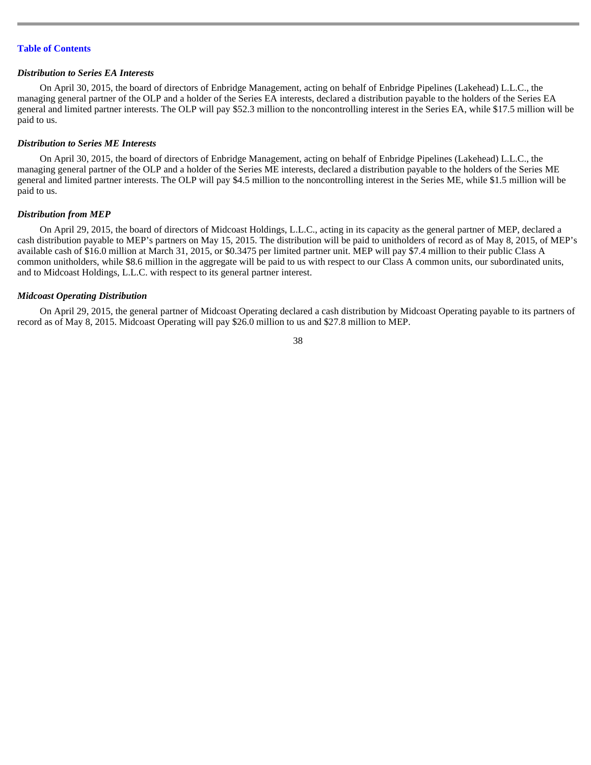## *Distribution to Series EA Interests*

On April 30, 2015, the board of directors of Enbridge Management, acting on behalf of Enbridge Pipelines (Lakehead) L.L.C., the managing general partner of the OLP and a holder of the Series EA interests, declared a distribution payable to the holders of the Series EA general and limited partner interests. The OLP will pay \$52.3 million to the noncontrolling interest in the Series EA, while \$17.5 million will be paid to us.

## *Distribution to Series ME Interests*

On April 30, 2015, the board of directors of Enbridge Management, acting on behalf of Enbridge Pipelines (Lakehead) L.L.C., the managing general partner of the OLP and a holder of the Series ME interests, declared a distribution payable to the holders of the Series ME general and limited partner interests. The OLP will pay \$4.5 million to the noncontrolling interest in the Series ME, while \$1.5 million will be paid to us.

#### *Distribution from MEP*

On April 29, 2015, the board of directors of Midcoast Holdings, L.L.C., acting in its capacity as the general partner of MEP, declared a cash distribution payable to MEP's partners on May 15, 2015. The distribution will be paid to unitholders of record as of May 8, 2015, of MEP's available cash of \$16.0 million at March 31, 2015, or \$0.3475 per limited partner unit. MEP will pay \$7.4 million to their public Class A common unitholders, while \$8.6 million in the aggregate will be paid to us with respect to our Class A common units, our subordinated units, and to Midcoast Holdings, L.L.C. with respect to its general partner interest.

## *Midcoast Operating Distribution*

On April 29, 2015, the general partner of Midcoast Operating declared a cash distribution by Midcoast Operating payable to its partners of record as of May 8, 2015. Midcoast Operating will pay \$26.0 million to us and \$27.8 million to MEP.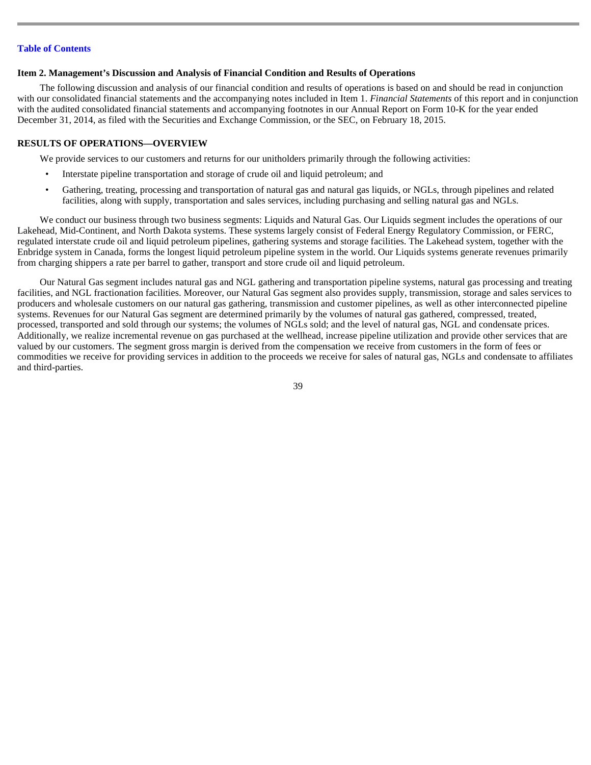## **Item 2. Management's Discussion and Analysis of Financial Condition and Results of Operations**

The following discussion and analysis of our financial condition and results of operations is based on and should be read in conjunction with our consolidated financial statements and the accompanying notes included in Item 1. *Financial Statements* of this report and in conjunction with the audited consolidated financial statements and accompanying footnotes in our Annual Report on Form 10-K for the year ended December 31, 2014, as filed with the Securities and Exchange Commission, or the SEC, on February 18, 2015.

## **RESULTS OF OPERATIONS—OVERVIEW**

We provide services to our customers and returns for our unitholders primarily through the following activities:

- Interstate pipeline transportation and storage of crude oil and liquid petroleum; and
- Gathering, treating, processing and transportation of natural gas and natural gas liquids, or NGLs, through pipelines and related facilities, along with supply, transportation and sales services, including purchasing and selling natural gas and NGLs.

We conduct our business through two business segments: Liquids and Natural Gas. Our Liquids segment includes the operations of our Lakehead, Mid-Continent, and North Dakota systems. These systems largely consist of Federal Energy Regulatory Commission, or FERC, regulated interstate crude oil and liquid petroleum pipelines, gathering systems and storage facilities. The Lakehead system, together with the Enbridge system in Canada, forms the longest liquid petroleum pipeline system in the world. Our Liquids systems generate revenues primarily from charging shippers a rate per barrel to gather, transport and store crude oil and liquid petroleum.

Our Natural Gas segment includes natural gas and NGL gathering and transportation pipeline systems, natural gas processing and treating facilities, and NGL fractionation facilities. Moreover, our Natural Gas segment also provides supply, transmission, storage and sales services to producers and wholesale customers on our natural gas gathering, transmission and customer pipelines, as well as other interconnected pipeline systems. Revenues for our Natural Gas segment are determined primarily by the volumes of natural gas gathered, compressed, treated, processed, transported and sold through our systems; the volumes of NGLs sold; and the level of natural gas, NGL and condensate prices. Additionally, we realize incremental revenue on gas purchased at the wellhead, increase pipeline utilization and provide other services that are valued by our customers. The segment gross margin is derived from the compensation we receive from customers in the form of fees or commodities we receive for providing services in addition to the proceeds we receive for sales of natural gas, NGLs and condensate to affiliates and third-parties.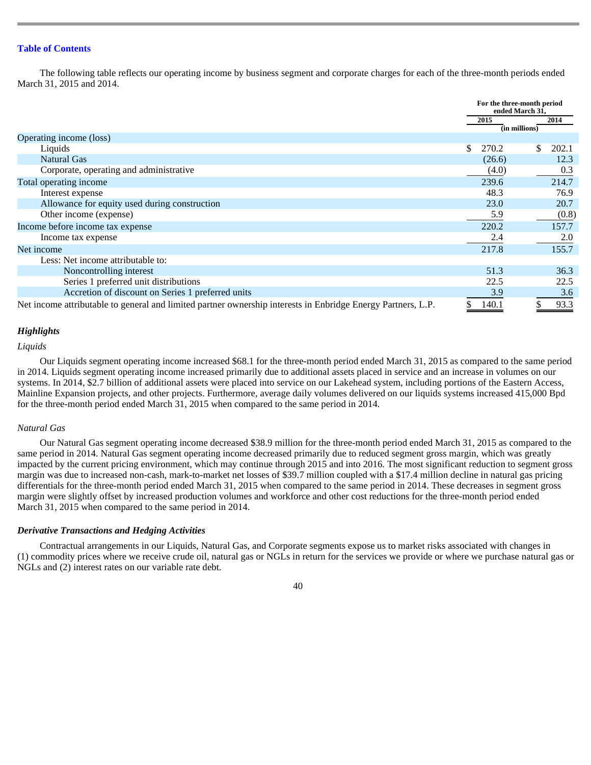The following table reflects our operating income by business segment and corporate charges for each of the three-month periods ended March 31, 2015 and 2014.

|                                                                                                              |   | For the three-month period | ended March 31, |       |
|--------------------------------------------------------------------------------------------------------------|---|----------------------------|-----------------|-------|
|                                                                                                              |   | 2015                       | (in millions)   | 2014  |
| Operating income (loss)                                                                                      |   |                            |                 |       |
| Liquids                                                                                                      | S | 270.2                      | \$              | 202.1 |
| <b>Natural Gas</b>                                                                                           |   | (26.6)                     |                 | 12.3  |
| Corporate, operating and administrative                                                                      |   | (4.0)                      |                 | 0.3   |
| Total operating income                                                                                       |   | 239.6                      |                 | 214.7 |
| Interest expense                                                                                             |   | 48.3                       |                 | 76.9  |
| Allowance for equity used during construction                                                                |   | 23.0                       |                 | 20.7  |
| Other income (expense)                                                                                       |   | 5.9                        |                 | (0.8) |
| Income before income tax expense                                                                             |   | 220.2                      |                 | 157.7 |
| Income tax expense                                                                                           |   | 2.4                        |                 | 2.0   |
| Net income                                                                                                   |   | 217.8                      |                 | 155.7 |
| Less: Net income attributable to:                                                                            |   |                            |                 |       |
| Noncontrolling interest                                                                                      |   | 51.3                       |                 | 36.3  |
| Series 1 preferred unit distributions                                                                        |   | 22.5                       |                 | 22.5  |
| Accretion of discount on Series 1 preferred units                                                            |   | 3.9                        |                 | 3.6   |
| Net income attributable to general and limited partner ownership interests in Enbridge Energy Partners, L.P. |   | 140.1                      |                 | 93.3  |

## *Highlights*

# *Liquids*

Our Liquids segment operating income increased \$68.1 for the three-month period ended March 31, 2015 as compared to the same period in 2014. Liquids segment operating income increased primarily due to additional assets placed in service and an increase in volumes on our systems. In 2014, \$2.7 billion of additional assets were placed into service on our Lakehead system, including portions of the Eastern Access, Mainline Expansion projects, and other projects. Furthermore, average daily volumes delivered on our liquids systems increased 415,000 Bpd for the three-month period ended March 31, 2015 when compared to the same period in 2014.

#### *Natural Gas*

Our Natural Gas segment operating income decreased \$38.9 million for the three-month period ended March 31, 2015 as compared to the same period in 2014. Natural Gas segment operating income decreased primarily due to reduced segment gross margin, which was greatly impacted by the current pricing environment, which may continue through 2015 and into 2016. The most significant reduction to segment gross margin was due to increased non-cash, mark-to-market net losses of \$39.7 million coupled with a \$17.4 million decline in natural gas pricing differentials for the three-month period ended March 31, 2015 when compared to the same period in 2014. These decreases in segment gross margin were slightly offset by increased production volumes and workforce and other cost reductions for the three-month period ended March 31, 2015 when compared to the same period in 2014.

#### *Derivative Transactions and Hedging Activities*

Contractual arrangements in our Liquids, Natural Gas, and Corporate segments expose us to market risks associated with changes in (1) commodity prices where we receive crude oil, natural gas or NGLs in return for the services we provide or where we purchase natural gas or NGLs and (2) interest rates on our variable rate debt.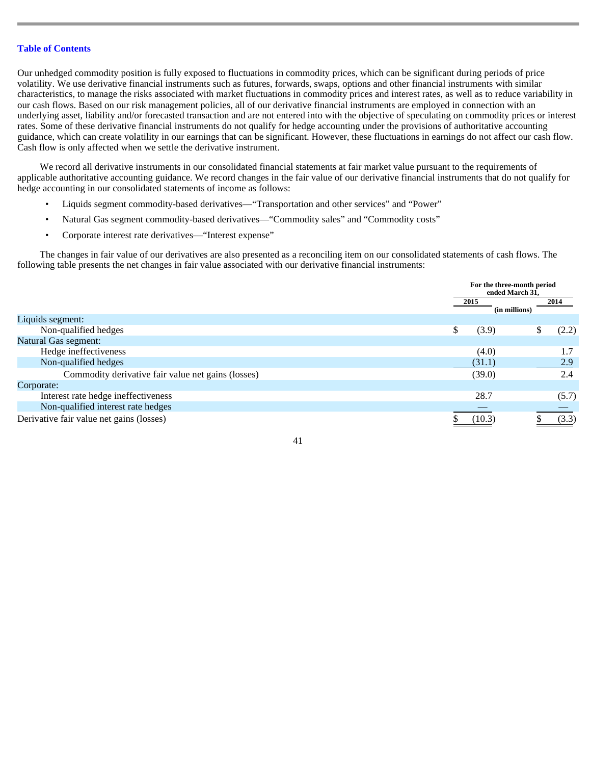Our unhedged commodity position is fully exposed to fluctuations in commodity prices, which can be significant during periods of price volatility. We use derivative financial instruments such as futures, forwards, swaps, options and other financial instruments with similar characteristics, to manage the risks associated with market fluctuations in commodity prices and interest rates, as well as to reduce variability in our cash flows. Based on our risk management policies, all of our derivative financial instruments are employed in connection with an underlying asset, liability and/or forecasted transaction and are not entered into with the objective of speculating on commodity prices or interest rates. Some of these derivative financial instruments do not qualify for hedge accounting under the provisions of authoritative accounting guidance, which can create volatility in our earnings that can be significant. However, these fluctuations in earnings do not affect our cash flow. Cash flow is only affected when we settle the derivative instrument.

We record all derivative instruments in our consolidated financial statements at fair market value pursuant to the requirements of applicable authoritative accounting guidance. We record changes in the fair value of our derivative financial instruments that do not qualify for hedge accounting in our consolidated statements of income as follows:

- Liquids segment commodity-based derivatives—"Transportation and other services" and "Power"
- Natural Gas segment commodity-based derivatives—"Commodity sales" and "Commodity costs"
- Corporate interest rate derivatives—"Interest expense"

The changes in fair value of our derivatives are also presented as a reconciling item on our consolidated statements of cash flows. The following table presents the net changes in fair value associated with our derivative financial instruments:

|                                                    |      | For the three-month period<br>ended March 31. |
|----------------------------------------------------|------|-----------------------------------------------|
|                                                    | 2015 | 2014<br>(in millions)                         |
| Liquids segment:                                   |      |                                               |
| Non-qualified hedges                               | \$   | (3.9)<br>(2.2)                                |
| <b>Natural Gas segment:</b>                        |      |                                               |
| Hedge ineffectiveness                              |      | (4.0)<br>1.7                                  |
| Non-qualified hedges                               |      | 2.9<br>(31.1)                                 |
| Commodity derivative fair value net gains (losses) |      | 2.4<br>(39.0)                                 |
| Corporate:                                         |      |                                               |
| Interest rate hedge ineffectiveness                | 28.7 | (5.7)                                         |
| Non-qualified interest rate hedges                 |      |                                               |
| Derivative fair value net gains (losses)           |      | (10.3)<br>(3.3)                               |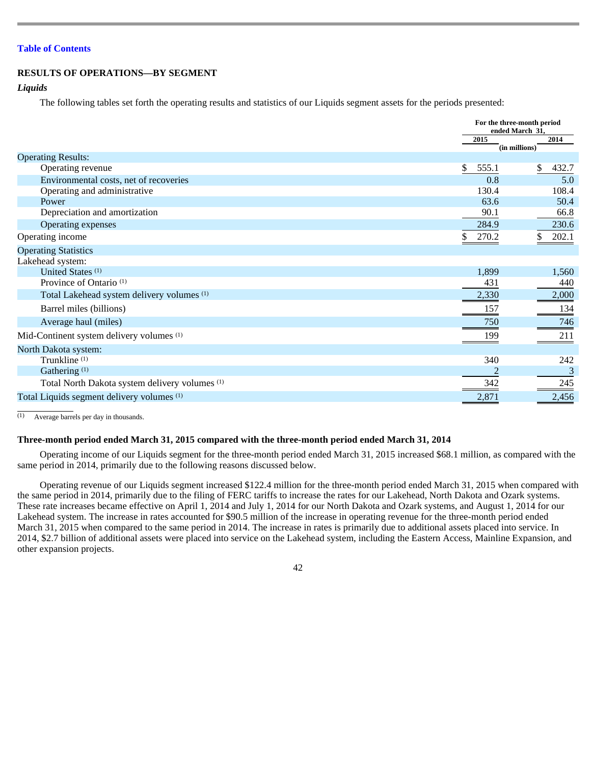## **RESULTS OF OPERATIONS—BY SEGMENT**

## *Liquids*

The following tables set forth the operating results and statistics of our Liquids segment assets for the periods presented:

|                                                | For the three-month period<br>ended March 31, |               |
|------------------------------------------------|-----------------------------------------------|---------------|
|                                                | 2015                                          | 2014          |
|                                                |                                               | (in millions) |
| <b>Operating Results:</b><br>Operating revenue | \$<br>555.1                                   | \$<br>432.7   |
|                                                |                                               |               |
| Environmental costs, net of recoveries         | 0.8<br>130.4                                  | 5.0<br>108.4  |
| Operating and administrative<br>Power          | 63.6                                          | 50.4          |
| Depreciation and amortization                  | 90.1                                          | 66.8          |
| Operating expenses                             | 284.9                                         | 230.6         |
|                                                |                                               |               |
| Operating income                               | 270.2                                         | 202.1         |
| <b>Operating Statistics</b>                    |                                               |               |
| Lakehead system:                               |                                               |               |
| United States (1)                              | 1,899                                         | 1,560         |
| Province of Ontario <sup>(1)</sup>             | 431                                           | 440           |
| Total Lakehead system delivery volumes (1)     | 2,330                                         | 2,000         |
| Barrel miles (billions)                        | 157                                           | 134           |
| Average haul (miles)                           | 750                                           | 746           |
| Mid-Continent system delivery volumes (1)      | 199                                           | 211           |
| North Dakota system:                           |                                               |               |
| Trunkline <sup>(1)</sup>                       | 340                                           | 242           |
| Gathering <sup>(1)</sup>                       |                                               | 3             |
| Total North Dakota system delivery volumes (1) | 342                                           | 245           |
| Total Liquids segment delivery volumes (1)     | 2,871                                         | 2,456         |

 $\frac{1}{(1)}$ Average barrels per day in thousands.

### **Three-month period ended March 31, 2015 compared with the three-month period ended March 31, 2014**

Operating income of our Liquids segment for the three-month period ended March 31, 2015 increased \$68.1 million, as compared with the same period in 2014, primarily due to the following reasons discussed below.

Operating revenue of our Liquids segment increased \$122.4 million for the three-month period ended March 31, 2015 when compared with the same period in 2014, primarily due to the filing of FERC tariffs to increase the rates for our Lakehead, North Dakota and Ozark systems. These rate increases became effective on April 1, 2014 and July 1, 2014 for our North Dakota and Ozark systems, and August 1, 2014 for our Lakehead system. The increase in rates accounted for \$90.5 million of the increase in operating revenue for the three-month period ended March 31, 2015 when compared to the same period in 2014. The increase in rates is primarily due to additional assets placed into service. In 2014, \$2.7 billion of additional assets were placed into service on the Lakehead system, including the Eastern Access, Mainline Expansion, and other expansion projects.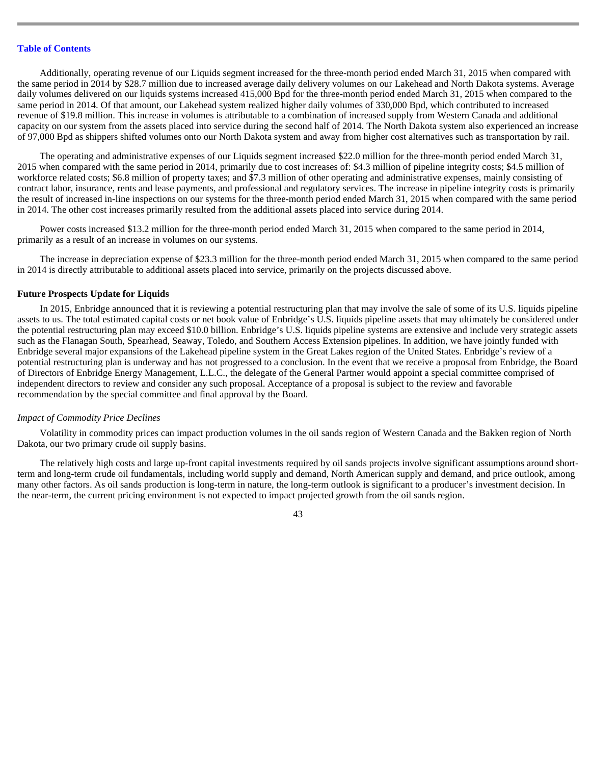Additionally, operating revenue of our Liquids segment increased for the three-month period ended March 31, 2015 when compared with the same period in 2014 by \$28.7 million due to increased average daily delivery volumes on our Lakehead and North Dakota systems. Average daily volumes delivered on our liquids systems increased 415,000 Bpd for the three-month period ended March 31, 2015 when compared to the same period in 2014. Of that amount, our Lakehead system realized higher daily volumes of 330,000 Bpd, which contributed to increased revenue of \$19.8 million. This increase in volumes is attributable to a combination of increased supply from Western Canada and additional capacity on our system from the assets placed into service during the second half of 2014. The North Dakota system also experienced an increase of 97,000 Bpd as shippers shifted volumes onto our North Dakota system and away from higher cost alternatives such as transportation by rail.

The operating and administrative expenses of our Liquids segment increased \$22.0 million for the three-month period ended March 31, 2015 when compared with the same period in 2014, primarily due to cost increases of: \$4.3 million of pipeline integrity costs; \$4.5 million of workforce related costs; \$6.8 million of property taxes; and \$7.3 million of other operating and administrative expenses, mainly consisting of contract labor, insurance, rents and lease payments, and professional and regulatory services. The increase in pipeline integrity costs is primarily the result of increased in-line inspections on our systems for the three-month period ended March 31, 2015 when compared with the same period in 2014. The other cost increases primarily resulted from the additional assets placed into service during 2014.

Power costs increased \$13.2 million for the three-month period ended March 31, 2015 when compared to the same period in 2014, primarily as a result of an increase in volumes on our systems.

The increase in depreciation expense of \$23.3 million for the three-month period ended March 31, 2015 when compared to the same period in 2014 is directly attributable to additional assets placed into service, primarily on the projects discussed above.

## **Future Prospects Update for Liquids**

In 2015, Enbridge announced that it is reviewing a potential restructuring plan that may involve the sale of some of its U.S. liquids pipeline assets to us. The total estimated capital costs or net book value of Enbridge's U.S. liquids pipeline assets that may ultimately be considered under the potential restructuring plan may exceed \$10.0 billion. Enbridge's U.S. liquids pipeline systems are extensive and include very strategic assets such as the Flanagan South, Spearhead, Seaway, Toledo, and Southern Access Extension pipelines. In addition, we have jointly funded with Enbridge several major expansions of the Lakehead pipeline system in the Great Lakes region of the United States. Enbridge's review of a potential restructuring plan is underway and has not progressed to a conclusion. In the event that we receive a proposal from Enbridge, the Board of Directors of Enbridge Energy Management, L.L.C., the delegate of the General Partner would appoint a special committee comprised of independent directors to review and consider any such proposal. Acceptance of a proposal is subject to the review and favorable recommendation by the special committee and final approval by the Board.

#### *Impact of Commodity Price Declines*

Volatility in commodity prices can impact production volumes in the oil sands region of Western Canada and the Bakken region of North Dakota, our two primary crude oil supply basins.

The relatively high costs and large up-front capital investments required by oil sands projects involve significant assumptions around shortterm and long-term crude oil fundamentals, including world supply and demand, North American supply and demand, and price outlook, among many other factors. As oil sands production is long-term in nature, the long-term outlook is significant to a producer's investment decision. In the near-term, the current pricing environment is not expected to impact projected growth from the oil sands region.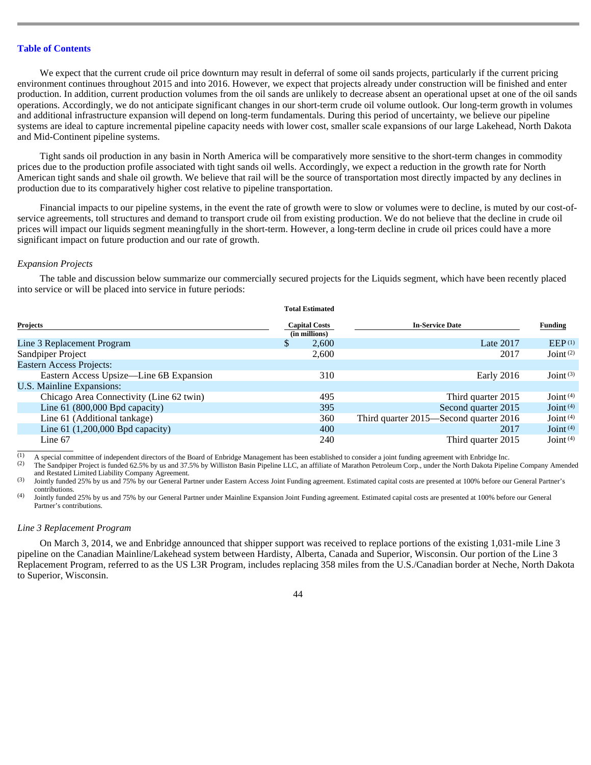We expect that the current crude oil price downturn may result in deferral of some oil sands projects, particularly if the current pricing environment continues throughout 2015 and into 2016. However, we expect that projects already under construction will be finished and enter production. In addition, current production volumes from the oil sands are unlikely to decrease absent an operational upset at one of the oil sands operations. Accordingly, we do not anticipate significant changes in our short-term crude oil volume outlook. Our long-term growth in volumes and additional infrastructure expansion will depend on long-term fundamentals. During this period of uncertainty, we believe our pipeline systems are ideal to capture incremental pipeline capacity needs with lower cost, smaller scale expansions of our large Lakehead, North Dakota and Mid-Continent pipeline systems.

Tight sands oil production in any basin in North America will be comparatively more sensitive to the short-term changes in commodity prices due to the production profile associated with tight sands oil wells. Accordingly, we expect a reduction in the growth rate for North American tight sands and shale oil growth. We believe that rail will be the source of transportation most directly impacted by any declines in production due to its comparatively higher cost relative to pipeline transportation.

Financial impacts to our pipeline systems, in the event the rate of growth were to slow or volumes were to decline, is muted by our cost-ofservice agreements, toll structures and demand to transport crude oil from existing production. We do not believe that the decline in crude oil prices will impact our liquids segment meaningfully in the short-term. However, a long-term decline in crude oil prices could have a more significant impact on future production and our rate of growth.

## *Expansion Projects*

The table and discussion below summarize our commercially secured projects for the Liquids segment, which have been recently placed into service or will be placed into service in future periods:

|                                          |   | <b>Total Estimated</b>                |                                        |                      |
|------------------------------------------|---|---------------------------------------|----------------------------------------|----------------------|
| <b>Projects</b>                          |   | <b>Capital Costs</b><br>(in millions) | <b>In-Service Date</b>                 | <b>Funding</b>       |
| Line 3 Replacement Program               | S | 2,600                                 | Late $2017$                            | EEP <sup>(1)</sup>   |
| Sandpiper Project                        |   | 2,600                                 | 2017                                   | Joint $(2)$          |
| <b>Eastern Access Projects:</b>          |   |                                       |                                        |                      |
| Eastern Access Upsize—Line 6B Expansion  |   | 310                                   | Early 2016                             | Joint (3)            |
| U.S. Mainline Expansions:                |   |                                       |                                        |                      |
| Chicago Area Connectivity (Line 62 twin) |   | 495                                   | Third quarter 2015                     | Joint $(4)$          |
| Line $61$ (800,000 Bpd capacity)         |   | 395                                   | Second quarter 2015                    | Joint $(4)$          |
| Line 61 (Additional tankage)             |   | 360                                   | Third quarter 2015—Second quarter 2016 | Joint $(4)$          |
| Line $61$ $(1,200,000$ Bpd capacity)     |   | 400                                   | 2017                                   | Joint $(4)$          |
| Line 67                                  |   | 240                                   | Third quarter 2015                     | Joint <sup>(4)</sup> |

 $\frac{1}{(1)}$ A special committee of independent directors of the Board of Enbridge Management has been established to consider a joint funding agreement with Enbridge Inc.

 The Sandpiper Project is funded 62.5% by us and 37.5% by Williston Basin Pipeline LLC, an affiliate of Marathon Petroleum Corp., under the North Dakota Pipeline Company Amended and Restated Limited Liability Company Agreement. (2)

 Jointly funded 25% by us and 75% by our General Partner under Eastern Access Joint Funding agreement. Estimated capital costs are presented at 100% before our General Partner's contributions. (3)

 Jointly funded 25% by us and 75% by our General Partner under Mainline Expansion Joint Funding agreement. Estimated capital costs are presented at 100% before our General Partner's contributions. (4)

#### *Line 3 Replacement Program*

On March 3, 2014, we and Enbridge announced that shipper support was received to replace portions of the existing 1,031-mile Line 3 pipeline on the Canadian Mainline/Lakehead system between Hardisty, Alberta, Canada and Superior, Wisconsin. Our portion of the Line 3 Replacement Program, referred to as the US L3R Program, includes replacing 358 miles from the U.S./Canadian border at Neche, North Dakota to Superior, Wisconsin.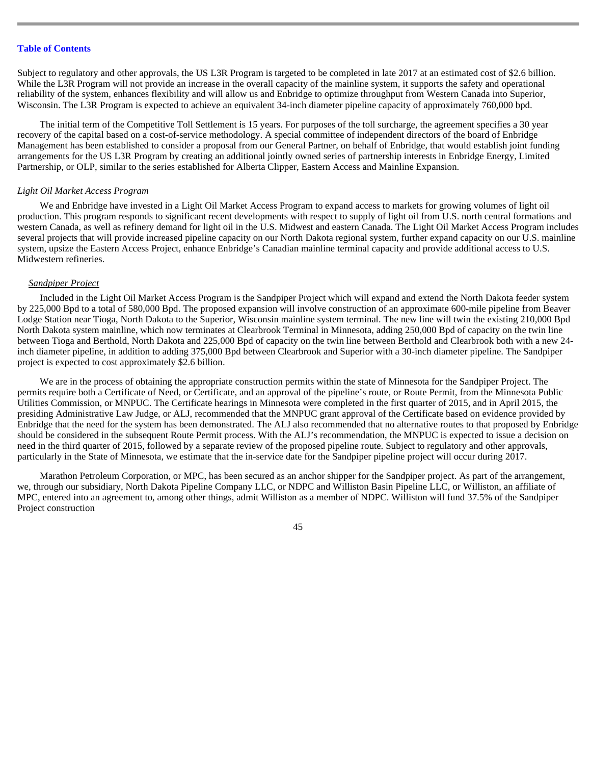Subject to regulatory and other approvals, the US L3R Program is targeted to be completed in late 2017 at an estimated cost of \$2.6 billion. While the L3R Program will not provide an increase in the overall capacity of the mainline system, it supports the safety and operational reliability of the system, enhances flexibility and will allow us and Enbridge to optimize throughput from Western Canada into Superior, Wisconsin. The L3R Program is expected to achieve an equivalent 34-inch diameter pipeline capacity of approximately 760,000 bpd.

The initial term of the Competitive Toll Settlement is 15 years. For purposes of the toll surcharge, the agreement specifies a 30 year recovery of the capital based on a cost-of-service methodology. A special committee of independent directors of the board of Enbridge Management has been established to consider a proposal from our General Partner, on behalf of Enbridge, that would establish joint funding arrangements for the US L3R Program by creating an additional jointly owned series of partnership interests in Enbridge Energy, Limited Partnership, or OLP, similar to the series established for Alberta Clipper, Eastern Access and Mainline Expansion.

#### *Light Oil Market Access Program*

We and Enbridge have invested in a Light Oil Market Access Program to expand access to markets for growing volumes of light oil production. This program responds to significant recent developments with respect to supply of light oil from U.S. north central formations and western Canada, as well as refinery demand for light oil in the U.S. Midwest and eastern Canada. The Light Oil Market Access Program includes several projects that will provide increased pipeline capacity on our North Dakota regional system, further expand capacity on our U.S. mainline system, upsize the Eastern Access Project, enhance Enbridge's Canadian mainline terminal capacity and provide additional access to U.S. Midwestern refineries.

## *Sandpiper Project*

Included in the Light Oil Market Access Program is the Sandpiper Project which will expand and extend the North Dakota feeder system by 225,000 Bpd to a total of 580,000 Bpd. The proposed expansion will involve construction of an approximate 600-mile pipeline from Beaver Lodge Station near Tioga, North Dakota to the Superior, Wisconsin mainline system terminal. The new line will twin the existing 210,000 Bpd North Dakota system mainline, which now terminates at Clearbrook Terminal in Minnesota, adding 250,000 Bpd of capacity on the twin line between Tioga and Berthold, North Dakota and 225,000 Bpd of capacity on the twin line between Berthold and Clearbrook both with a new 24 inch diameter pipeline, in addition to adding 375,000 Bpd between Clearbrook and Superior with a 30-inch diameter pipeline. The Sandpiper project is expected to cost approximately \$2.6 billion.

We are in the process of obtaining the appropriate construction permits within the state of Minnesota for the Sandpiper Project. The permits require both a Certificate of Need, or Certificate, and an approval of the pipeline's route, or Route Permit, from the Minnesota Public Utilities Commission, or MNPUC. The Certificate hearings in Minnesota were completed in the first quarter of 2015, and in April 2015, the presiding Administrative Law Judge, or ALJ, recommended that the MNPUC grant approval of the Certificate based on evidence provided by Enbridge that the need for the system has been demonstrated. The ALJ also recommended that no alternative routes to that proposed by Enbridge should be considered in the subsequent Route Permit process. With the ALJ's recommendation, the MNPUC is expected to issue a decision on need in the third quarter of 2015, followed by a separate review of the proposed pipeline route. Subject to regulatory and other approvals, particularly in the State of Minnesota, we estimate that the in-service date for the Sandpiper pipeline project will occur during 2017.

Marathon Petroleum Corporation, or MPC, has been secured as an anchor shipper for the Sandpiper project. As part of the arrangement, we, through our subsidiary, North Dakota Pipeline Company LLC, or NDPC and Williston Basin Pipeline LLC, or Williston, an affiliate of MPC, entered into an agreement to, among other things, admit Williston as a member of NDPC. Williston will fund 37.5% of the Sandpiper Project construction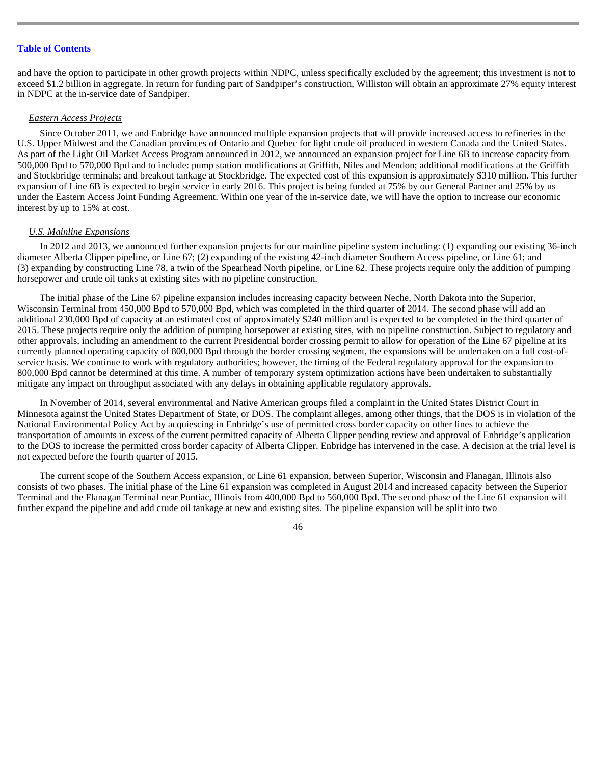and have the option to participate in other growth projects within NDPC, unless specifically excluded by the agreement; this investment is not to exceed \$1.2 billion in aggregate. In return for funding part of Sandpiper's construction, Williston will obtain an approximate 27% equity interest in NDPC at the in-service date of Sandpiper.

### *Eastern Access Projects*

Since October 2011, we and Enbridge have announced multiple expansion projects that will provide increased access to refineries in the U.S. Upper Midwest and the Canadian provinces of Ontario and Quebec for light crude oil produced in western Canada and the United States. As part of the Light Oil Market Access Program announced in 2012, we announced an expansion project for Line 6B to increase capacity from 500,000 Bpd to 570,000 Bpd and to include: pump station modifications at Griffith, Niles and Mendon; additional modifications at the Griffith and Stockbridge terminals; and breakout tankage at Stockbridge. The expected cost of this expansion is approximately \$310 million. This further expansion of Line 6B is expected to begin service in early 2016. This project is being funded at 75% by our General Partner and 25% by us under the Eastern Access Joint Funding Agreement. Within one year of the in-service date, we will have the option to increase our economic interest by up to 15% at cost.

#### *U.S. Mainline Expansions*

In 2012 and 2013, we announced further expansion projects for our mainline pipeline system including: (1) expanding our existing 36-inch diameter Alberta Clipper pipeline, or Line 67; (2) expanding of the existing 42-inch diameter Southern Access pipeline, or Line 61; and (3) expanding by constructing Line 78, a twin of the Spearhead North pipeline, or Line 62. These projects require only the addition of pumping horsepower and crude oil tanks at existing sites with no pipeline construction.

The initial phase of the Line 67 pipeline expansion includes increasing capacity between Neche, North Dakota into the Superior, Wisconsin Terminal from 450,000 Bpd to 570,000 Bpd, which was completed in the third quarter of 2014. The second phase will add an additional 230,000 Bpd of capacity at an estimated cost of approximately \$240 million and is expected to be completed in the third quarter of 2015. These projects require only the addition of pumping horsepower at existing sites, with no pipeline construction. Subject to regulatory and other approvals, including an amendment to the current Presidential border crossing permit to allow for operation of the Line 67 pipeline at its currently planned operating capacity of 800,000 Bpd through the border crossing segment, the expansions will be undertaken on a full cost-ofservice basis. We continue to work with regulatory authorities; however, the timing of the Federal regulatory approval for the expansion to 800,000 Bpd cannot be determined at this time. A number of temporary system optimization actions have been undertaken to substantially mitigate any impact on throughput associated with any delays in obtaining applicable regulatory approvals.

In November of 2014, several environmental and Native American groups filed a complaint in the United States District Court in Minnesota against the United States Department of State, or DOS. The complaint alleges, among other things, that the DOS is in violation of the National Environmental Policy Act by acquiescing in Enbridge's use of permitted cross border capacity on other lines to achieve the transportation of amounts in excess of the current permitted capacity of Alberta Clipper pending review and approval of Enbridge's application to the DOS to increase the permitted cross border capacity of Alberta Clipper. Enbridge has intervened in the case. A decision at the trial level is not expected before the fourth quarter of 2015.

The current scope of the Southern Access expansion, or Line 61 expansion, between Superior, Wisconsin and Flanagan, Illinois also consists of two phases. The initial phase of the Line 61 expansion was completed in August 2014 and increased capacity between the Superior Terminal and the Flanagan Terminal near Pontiac, Illinois from 400,000 Bpd to 560,000 Bpd. The second phase of the Line 61 expansion will further expand the pipeline and add crude oil tankage at new and existing sites. The pipeline expansion will be split into two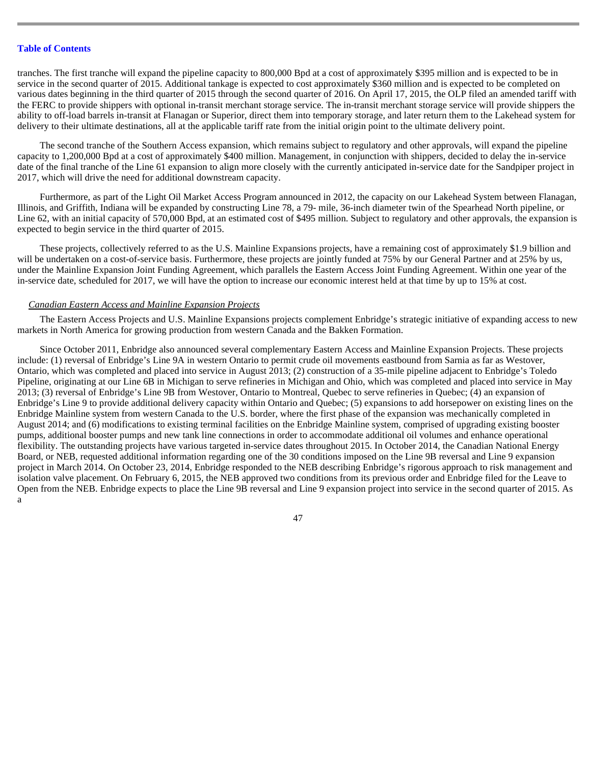tranches. The first tranche will expand the pipeline capacity to 800,000 Bpd at a cost of approximately \$395 million and is expected to be in service in the second quarter of 2015. Additional tankage is expected to cost approximately \$360 million and is expected to be completed on various dates beginning in the third quarter of 2015 through the second quarter of 2016. On April 17, 2015, the OLP filed an amended tariff with the FERC to provide shippers with optional in-transit merchant storage service. The in-transit merchant storage service will provide shippers the ability to off-load barrels in-transit at Flanagan or Superior, direct them into temporary storage, and later return them to the Lakehead system for delivery to their ultimate destinations, all at the applicable tariff rate from the initial origin point to the ultimate delivery point.

The second tranche of the Southern Access expansion, which remains subject to regulatory and other approvals, will expand the pipeline capacity to 1,200,000 Bpd at a cost of approximately \$400 million. Management, in conjunction with shippers, decided to delay the in-service date of the final tranche of the Line 61 expansion to align more closely with the currently anticipated in-service date for the Sandpiper project in 2017, which will drive the need for additional downstream capacity.

Furthermore, as part of the Light Oil Market Access Program announced in 2012, the capacity on our Lakehead System between Flanagan, Illinois, and Griffith, Indiana will be expanded by constructing Line 78, a 79- mile, 36-inch diameter twin of the Spearhead North pipeline, or Line 62, with an initial capacity of 570,000 Bpd, at an estimated cost of \$495 million. Subject to regulatory and other approvals, the expansion is expected to begin service in the third quarter of 2015.

These projects, collectively referred to as the U.S. Mainline Expansions projects, have a remaining cost of approximately \$1.9 billion and will be undertaken on a cost-of-service basis. Furthermore, these projects are jointly funded at 75% by our General Partner and at 25% by us, under the Mainline Expansion Joint Funding Agreement, which parallels the Eastern Access Joint Funding Agreement. Within one year of the in-service date, scheduled for 2017, we will have the option to increase our economic interest held at that time by up to 15% at cost.

## *Canadian Eastern Access and Mainline Expansion Projects*

The Eastern Access Projects and U.S. Mainline Expansions projects complement Enbridge's strategic initiative of expanding access to new markets in North America for growing production from western Canada and the Bakken Formation.

Since October 2011, Enbridge also announced several complementary Eastern Access and Mainline Expansion Projects. These projects include: (1) reversal of Enbridge's Line 9A in western Ontario to permit crude oil movements eastbound from Sarnia as far as Westover, Ontario, which was completed and placed into service in August 2013; (2) construction of a 35-mile pipeline adjacent to Enbridge's Toledo Pipeline, originating at our Line 6B in Michigan to serve refineries in Michigan and Ohio, which was completed and placed into service in May 2013; (3) reversal of Enbridge's Line 9B from Westover, Ontario to Montreal, Quebec to serve refineries in Quebec; (4) an expansion of Enbridge's Line 9 to provide additional delivery capacity within Ontario and Quebec; (5) expansions to add horsepower on existing lines on the Enbridge Mainline system from western Canada to the U.S. border, where the first phase of the expansion was mechanically completed in August 2014; and (6) modifications to existing terminal facilities on the Enbridge Mainline system, comprised of upgrading existing booster pumps, additional booster pumps and new tank line connections in order to accommodate additional oil volumes and enhance operational flexibility. The outstanding projects have various targeted in-service dates throughout 2015. In October 2014, the Canadian National Energy Board, or NEB, requested additional information regarding one of the 30 conditions imposed on the Line 9B reversal and Line 9 expansion project in March 2014. On October 23, 2014, Enbridge responded to the NEB describing Enbridge's rigorous approach to risk management and isolation valve placement. On February 6, 2015, the NEB approved two conditions from its previous order and Enbridge filed for the Leave to Open from the NEB. Enbridge expects to place the Line 9B reversal and Line 9 expansion project into service in the second quarter of 2015. As a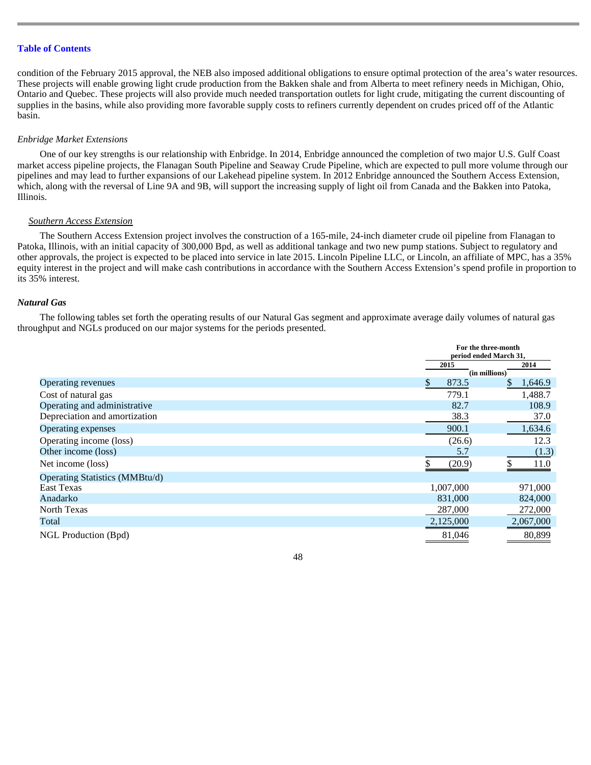condition of the February 2015 approval, the NEB also imposed additional obligations to ensure optimal protection of the area's water resources. These projects will enable growing light crude production from the Bakken shale and from Alberta to meet refinery needs in Michigan, Ohio, Ontario and Quebec. These projects will also provide much needed transportation outlets for light crude, mitigating the current discounting of supplies in the basins, while also providing more favorable supply costs to refiners currently dependent on crudes priced off of the Atlantic basin.

#### *Enbridge Market Extensions*

One of our key strengths is our relationship with Enbridge. In 2014, Enbridge announced the completion of two major U.S. Gulf Coast market access pipeline projects, the Flanagan South Pipeline and Seaway Crude Pipeline, which are expected to pull more volume through our pipelines and may lead to further expansions of our Lakehead pipeline system. In 2012 Enbridge announced the Southern Access Extension, which, along with the reversal of Line 9A and 9B, will support the increasing supply of light oil from Canada and the Bakken into Patoka, Illinois.

#### *Southern Access Extension*

The Southern Access Extension project involves the construction of a 165-mile, 24-inch diameter crude oil pipeline from Flanagan to Patoka, Illinois, with an initial capacity of 300,000 Bpd, as well as additional tankage and two new pump stations. Subject to regulatory and other approvals, the project is expected to be placed into service in late 2015. Lincoln Pipeline LLC, or Lincoln, an affiliate of MPC, has a 35% equity interest in the project and will make cash contributions in accordance with the Southern Access Extension's spend profile in proportion to its 35% interest.

## *Natural Gas*

The following tables set forth the operating results of our Natural Gas segment and approximate average daily volumes of natural gas throughput and NGLs produced on our major systems for the periods presented.

|                                       | For the three-month<br>period ended March 31, |               |           |
|---------------------------------------|-----------------------------------------------|---------------|-----------|
|                                       | 2015                                          |               | 2014      |
|                                       |                                               | (in millions) |           |
| Operating revenues                    | \$<br>873.5                                   | S.            | 1,646.9   |
| Cost of natural gas                   | 779.1                                         |               | 1,488.7   |
| Operating and administrative          | 82.7                                          |               | 108.9     |
| Depreciation and amortization         | 38.3                                          |               | 37.0      |
| Operating expenses                    | 900.1                                         |               | 1,634.6   |
| Operating income (loss)               | (26.6)                                        |               | 12.3      |
| Other income (loss)                   | 5.7                                           |               | (1.3)     |
| Net income (loss)                     | (20.9)                                        |               | 11.0      |
| <b>Operating Statistics (MMBtu/d)</b> |                                               |               |           |
| <b>East Texas</b>                     | 1,007,000                                     |               | 971,000   |
| Anadarko                              | 831,000                                       |               | 824,000   |
| North Texas                           | 287,000                                       |               | 272,000   |
| Total                                 | 2,125,000                                     |               | 2,067,000 |
| NGL Production (Bpd)                  | 81,046                                        |               | 80,899    |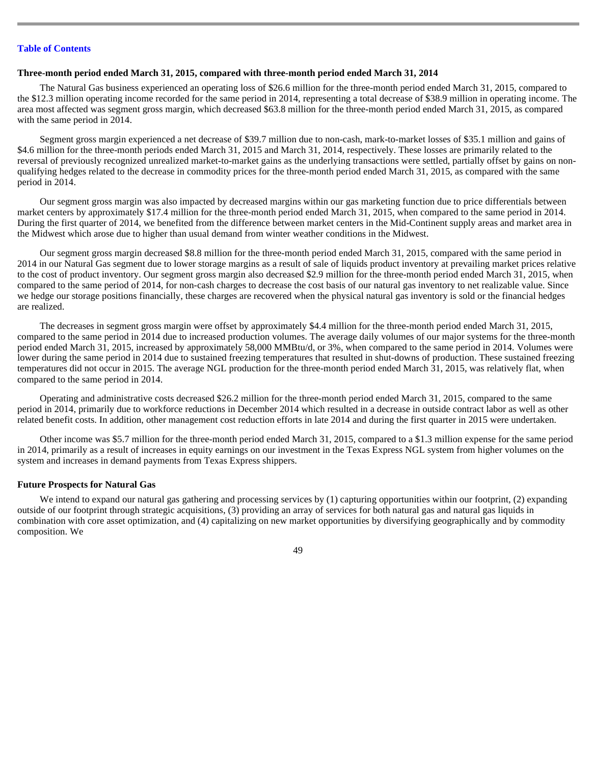### **Three-month period ended March 31, 2015, compared with three-month period ended March 31, 2014**

The Natural Gas business experienced an operating loss of \$26.6 million for the three-month period ended March 31, 2015, compared to the \$12.3 million operating income recorded for the same period in 2014, representing a total decrease of \$38.9 million in operating income. The area most affected was segment gross margin, which decreased \$63.8 million for the three-month period ended March 31, 2015, as compared with the same period in 2014.

Segment gross margin experienced a net decrease of \$39.7 million due to non-cash, mark-to-market losses of \$35.1 million and gains of \$4.6 million for the three-month periods ended March 31, 2015 and March 31, 2014, respectively. These losses are primarily related to the reversal of previously recognized unrealized market-to-market gains as the underlying transactions were settled, partially offset by gains on nonqualifying hedges related to the decrease in commodity prices for the three-month period ended March 31, 2015, as compared with the same period in 2014.

Our segment gross margin was also impacted by decreased margins within our gas marketing function due to price differentials between market centers by approximately \$17.4 million for the three-month period ended March 31, 2015, when compared to the same period in 2014. During the first quarter of 2014, we benefited from the difference between market centers in the Mid-Continent supply areas and market area in the Midwest which arose due to higher than usual demand from winter weather conditions in the Midwest.

Our segment gross margin decreased \$8.8 million for the three-month period ended March 31, 2015, compared with the same period in 2014 in our Natural Gas segment due to lower storage margins as a result of sale of liquids product inventory at prevailing market prices relative to the cost of product inventory. Our segment gross margin also decreased \$2.9 million for the three-month period ended March 31, 2015, when compared to the same period of 2014, for non-cash charges to decrease the cost basis of our natural gas inventory to net realizable value. Since we hedge our storage positions financially, these charges are recovered when the physical natural gas inventory is sold or the financial hedges are realized.

The decreases in segment gross margin were offset by approximately \$4.4 million for the three-month period ended March 31, 2015, compared to the same period in 2014 due to increased production volumes. The average daily volumes of our major systems for the three-month period ended March 31, 2015, increased by approximately 58,000 MMBtu/d, or 3%, when compared to the same period in 2014. Volumes were lower during the same period in 2014 due to sustained freezing temperatures that resulted in shut-downs of production. These sustained freezing temperatures did not occur in 2015. The average NGL production for the three-month period ended March 31, 2015, was relatively flat, when compared to the same period in 2014.

Operating and administrative costs decreased \$26.2 million for the three-month period ended March 31, 2015, compared to the same period in 2014, primarily due to workforce reductions in December 2014 which resulted in a decrease in outside contract labor as well as other related benefit costs. In addition, other management cost reduction efforts in late 2014 and during the first quarter in 2015 were undertaken.

Other income was \$5.7 million for the three-month period ended March 31, 2015, compared to a \$1.3 million expense for the same period in 2014, primarily as a result of increases in equity earnings on our investment in the Texas Express NGL system from higher volumes on the system and increases in demand payments from Texas Express shippers.

#### **Future Prospects for Natural Gas**

We intend to expand our natural gas gathering and processing services by (1) capturing opportunities within our footprint, (2) expanding outside of our footprint through strategic acquisitions, (3) providing an array of services for both natural gas and natural gas liquids in combination with core asset optimization, and (4) capitalizing on new market opportunities by diversifying geographically and by commodity composition. We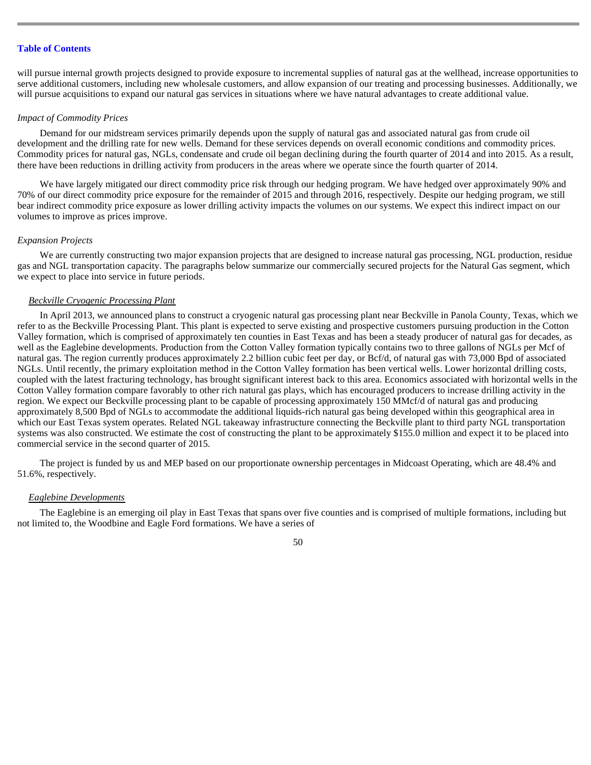will pursue internal growth projects designed to provide exposure to incremental supplies of natural gas at the wellhead, increase opportunities to serve additional customers, including new wholesale customers, and allow expansion of our treating and processing businesses. Additionally, we will pursue acquisitions to expand our natural gas services in situations where we have natural advantages to create additional value.

#### *Impact of Commodity Prices*

Demand for our midstream services primarily depends upon the supply of natural gas and associated natural gas from crude oil development and the drilling rate for new wells. Demand for these services depends on overall economic conditions and commodity prices. Commodity prices for natural gas, NGLs, condensate and crude oil began declining during the fourth quarter of 2014 and into 2015. As a result, there have been reductions in drilling activity from producers in the areas where we operate since the fourth quarter of 2014.

We have largely mitigated our direct commodity price risk through our hedging program. We have hedged over approximately 90% and 70% of our direct commodity price exposure for the remainder of 2015 and through 2016, respectively. Despite our hedging program, we still bear indirect commodity price exposure as lower drilling activity impacts the volumes on our systems. We expect this indirect impact on our volumes to improve as prices improve.

### *Expansion Projects*

We are currently constructing two major expansion projects that are designed to increase natural gas processing, NGL production, residue gas and NGL transportation capacity. The paragraphs below summarize our commercially secured projects for the Natural Gas segment, which we expect to place into service in future periods.

## *Beckville Cryogenic Processing Plant*

In April 2013, we announced plans to construct a cryogenic natural gas processing plant near Beckville in Panola County, Texas, which we refer to as the Beckville Processing Plant. This plant is expected to serve existing and prospective customers pursuing production in the Cotton Valley formation, which is comprised of approximately ten counties in East Texas and has been a steady producer of natural gas for decades, as well as the Eaglebine developments. Production from the Cotton Valley formation typically contains two to three gallons of NGLs per Mcf of natural gas. The region currently produces approximately 2.2 billion cubic feet per day, or Bcf/d, of natural gas with 73,000 Bpd of associated NGLs. Until recently, the primary exploitation method in the Cotton Valley formation has been vertical wells. Lower horizontal drilling costs, coupled with the latest fracturing technology, has brought significant interest back to this area. Economics associated with horizontal wells in the Cotton Valley formation compare favorably to other rich natural gas plays, which has encouraged producers to increase drilling activity in the region. We expect our Beckville processing plant to be capable of processing approximately 150 MMcf/d of natural gas and producing approximately 8,500 Bpd of NGLs to accommodate the additional liquids-rich natural gas being developed within this geographical area in which our East Texas system operates. Related NGL takeaway infrastructure connecting the Beckville plant to third party NGL transportation systems was also constructed. We estimate the cost of constructing the plant to be approximately \$155.0 million and expect it to be placed into commercial service in the second quarter of 2015.

The project is funded by us and MEP based on our proportionate ownership percentages in Midcoast Operating, which are 48.4% and 51.6%, respectively.

## *Eaglebine Developments*

The Eaglebine is an emerging oil play in East Texas that spans over five counties and is comprised of multiple formations, including but not limited to, the Woodbine and Eagle Ford formations. We have a series of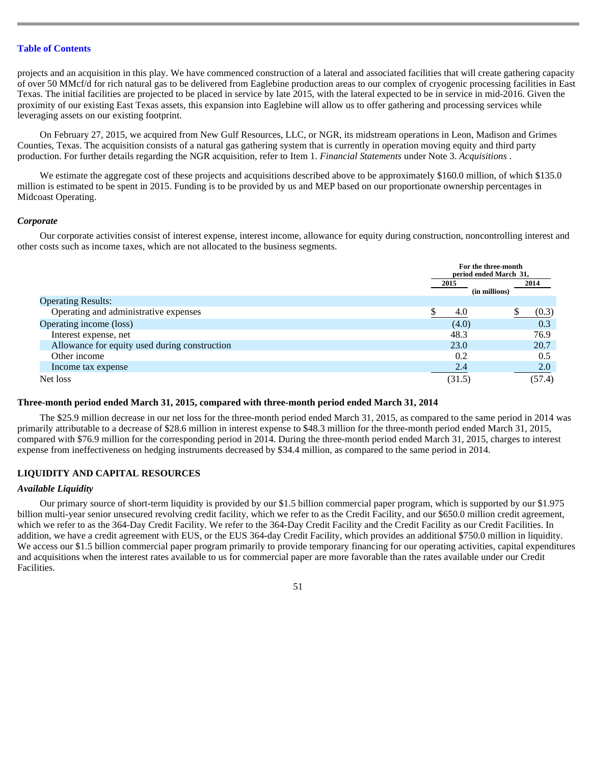projects and an acquisition in this play. We have commenced construction of a lateral and associated facilities that will create gathering capacity of over 50 MMcf/d for rich natural gas to be delivered from Eaglebine production areas to our complex of cryogenic processing facilities in East Texas. The initial facilities are projected to be placed in service by late 2015, with the lateral expected to be in service in mid-2016. Given the proximity of our existing East Texas assets, this expansion into Eaglebine will allow us to offer gathering and processing services while leveraging assets on our existing footprint.

On February 27, 2015, we acquired from New Gulf Resources, LLC, or NGR, its midstream operations in Leon, Madison and Grimes Counties, Texas. The acquisition consists of a natural gas gathering system that is currently in operation moving equity and third party production. For further details regarding the NGR acquisition, refer to Item 1. *Financial Statements* under Note 3. *Acquisitions* .

We estimate the aggregate cost of these projects and acquisitions described above to be approximately \$160.0 million, of which \$135.0 million is estimated to be spent in 2015. Funding is to be provided by us and MEP based on our proportionate ownership percentages in Midcoast Operating.

#### *Corporate*

Our corporate activities consist of interest expense, interest income, allowance for equity during construction, noncontrolling interest and other costs such as income taxes, which are not allocated to the business segments.

|                                               |        | For the three-month<br>period ended March 31, |
|-----------------------------------------------|--------|-----------------------------------------------|
|                                               | 2015   | 2014<br>(in millions)                         |
| <b>Operating Results:</b>                     |        |                                               |
| Operating and administrative expenses         | 4.0    | (0.3)                                         |
| Operating income (loss)                       | (4.0)  | 0.3                                           |
| Interest expense, net                         | 48.3   | 76.9                                          |
| Allowance for equity used during construction | 23.0   | 20.7                                          |
| Other income                                  | 0.2    | 0.5                                           |
| Income tax expense                            | 2.4    | 2.0                                           |
| Net loss                                      | (31.5) | (57.4)                                        |

### **Three-month period ended March 31, 2015, compared with three-month period ended March 31, 2014**

The \$25.9 million decrease in our net loss for the three-month period ended March 31, 2015, as compared to the same period in 2014 was primarily attributable to a decrease of \$28.6 million in interest expense to \$48.3 million for the three-month period ended March 31, 2015, compared with \$76.9 million for the corresponding period in 2014. During the three-month period ended March 31, 2015, charges to interest expense from ineffectiveness on hedging instruments decreased by \$34.4 million, as compared to the same period in 2014.

## **LIQUIDITY AND CAPITAL RESOURCES**

#### *Available Liquidity*

Our primary source of short-term liquidity is provided by our \$1.5 billion commercial paper program, which is supported by our \$1.975 billion multi-year senior unsecured revolving credit facility, which we refer to as the Credit Facility, and our \$650.0 million credit agreement, which we refer to as the 364-Day Credit Facility. We refer to the 364-Day Credit Facility and the Credit Facility as our Credit Facilities. In addition, we have a credit agreement with EUS, or the EUS 364-day Credit Facility, which provides an additional \$750.0 million in liquidity. We access our \$1.5 billion commercial paper program primarily to provide temporary financing for our operating activities, capital expenditures and acquisitions when the interest rates available to us for commercial paper are more favorable than the rates available under our Credit Facilities.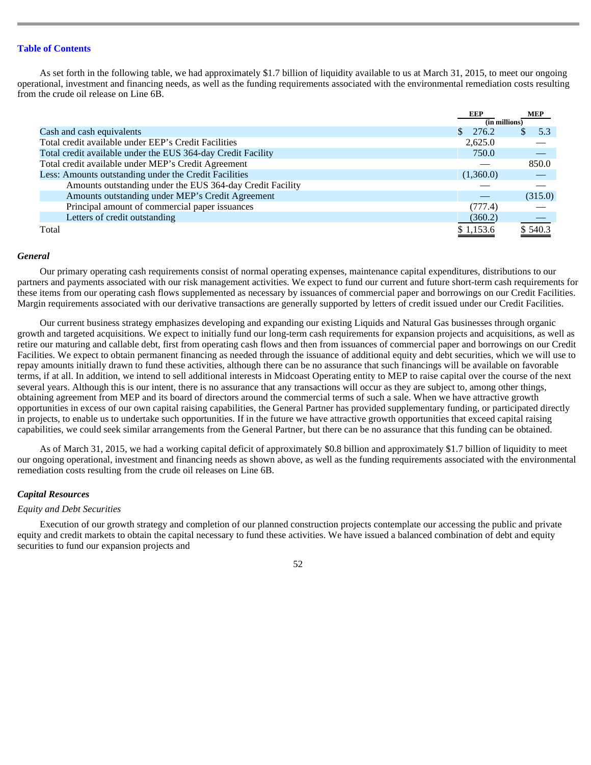As set forth in the following table, we had approximately \$1.7 billion of liquidity available to us at March 31, 2015, to meet our ongoing operational, investment and financing needs, as well as the funding requirements associated with the environmental remediation costs resulting from the crude oil release on Line 6B.

|                                                              | EEP           | <b>MEP</b>    |
|--------------------------------------------------------------|---------------|---------------|
|                                                              | (in millions) |               |
| Cash and cash equivalents                                    | 276.2         | 5.3           |
| Total credit available under EEP's Credit Facilities         | 2,625.0       |               |
| Total credit available under the EUS 364-day Credit Facility | 750.0         |               |
| Total credit available under MEP's Credit Agreement          |               | 850.0         |
| Less: Amounts outstanding under the Credit Facilities        | (1,360.0)     |               |
| Amounts outstanding under the EUS 364-day Credit Facility    |               |               |
| Amounts outstanding under MEP's Credit Agreement             |               | (315.0)       |
| Principal amount of commercial paper issuances               | (777.4)       |               |
| Letters of credit outstanding                                | (360.2)       | $\sim$ $\sim$ |
| Total                                                        | \$1,153.6     | \$540.3       |

## *General*

Our primary operating cash requirements consist of normal operating expenses, maintenance capital expenditures, distributions to our partners and payments associated with our risk management activities. We expect to fund our current and future short-term cash requirements for these items from our operating cash flows supplemented as necessary by issuances of commercial paper and borrowings on our Credit Facilities. Margin requirements associated with our derivative transactions are generally supported by letters of credit issued under our Credit Facilities.

Our current business strategy emphasizes developing and expanding our existing Liquids and Natural Gas businesses through organic growth and targeted acquisitions. We expect to initially fund our long-term cash requirements for expansion projects and acquisitions, as well as retire our maturing and callable debt, first from operating cash flows and then from issuances of commercial paper and borrowings on our Credit Facilities. We expect to obtain permanent financing as needed through the issuance of additional equity and debt securities, which we will use to repay amounts initially drawn to fund these activities, although there can be no assurance that such financings will be available on favorable terms, if at all. In addition, we intend to sell additional interests in Midcoast Operating entity to MEP to raise capital over the course of the next several years. Although this is our intent, there is no assurance that any transactions will occur as they are subject to, among other things, obtaining agreement from MEP and its board of directors around the commercial terms of such a sale. When we have attractive growth opportunities in excess of our own capital raising capabilities, the General Partner has provided supplementary funding, or participated directly in projects, to enable us to undertake such opportunities. If in the future we have attractive growth opportunities that exceed capital raising capabilities, we could seek similar arrangements from the General Partner, but there can be no assurance that this funding can be obtained.

As of March 31, 2015, we had a working capital deficit of approximately \$0.8 billion and approximately \$1.7 billion of liquidity to meet our ongoing operational, investment and financing needs as shown above, as well as the funding requirements associated with the environmental remediation costs resulting from the crude oil releases on Line 6B.

## *Capital Resources*

### *Equity and Debt Securities*

Execution of our growth strategy and completion of our planned construction projects contemplate our accessing the public and private equity and credit markets to obtain the capital necessary to fund these activities. We have issued a balanced combination of debt and equity securities to fund our expansion projects and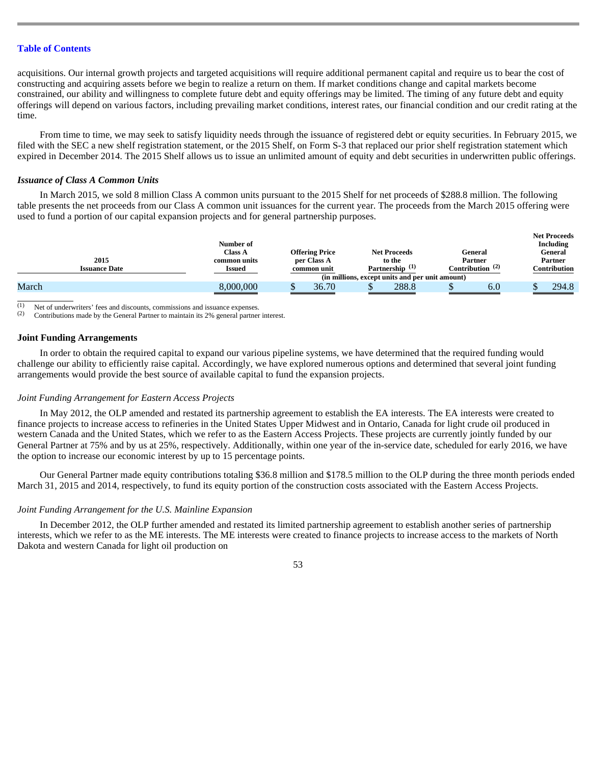acquisitions. Our internal growth projects and targeted acquisitions will require additional permanent capital and require us to bear the cost of constructing and acquiring assets before we begin to realize a return on them. If market conditions change and capital markets become constrained, our ability and willingness to complete future debt and equity offerings may be limited. The timing of any future debt and equity offerings will depend on various factors, including prevailing market conditions, interest rates, our financial condition and our credit rating at the time.

From time to time, we may seek to satisfy liquidity needs through the issuance of registered debt or equity securities. In February 2015, we filed with the SEC a new shelf registration statement, or the 2015 Shelf, on Form S-3 that replaced our prior shelf registration statement which expired in December 2014. The 2015 Shelf allows us to issue an unlimited amount of equity and debt securities in underwritten public offerings.

### *Issuance of Class A Common Units*

In March 2015, we sold 8 million Class A common units pursuant to the 2015 Shelf for net proceeds of \$288.8 million. The following table presents the net proceeds from our Class A common unit issuances for the current year. The proceeds from the March 2015 offering were used to fund a portion of our capital expansion projects and for general partnership purposes.

|                      |                |                       |                                                 |                       | <b>Net Proceeds</b> |
|----------------------|----------------|-----------------------|-------------------------------------------------|-----------------------|---------------------|
|                      | Number of      |                       |                                                 |                       | Including           |
|                      | <b>Class A</b> | <b>Offering Price</b> | <b>Net Proceeds</b>                             | General               | General             |
| 2015                 | common units   | per Class A           | to the                                          | Partner               | Partner             |
| <b>Issuance Date</b> | <b>Issued</b>  | common unit           | Partnership $(1)$                               | Contribution $^{(2)}$ | Contribution        |
|                      |                |                       | (in millions, except units and per unit amount) |                       |                     |
| March                | 8,000,000      | 36.70                 | 288.8                                           | 6.0                   | 294.8               |

 $\frac{1}{(1)}$ Net of underwriters' fees and discounts, commissions and issuance expenses.

 Contributions made by the General Partner to maintain its 2% general partner interest. (2)

## **Joint Funding Arrangements**

In order to obtain the required capital to expand our various pipeline systems, we have determined that the required funding would challenge our ability to efficiently raise capital. Accordingly, we have explored numerous options and determined that several joint funding arrangements would provide the best source of available capital to fund the expansion projects.

## *Joint Funding Arrangement for Eastern Access Projects*

In May 2012, the OLP amended and restated its partnership agreement to establish the EA interests. The EA interests were created to finance projects to increase access to refineries in the United States Upper Midwest and in Ontario, Canada for light crude oil produced in western Canada and the United States, which we refer to as the Eastern Access Projects. These projects are currently jointly funded by our General Partner at 75% and by us at 25%, respectively. Additionally, within one year of the in-service date, scheduled for early 2016, we have the option to increase our economic interest by up to 15 percentage points.

Our General Partner made equity contributions totaling \$36.8 million and \$178.5 million to the OLP during the three month periods ended March 31, 2015 and 2014, respectively, to fund its equity portion of the construction costs associated with the Eastern Access Projects.

#### *Joint Funding Arrangement for the U.S. Mainline Expansion*

In December 2012, the OLP further amended and restated its limited partnership agreement to establish another series of partnership interests, which we refer to as the ME interests. The ME interests were created to finance projects to increase access to the markets of North Dakota and western Canada for light oil production on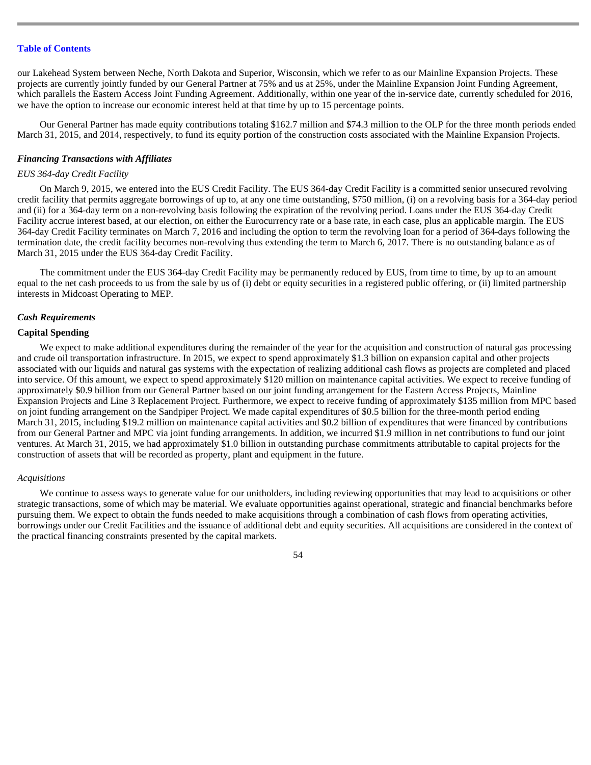our Lakehead System between Neche, North Dakota and Superior, Wisconsin, which we refer to as our Mainline Expansion Projects. These projects are currently jointly funded by our General Partner at 75% and us at 25%, under the Mainline Expansion Joint Funding Agreement, which parallels the Eastern Access Joint Funding Agreement. Additionally, within one year of the in-service date, currently scheduled for 2016, we have the option to increase our economic interest held at that time by up to 15 percentage points.

Our General Partner has made equity contributions totaling \$162.7 million and \$74.3 million to the OLP for the three month periods ended March 31, 2015, and 2014, respectively, to fund its equity portion of the construction costs associated with the Mainline Expansion Projects.

## *Financing Transactions with Affiliates*

## *EUS 364-day Credit Facility*

On March 9, 2015, we entered into the EUS Credit Facility. The EUS 364-day Credit Facility is a committed senior unsecured revolving credit facility that permits aggregate borrowings of up to, at any one time outstanding, \$750 million, (i) on a revolving basis for a 364-day period and (ii) for a 364-day term on a non-revolving basis following the expiration of the revolving period. Loans under the EUS 364-day Credit Facility accrue interest based, at our election, on either the Eurocurrency rate or a base rate, in each case, plus an applicable margin. The EUS 364-day Credit Facility terminates on March 7, 2016 and including the option to term the revolving loan for a period of 364-days following the termination date, the credit facility becomes non-revolving thus extending the term to March 6, 2017. There is no outstanding balance as of March 31, 2015 under the EUS 364-day Credit Facility.

The commitment under the EUS 364-day Credit Facility may be permanently reduced by EUS, from time to time, by up to an amount equal to the net cash proceeds to us from the sale by us of (i) debt or equity securities in a registered public offering, or (ii) limited partnership interests in Midcoast Operating to MEP.

## *Cash Requirements*

## **Capital Spending**

We expect to make additional expenditures during the remainder of the year for the acquisition and construction of natural gas processing and crude oil transportation infrastructure. In 2015, we expect to spend approximately \$1.3 billion on expansion capital and other projects associated with our liquids and natural gas systems with the expectation of realizing additional cash flows as projects are completed and placed into service. Of this amount, we expect to spend approximately \$120 million on maintenance capital activities. We expect to receive funding of approximately \$0.9 billion from our General Partner based on our joint funding arrangement for the Eastern Access Projects, Mainline Expansion Projects and Line 3 Replacement Project. Furthermore, we expect to receive funding of approximately \$135 million from MPC based on joint funding arrangement on the Sandpiper Project. We made capital expenditures of \$0.5 billion for the three-month period ending March 31, 2015, including \$19.2 million on maintenance capital activities and \$0.2 billion of expenditures that were financed by contributions from our General Partner and MPC via joint funding arrangements. In addition, we incurred \$1.9 million in net contributions to fund our joint ventures. At March 31, 2015, we had approximately \$1.0 billion in outstanding purchase commitments attributable to capital projects for the construction of assets that will be recorded as property, plant and equipment in the future.

### *Acquisitions*

We continue to assess ways to generate value for our unitholders, including reviewing opportunities that may lead to acquisitions or other strategic transactions, some of which may be material. We evaluate opportunities against operational, strategic and financial benchmarks before pursuing them. We expect to obtain the funds needed to make acquisitions through a combination of cash flows from operating activities, borrowings under our Credit Facilities and the issuance of additional debt and equity securities. All acquisitions are considered in the context of the practical financing constraints presented by the capital markets.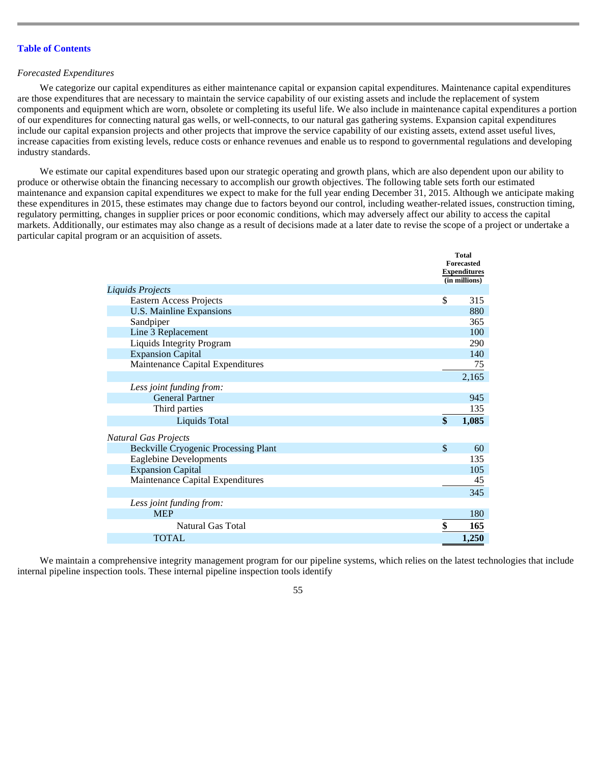### *Forecasted Expenditures*

We categorize our capital expenditures as either maintenance capital or expansion capital expenditures. Maintenance capital expenditures are those expenditures that are necessary to maintain the service capability of our existing assets and include the replacement of system components and equipment which are worn, obsolete or completing its useful life. We also include in maintenance capital expenditures a portion of our expenditures for connecting natural gas wells, or well-connects, to our natural gas gathering systems. Expansion capital expenditures include our capital expansion projects and other projects that improve the service capability of our existing assets, extend asset useful lives, increase capacities from existing levels, reduce costs or enhance revenues and enable us to respond to governmental regulations and developing industry standards.

We estimate our capital expenditures based upon our strategic operating and growth plans, which are also dependent upon our ability to produce or otherwise obtain the financing necessary to accomplish our growth objectives. The following table sets forth our estimated maintenance and expansion capital expenditures we expect to make for the full year ending December 31, 2015. Although we anticipate making these expenditures in 2015, these estimates may change due to factors beyond our control, including weather-related issues, construction timing, regulatory permitting, changes in supplier prices or poor economic conditions, which may adversely affect our ability to access the capital markets. Additionally, our estimates may also change as a result of decisions made at a later date to revise the scope of a project or undertake a particular capital program or an acquisition of assets.

|                                             | <b>Total</b><br><b>Forecasted</b> |
|---------------------------------------------|-----------------------------------|
|                                             | <b>Expenditures</b>               |
|                                             | (in millions)                     |
| Liquids Projects                            |                                   |
| <b>Eastern Access Projects</b>              | \$<br>315                         |
| U.S. Mainline Expansions                    | 880                               |
| Sandpiper                                   | 365                               |
| Line 3 Replacement                          | 100                               |
| <b>Liquids Integrity Program</b>            | 290                               |
| <b>Expansion Capital</b>                    | 140                               |
| Maintenance Capital Expenditures            | 75                                |
|                                             | 2,165                             |
| Less joint funding from:                    |                                   |
| <b>General Partner</b>                      | 945                               |
| Third parties                               | 135                               |
| <b>Liquids Total</b>                        | \$<br>1,085                       |
| <b>Natural Gas Projects</b>                 |                                   |
| <b>Beckville Cryogenic Processing Plant</b> | \$<br>60                          |
| <b>Eaglebine Developments</b>               | 135                               |
| <b>Expansion Capital</b>                    | 105                               |
| Maintenance Capital Expenditures            | 45                                |
|                                             | 345                               |
| Less joint funding from:                    |                                   |
| <b>MEP</b>                                  | 180                               |
| Natural Gas Total                           | \$<br>165                         |
| TOTAL                                       | 1,250                             |

We maintain a comprehensive integrity management program for our pipeline systems, which relies on the latest technologies that include internal pipeline inspection tools. These internal pipeline inspection tools identify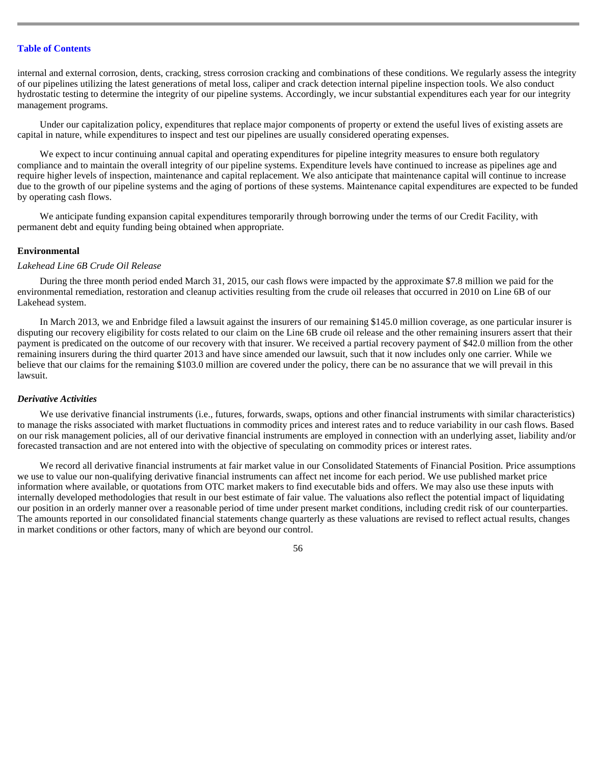internal and external corrosion, dents, cracking, stress corrosion cracking and combinations of these conditions. We regularly assess the integrity of our pipelines utilizing the latest generations of metal loss, caliper and crack detection internal pipeline inspection tools. We also conduct hydrostatic testing to determine the integrity of our pipeline systems. Accordingly, we incur substantial expenditures each year for our integrity management programs.

Under our capitalization policy, expenditures that replace major components of property or extend the useful lives of existing assets are capital in nature, while expenditures to inspect and test our pipelines are usually considered operating expenses.

We expect to incur continuing annual capital and operating expenditures for pipeline integrity measures to ensure both regulatory compliance and to maintain the overall integrity of our pipeline systems. Expenditure levels have continued to increase as pipelines age and require higher levels of inspection, maintenance and capital replacement. We also anticipate that maintenance capital will continue to increase due to the growth of our pipeline systems and the aging of portions of these systems. Maintenance capital expenditures are expected to be funded by operating cash flows.

We anticipate funding expansion capital expenditures temporarily through borrowing under the terms of our Credit Facility, with permanent debt and equity funding being obtained when appropriate.

### **Environmental**

### *Lakehead Line 6B Crude Oil Release*

During the three month period ended March 31, 2015, our cash flows were impacted by the approximate \$7.8 million we paid for the environmental remediation, restoration and cleanup activities resulting from the crude oil releases that occurred in 2010 on Line 6B of our Lakehead system.

In March 2013, we and Enbridge filed a lawsuit against the insurers of our remaining \$145.0 million coverage, as one particular insurer is disputing our recovery eligibility for costs related to our claim on the Line 6B crude oil release and the other remaining insurers assert that their payment is predicated on the outcome of our recovery with that insurer. We received a partial recovery payment of \$42.0 million from the other remaining insurers during the third quarter 2013 and have since amended our lawsuit, such that it now includes only one carrier. While we believe that our claims for the remaining \$103.0 million are covered under the policy, there can be no assurance that we will prevail in this lawsuit.

## *Derivative Activities*

We use derivative financial instruments (i.e., futures, forwards, swaps, options and other financial instruments with similar characteristics) to manage the risks associated with market fluctuations in commodity prices and interest rates and to reduce variability in our cash flows. Based on our risk management policies, all of our derivative financial instruments are employed in connection with an underlying asset, liability and/or forecasted transaction and are not entered into with the objective of speculating on commodity prices or interest rates.

We record all derivative financial instruments at fair market value in our Consolidated Statements of Financial Position. Price assumptions we use to value our non-qualifying derivative financial instruments can affect net income for each period. We use published market price information where available, or quotations from OTC market makers to find executable bids and offers. We may also use these inputs with internally developed methodologies that result in our best estimate of fair value. The valuations also reflect the potential impact of liquidating our position in an orderly manner over a reasonable period of time under present market conditions, including credit risk of our counterparties. The amounts reported in our consolidated financial statements change quarterly as these valuations are revised to reflect actual results, changes in market conditions or other factors, many of which are beyond our control.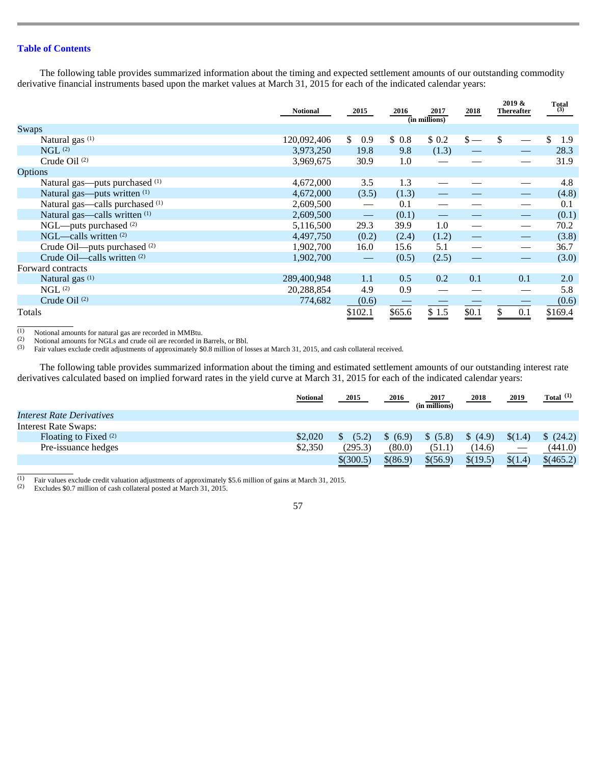The following table provides summarized information about the timing and expected settlement amounts of our outstanding commodity derivative financial instruments based upon the market values at March 31, 2015 for each of the indicated calendar years:

|                                           | <b>Notional</b> | 2015                            | 2016   | 2017<br>(in millions) | 2018           | 2019 &<br><b>Thereafter</b> | <b>Total</b><br>(3) |
|-------------------------------------------|-----------------|---------------------------------|--------|-----------------------|----------------|-----------------------------|---------------------|
| Swaps                                     |                 |                                 |        |                       |                |                             |                     |
| Natural gas <sup>(1)</sup>                | 120,092,406     | $\mathbb{S}^-$<br>0.9           | \$0.8  | \$ 0.2                | $\mathsf{s}$ — | \$                          | \$<br>1.9           |
| NGL <sup>(2)</sup>                        | 3,973,250       | 19.8                            | 9.8    | (1.3)                 |                |                             | 28.3                |
| Crude Oil <sup>(2)</sup>                  | 3,969,675       | 30.9                            | 1.0    |                       |                |                             | 31.9                |
| Options                                   |                 |                                 |        |                       |                |                             |                     |
| Natural gas—puts purchased <sup>(1)</sup> | 4,672,000       | 3.5                             | 1.3    |                       |                |                             | 4.8                 |
| Natural gas—puts written (1)              | 4,672,000       | (3.5)                           | (1.3)  |                       |                |                             | (4.8)               |
| Natural gas—calls purchased (1)           | 2,609,500       |                                 | 0.1    |                       |                |                             | 0.1                 |
| Natural gas—calls written (1)             | 2,609,500       | $\hspace{0.1mm}-\hspace{0.1mm}$ | (0.1)  |                       |                |                             | (0.1)               |
| NGL—puts purchased <sup>(2)</sup>         | 5,116,500       | 29.3                            | 39.9   | 1.0                   |                |                             | 70.2                |
| NGL—calls written (2)                     | 4,497,750       | (0.2)                           | (2.4)  | (1.2)                 |                |                             | (3.8)               |
| Crude Oil—puts purchased <sup>(2)</sup>   | 1,902,700       | 16.0                            | 15.6   | 5.1                   |                |                             | 36.7                |
| Crude Oil—calls written (2)               | 1,902,700       |                                 | (0.5)  | (2.5)                 |                |                             | (3.0)               |
| Forward contracts                         |                 |                                 |        |                       |                |                             |                     |
| Natural gas <sup>(1)</sup>                | 289,400,948     | 1.1                             | 0.5    | 0.2                   | 0.1            | 0.1                         | 2.0                 |
| NGL <sub>(2)</sub>                        | 20,288,854      | 4.9                             | 0.9    |                       |                |                             | 5.8                 |
| Crude Oil $(2)$                           | 774,682         | (0.6)                           |        |                       |                |                             | (0.6)               |
| Totals                                    |                 | \$102.1                         | \$65.6 | \$1.5                 | \$0.1          | 0.1                         | \$169.4             |

 $\frac{1}{(1)}$ Notional amounts for natural gas are recorded in MMBtu.

 Notional amounts for NGLs and crude oil are recorded in Barrels, or Bbl. (2)

 Fair values exclude credit adjustments of approximately \$0.8 million of losses at March 31, 2015, and cash collateral received. (3)

The following table provides summarized information about the timing and estimated settlement amounts of our outstanding interest rate derivatives calculated based on implied forward rates in the yield curve at March 31, 2015 for each of the indicated calendar years:

|                                  | Notional | 2015      | 2016     | 2017<br>(in millions) | 2018     | 2019                        | Total $(1)$ |
|----------------------------------|----------|-----------|----------|-----------------------|----------|-----------------------------|-------------|
| <i>Interest Rate Derivatives</i> |          |           |          |                       |          |                             |             |
| <b>Interest Rate Swaps:</b>      |          |           |          |                       |          |                             |             |
| Floating to Fixed (2)            | \$2,020  | (5.2)     | (6.9)    | \$ (5.8)              | \$(4.9)  | \$(1,4)                     | (24.2)      |
| Pre-issuance hedges              | \$2,350  | (295.3)   | (80.0)   | (51.1)                | (14.6)   | $\overbrace{\hspace{15em}}$ | (441.0)     |
|                                  |          | \$(300.5) | \$(86.9) | \$(56.9)              | \$(19.5) | \$(1.4)                     | \$(465.2)   |

 $\frac{1}{(1)}$ Fair values exclude credit valuation adjustments of approximately \$5.6 million of gains at March 31, 2015.

 Excludes \$0.7 million of cash collateral posted at March 31, 2015. (2)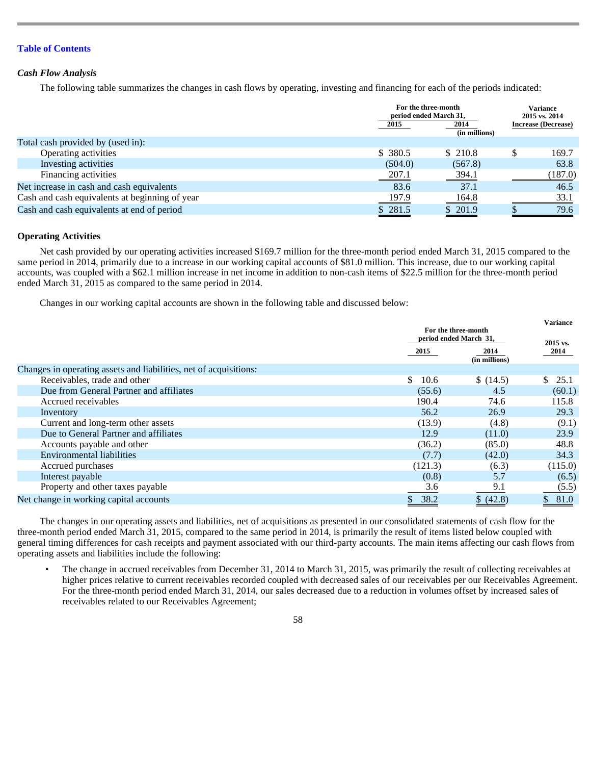## *Cash Flow Analysis*

The following table summarizes the changes in cash flows by operating, investing and financing for each of the periods indicated:

|                                                | 2015    | For the three-month<br>period ended March 31,<br>2014 | Variance<br>2015 vs. 2014<br><b>Increase (Decrease)</b> |
|------------------------------------------------|---------|-------------------------------------------------------|---------------------------------------------------------|
|                                                |         | (in millions)                                         |                                                         |
| Total cash provided by (used in):              |         |                                                       |                                                         |
| Operating activities                           | \$380.5 | \$210.8                                               | 169.7                                                   |
| Investing activities                           | (504.0) | (567.8)                                               | 63.8                                                    |
| Financing activities                           | 207.1   | 394.1                                                 | (187.0)                                                 |
| Net increase in cash and cash equivalents      | 83.6    | 37.1                                                  | 46.5                                                    |
| Cash and cash equivalents at beginning of year | 197.9   | 164.8                                                 | 33.1                                                    |
| Cash and cash equivalents at end of period     | \$281.5 | \$201.9                                               | 79.6                                                    |

### **Operating Activities**

Net cash provided by our operating activities increased \$169.7 million for the three-month period ended March 31, 2015 compared to the same period in 2014, primarily due to a increase in our working capital accounts of \$81.0 million. This increase, due to our working capital accounts, was coupled with a \$62.1 million increase in net income in addition to non-cash items of \$22.5 million for the three-month period ended March 31, 2015 as compared to the same period in 2014.

Changes in our working capital accounts are shown in the following table and discussed below:

|                                                                   |            | For the three-month<br>period ended March 31, |                  |  |
|-------------------------------------------------------------------|------------|-----------------------------------------------|------------------|--|
|                                                                   | 2015       | 2014<br>(in millions)                         | 2015 vs.<br>2014 |  |
| Changes in operating assets and liabilities, net of acquisitions: |            |                                               |                  |  |
| Receivables, trade and other                                      | 10.6<br>S. | \$(14.5)                                      | 25.1<br>S.       |  |
| Due from General Partner and affiliates                           | (55.6)     | 4.5                                           | (60.1)           |  |
| Accrued receivables                                               | 190.4      | 74.6                                          | 115.8            |  |
| Inventory                                                         | 56.2       | 26.9                                          | 29.3             |  |
| Current and long-term other assets                                | (13.9)     | (4.8)                                         | (9.1)            |  |
| Due to General Partner and affiliates                             | 12.9       | (11.0)                                        | 23.9             |  |
| Accounts payable and other                                        | (36.2)     | (85.0)                                        | 48.8             |  |
| <b>Environmental liabilities</b>                                  | (7.7)      | (42.0)                                        | 34.3             |  |
| Accrued purchases                                                 | (121.3)    | (6.3)                                         | (115.0)          |  |
| Interest payable                                                  | (0.8)      | 5.7                                           | (6.5)            |  |
| Property and other taxes payable                                  | 3.6        | 9.1                                           | (5.5)            |  |
| Net change in working capital accounts                            | 38.2       | \$ (42.8)                                     | 81.0             |  |

The changes in our operating assets and liabilities, net of acquisitions as presented in our consolidated statements of cash flow for the three-month period ended March 31, 2015, compared to the same period in 2014, is primarily the result of items listed below coupled with general timing differences for cash receipts and payment associated with our third-party accounts. The main items affecting our cash flows from operating assets and liabilities include the following:

• The change in accrued receivables from December 31, 2014 to March 31, 2015, was primarily the result of collecting receivables at higher prices relative to current receivables recorded coupled with decreased sales of our receivables per our Receivables Agreement. For the three-month period ended March 31, 2014, our sales decreased due to a reduction in volumes offset by increased sales of receivables related to our Receivables Agreement;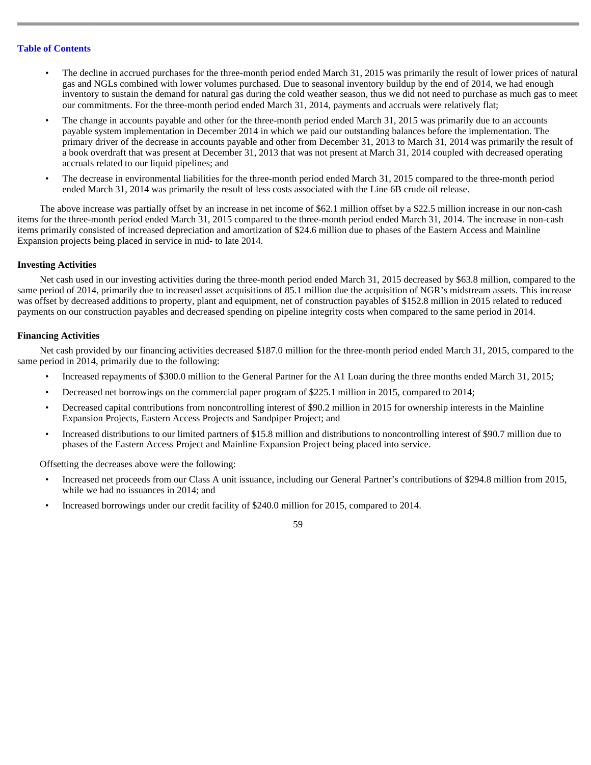- The decline in accrued purchases for the three-month period ended March 31, 2015 was primarily the result of lower prices of natural gas and NGLs combined with lower volumes purchased. Due to seasonal inventory buildup by the end of 2014, we had enough inventory to sustain the demand for natural gas during the cold weather season, thus we did not need to purchase as much gas to meet our commitments. For the three-month period ended March 31, 2014, payments and accruals were relatively flat;
- The change in accounts payable and other for the three-month period ended March 31, 2015 was primarily due to an accounts payable system implementation in December 2014 in which we paid our outstanding balances before the implementation. The primary driver of the decrease in accounts payable and other from December 31, 2013 to March 31, 2014 was primarily the result of a book overdraft that was present at December 31, 2013 that was not present at March 31, 2014 coupled with decreased operating accruals related to our liquid pipelines; and
- The decrease in environmental liabilities for the three-month period ended March 31, 2015 compared to the three-month period ended March 31, 2014 was primarily the result of less costs associated with the Line 6B crude oil release.

The above increase was partially offset by an increase in net income of \$62.1 million offset by a \$22.5 million increase in our non-cash items for the three-month period ended March 31, 2015 compared to the three-month period ended March 31, 2014. The increase in non-cash items primarily consisted of increased depreciation and amortization of \$24.6 million due to phases of the Eastern Access and Mainline Expansion projects being placed in service in mid- to late 2014.

## **Investing Activities**

Net cash used in our investing activities during the three-month period ended March 31, 2015 decreased by \$63.8 million, compared to the same period of 2014, primarily due to increased asset acquisitions of 85.1 million due the acquisition of NGR's midstream assets. This increase was offset by decreased additions to property, plant and equipment, net of construction payables of \$152.8 million in 2015 related to reduced payments on our construction payables and decreased spending on pipeline integrity costs when compared to the same period in 2014.

## **Financing Activities**

Net cash provided by our financing activities decreased \$187.0 million for the three-month period ended March 31, 2015, compared to the same period in 2014, primarily due to the following:

- Increased repayments of \$300.0 million to the General Partner for the A1 Loan during the three months ended March 31, 2015;
- Decreased net borrowings on the commercial paper program of \$225.1 million in 2015, compared to 2014;
- Decreased capital contributions from noncontrolling interest of \$90.2 million in 2015 for ownership interests in the Mainline Expansion Projects, Eastern Access Projects and Sandpiper Project; and
- Increased distributions to our limited partners of \$15.8 million and distributions to noncontrolling interest of \$90.7 million due to phases of the Eastern Access Project and Mainline Expansion Project being placed into service.

Offsetting the decreases above were the following:

- Increased net proceeds from our Class A unit issuance, including our General Partner's contributions of \$294.8 million from 2015, while we had no issuances in 2014; and
- Increased borrowings under our credit facility of \$240.0 million for 2015, compared to 2014.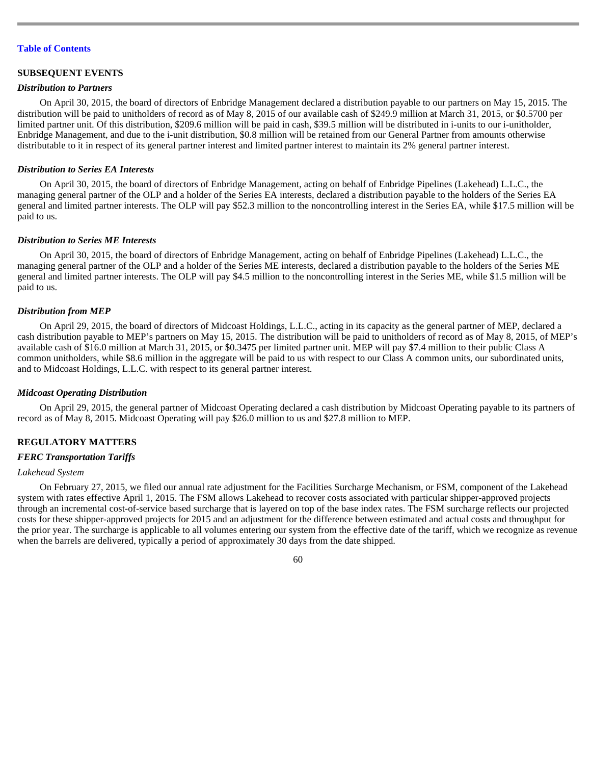#### **SUBSEQUENT EVENTS**

#### *Distribution to Partners*

On April 30, 2015, the board of directors of Enbridge Management declared a distribution payable to our partners on May 15, 2015. The distribution will be paid to unitholders of record as of May 8, 2015 of our available cash of \$249.9 million at March 31, 2015, or \$0.5700 per limited partner unit. Of this distribution, \$209.6 million will be paid in cash, \$39.5 million will be distributed in i-units to our i-unitholder, Enbridge Management, and due to the i-unit distribution, \$0.8 million will be retained from our General Partner from amounts otherwise distributable to it in respect of its general partner interest and limited partner interest to maintain its 2% general partner interest.

#### *Distribution to Series EA Interests*

On April 30, 2015, the board of directors of Enbridge Management, acting on behalf of Enbridge Pipelines (Lakehead) L.L.C., the managing general partner of the OLP and a holder of the Series EA interests, declared a distribution payable to the holders of the Series EA general and limited partner interests. The OLP will pay \$52.3 million to the noncontrolling interest in the Series EA, while \$17.5 million will be paid to us.

#### *Distribution to Series ME Interests*

On April 30, 2015, the board of directors of Enbridge Management, acting on behalf of Enbridge Pipelines (Lakehead) L.L.C., the managing general partner of the OLP and a holder of the Series ME interests, declared a distribution payable to the holders of the Series ME general and limited partner interests. The OLP will pay \$4.5 million to the noncontrolling interest in the Series ME, while \$1.5 million will be paid to us.

#### *Distribution from MEP*

On April 29, 2015, the board of directors of Midcoast Holdings, L.L.C., acting in its capacity as the general partner of MEP, declared a cash distribution payable to MEP's partners on May 15, 2015. The distribution will be paid to unitholders of record as of May 8, 2015, of MEP's available cash of \$16.0 million at March 31, 2015, or \$0.3475 per limited partner unit. MEP will pay \$7.4 million to their public Class A common unitholders, while \$8.6 million in the aggregate will be paid to us with respect to our Class A common units, our subordinated units, and to Midcoast Holdings, L.L.C. with respect to its general partner interest.

#### *Midcoast Operating Distribution*

On April 29, 2015, the general partner of Midcoast Operating declared a cash distribution by Midcoast Operating payable to its partners of record as of May 8, 2015. Midcoast Operating will pay \$26.0 million to us and \$27.8 million to MEP.

## **REGULATORY MATTERS**

## *FERC Transportation Tariffs*

## *Lakehead System*

On February 27, 2015, we filed our annual rate adjustment for the Facilities Surcharge Mechanism, or FSM, component of the Lakehead system with rates effective April 1, 2015. The FSM allows Lakehead to recover costs associated with particular shipper-approved projects through an incremental cost-of-service based surcharge that is layered on top of the base index rates. The FSM surcharge reflects our projected costs for these shipper-approved projects for 2015 and an adjustment for the difference between estimated and actual costs and throughput for the prior year. The surcharge is applicable to all volumes entering our system from the effective date of the tariff, which we recognize as revenue when the barrels are delivered, typically a period of approximately 30 days from the date shipped.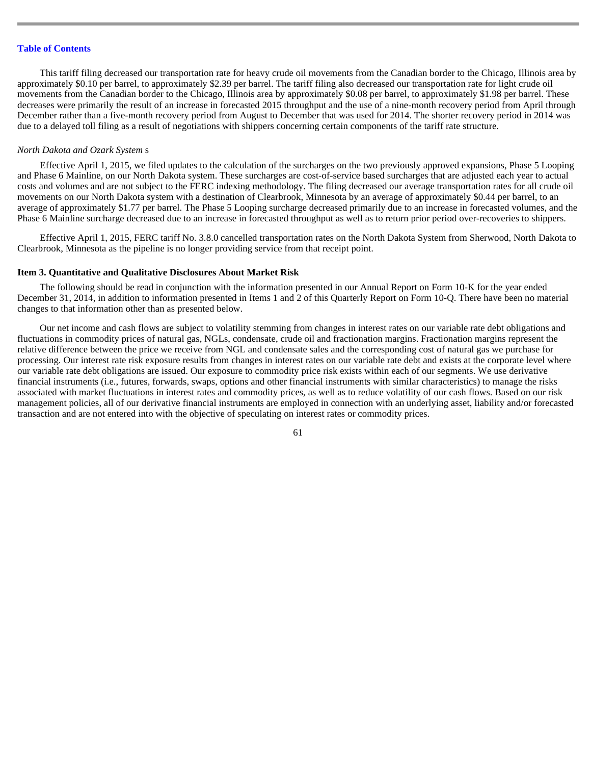This tariff filing decreased our transportation rate for heavy crude oil movements from the Canadian border to the Chicago, Illinois area by approximately \$0.10 per barrel, to approximately \$2.39 per barrel. The tariff filing also decreased our transportation rate for light crude oil movements from the Canadian border to the Chicago, Illinois area by approximately \$0.08 per barrel, to approximately \$1.98 per barrel. These decreases were primarily the result of an increase in forecasted 2015 throughput and the use of a nine-month recovery period from April through December rather than a five-month recovery period from August to December that was used for 2014. The shorter recovery period in 2014 was due to a delayed toll filing as a result of negotiations with shippers concerning certain components of the tariff rate structure.

### *North Dakota and Ozark System* s

Effective April 1, 2015, we filed updates to the calculation of the surcharges on the two previously approved expansions, Phase 5 Looping and Phase 6 Mainline, on our North Dakota system. These surcharges are cost-of-service based surcharges that are adjusted each year to actual costs and volumes and are not subject to the FERC indexing methodology. The filing decreased our average transportation rates for all crude oil movements on our North Dakota system with a destination of Clearbrook, Minnesota by an average of approximately \$0.44 per barrel, to an average of approximately \$1.77 per barrel. The Phase 5 Looping surcharge decreased primarily due to an increase in forecasted volumes, and the Phase 6 Mainline surcharge decreased due to an increase in forecasted throughput as well as to return prior period over-recoveries to shippers.

Effective April 1, 2015, FERC tariff No. 3.8.0 cancelled transportation rates on the North Dakota System from Sherwood, North Dakota to Clearbrook, Minnesota as the pipeline is no longer providing service from that receipt point.

### **Item 3. Quantitative and Qualitative Disclosures About Market Risk**

The following should be read in conjunction with the information presented in our Annual Report on Form 10-K for the year ended December 31, 2014, in addition to information presented in Items 1 and 2 of this Quarterly Report on Form 10-Q. There have been no material changes to that information other than as presented below.

Our net income and cash flows are subject to volatility stemming from changes in interest rates on our variable rate debt obligations and fluctuations in commodity prices of natural gas, NGLs, condensate, crude oil and fractionation margins. Fractionation margins represent the relative difference between the price we receive from NGL and condensate sales and the corresponding cost of natural gas we purchase for processing. Our interest rate risk exposure results from changes in interest rates on our variable rate debt and exists at the corporate level where our variable rate debt obligations are issued. Our exposure to commodity price risk exists within each of our segments. We use derivative financial instruments (i.e., futures, forwards, swaps, options and other financial instruments with similar characteristics) to manage the risks associated with market fluctuations in interest rates and commodity prices, as well as to reduce volatility of our cash flows. Based on our risk management policies, all of our derivative financial instruments are employed in connection with an underlying asset, liability and/or forecasted transaction and are not entered into with the objective of speculating on interest rates or commodity prices.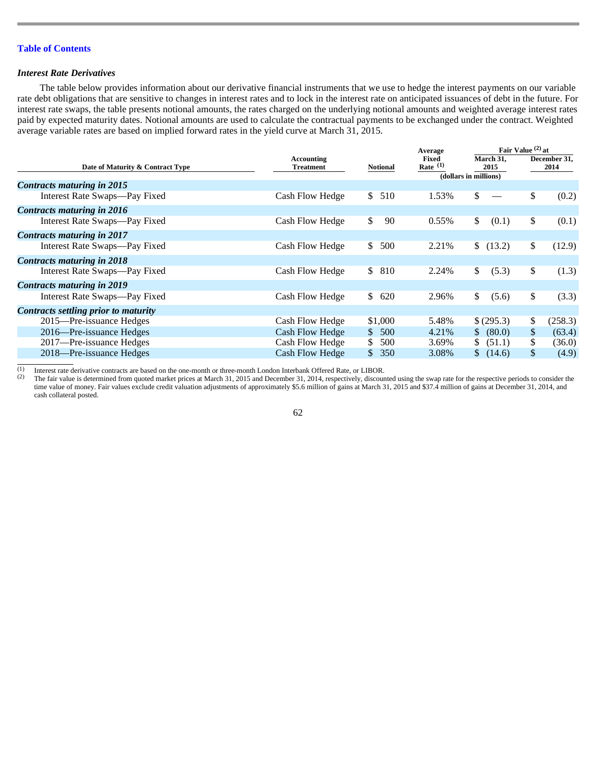## *Interest Rate Derivatives*

The table below provides information about our derivative financial instruments that we use to hedge the interest payments on our variable rate debt obligations that are sensitive to changes in interest rates and to lock in the interest rate on anticipated issuances of debt in the future. For interest rate swaps, the table presents notional amounts, the rates charged on the underlying notional amounts and weighted average interest rates paid by expected maturity dates. Notional amounts are used to calculate the contractual payments to be exchanged under the contract. Weighted average variable rates are based on implied forward rates in the yield curve at March 31, 2015.

|                                      |                                |                       | Average             | Fair Value (2) at        |               |                      |
|--------------------------------------|--------------------------------|-----------------------|---------------------|--------------------------|---------------|----------------------|
| Date of Maturity & Contract Type     | Accounting<br><b>Treatment</b> | <b>Notional</b>       | Fixed<br>Rate $(1)$ | March 31,<br>2015        |               | December 31,<br>2014 |
|                                      |                                |                       |                     | (dollars in millions)    |               |                      |
| Contracts maturing in 2015           |                                |                       |                     |                          |               |                      |
| Interest Rate Swaps-Pay Fixed        | Cash Flow Hedge                | 510<br>$\mathbb{S}^-$ | 1.53%               | \$                       | \$            | (0.2)                |
| Contracts maturing in 2016           |                                |                       |                     |                          |               |                      |
| Interest Rate Swaps-Pay Fixed        | Cash Flow Hedge                | \$<br>90              | $0.55\%$            | \$<br>(0.1)              | \$            | (0.1)                |
| Contracts maturing in 2017           |                                |                       |                     |                          |               |                      |
| Interest Rate Swaps-Pay Fixed        | Cash Flow Hedge                | 500<br>S.             | 2.21%               | (13.2)<br>\$             | \$            | (12.9)               |
| <b>Contracts maturing in 2018</b>    |                                |                       |                     |                          |               |                      |
| Interest Rate Swaps-Pay Fixed        | Cash Flow Hedge                | \$<br>810             | 2.24%               | \$<br>(5.3)              | S.            | (1.3)                |
| <b>Contracts maturing in 2019</b>    |                                |                       |                     |                          |               |                      |
| Interest Rate Swaps-Pay Fixed        | Cash Flow Hedge                | \$<br>620             | 2.96%               | \$<br>(5.6)              | \$            | (3.3)                |
| Contracts settling prior to maturity |                                |                       |                     |                          |               |                      |
| 2015—Pre-issuance Hedges             | Cash Flow Hedge                | \$1,000               | 5.48%               | \$(295.3)                | \$            | (258.3)              |
| 2016—Pre-issuance Hedges             | <b>Cash Flow Hedge</b>         | 500<br>$\mathbb{S}^-$ | 4.21%               | (80.0)<br>$\mathbb{S}^-$ | $\mathcal{S}$ | (63.4)               |
| 2017—Pre-issuance Hedges             | Cash Flow Hedge                | 500<br>\$.            | 3.69%               | \$<br>(51.1)             | \$            | (36.0)               |
| 2018—Pre-issuance Hedges             | Cash Flow Hedge                | 350<br>\$.            | 3.08%               | \$<br>(14.6)             | \$            | (4.9)                |

 $\frac{1}{(1)}$ Interest rate derivative contracts are based on the one-month or three-month London Interbank Offered Rate, or LIBOR.

 The fair value is determined from quoted market prices at March 31, 2015 and December 31, 2014, respectively, discounted using the swap rate for the respective periods to consider the time value of money. Fair values exclude credit valuation adjustments of approximately \$5.6 million of gains at March 31, 2015 and \$37.4 million of gains at December 31, 2014, and cash collateral posted. (2)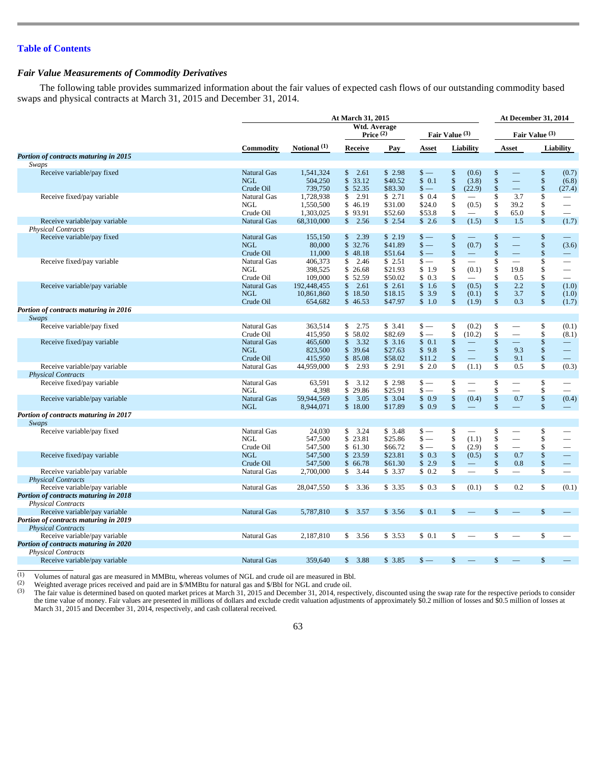# *Fair Value Measurements of Commodity Derivatives*

The following table provides summarized information about the fair values of expected cash flows of our outstanding commodity based swaps and physical contracts at March 31, 2015 and December 31, 2014.

|                                                                                                     |                                               | At March 31, 2015<br>Wtd. Average<br>Fair Value (3)<br>Price $(2)$ |                                                           |                              |                                 |                                     |                                   | <b>At December 31, 2014</b><br>Fair Value <sup>(3)</sup> |                          |                                                       |                                             |
|-----------------------------------------------------------------------------------------------------|-----------------------------------------------|--------------------------------------------------------------------|-----------------------------------------------------------|------------------------------|---------------------------------|-------------------------------------|-----------------------------------|----------------------------------------------------------|--------------------------|-------------------------------------------------------|---------------------------------------------|
|                                                                                                     | Commodity                                     | Notional $(1)$                                                     | Receive                                                   | Pay                          | Asset                           |                                     | Liability                         |                                                          | Asset                    |                                                       | Liability                                   |
| Portion of contracts maturing in 2015                                                               |                                               |                                                                    |                                                           |                              |                                 |                                     |                                   |                                                          |                          |                                                       |                                             |
| Swaps                                                                                               |                                               |                                                                    |                                                           |                              |                                 |                                     |                                   |                                                          |                          |                                                       |                                             |
| Receive variable/pay fixed                                                                          | Natural Gas<br><b>NGL</b><br>Crude Oil        | 1,541,324<br>504,250<br>739,750                                    | \$<br>2.61<br>\$33.12<br>\$52.35                          | \$2.98<br>\$40.52<br>\$83.30 | $\frac{1}{2}$<br>\$0.1<br>$s -$ | \$<br>$\boldsymbol{\$}$<br>\$       | (0.6)<br>(3.8)<br>(22.9)          | \$<br>\$<br>\$                                           | $\equiv$<br>$\equiv$     | \$<br>$\boldsymbol{\$}$<br>$\boldsymbol{\$}$          | (0.7)<br>(6.8)<br>(27.4)                    |
| Receive fixed/pay variable                                                                          | Natural Gas<br>NGL<br>Crude Oil               | 1,728,938<br>1,550,500<br>1,303,025                                | \$<br>2.91<br>\$46.19<br>\$93.91                          | \$2.71<br>\$31.00<br>\$52.60 | \$0.4<br>\$24.0<br>\$53.8       | \$<br>\$<br>\$                      | (0.5)<br>$\overline{\phantom{a}}$ | \$<br>\$<br>\$                                           | 3.7<br>39.2<br>65.0      | \$<br>\$<br>\$                                        | $\overline{\phantom{0}}$                    |
| Receive variable/pay variable                                                                       | <b>Natural Gas</b>                            | 68,310,000                                                         | \$<br>2.56                                                | \$2.54                       | \$2.6                           | \$                                  | (1.5)                             | \$                                                       | 1.5                      | $\sqrt{\frac{2}{5}}$                                  | (1.7)                                       |
| <b>Physical Contracts</b>                                                                           |                                               |                                                                    |                                                           |                              |                                 |                                     |                                   |                                                          |                          |                                                       |                                             |
| Receive variable/pay fixed                                                                          | Natural Gas<br><b>NGL</b><br>Crude Oil        | 155,150<br>80,000<br>11,000                                        | $\frac{1}{2}$<br>2.39<br>$\mathbb{S}$<br>32.76<br>\$48.18 | \$2.19<br>\$41.89<br>\$51.64 | $s -$<br>$\sqrt{s}$ —<br>$s -$  | \$<br>$\ddot{\$}$<br>\$             | (0.7)<br>$\equiv$                 | \$<br>\$                                                 | $\overline{\phantom{m}}$ | $\boldsymbol{\$}$<br>$\ddot{\$}$<br>$\boldsymbol{\$}$ | $\overline{\phantom{0}}$<br>(3.6)           |
| Receive fixed/pay variable                                                                          | Natural Gas<br><b>NGL</b><br>Crude Oil        | 406,373<br>398.525<br>109,000                                      | \$<br>2.46<br>\$<br>26.68<br>\$52.59                      | \$2.51<br>\$21.93<br>\$50.02 | $s -$<br>\$1.9<br>\$0.3         | \$<br>\$<br>\$                      | (0.1)<br>$\overline{\phantom{0}}$ | \$<br>\$<br>\$                                           | ÷.<br>19.8<br>0.5        | $\overline{\$}$<br>\$<br>\$                           | $\overline{\phantom{0}}$<br>$=$<br>$\equiv$ |
| Receive variable/pay variable                                                                       | Natural Gas<br><b>NGL</b><br>Crude Oil        | 192,448,455<br>10,861,860<br>654,682                               | $\mathbb{S}$<br>2.61<br>\$18.50<br>\$46.53                | \$2.61<br>\$18.15<br>\$47.97 | \$1.6<br>\$3.9<br>\$1.0         | \$<br>$\mathbb{S}$<br>$\mathsf{\$}$ | (0.5)<br>(0.1)<br>(1.9)           | \$<br>$\mathbf{\hat{S}}$<br>$\mathbf{\hat{S}}$           | 2.2<br>3.7<br>0.3        | \$<br>$\boldsymbol{\$}$<br>$\mathsf{\$}$              | (1.0)<br>(1.0)<br>(1.7)                     |
| Portion of contracts maturing in 2016<br>Swaps                                                      |                                               |                                                                    |                                                           |                              |                                 |                                     |                                   |                                                          |                          |                                                       |                                             |
| Receive variable/pay fixed                                                                          | Natural Gas<br>Crude Oil                      | 363,514<br>415,950                                                 | \$2.75<br>\$58.02                                         | \$3.41<br>\$82.69            | $s -$<br>$s -$                  | \$<br>\$                            | (0.2)<br>(10.2)                   | \$<br>\$                                                 | $\equiv$                 | \$<br>\$                                              | (0.1)<br>(8.1)                              |
| Receive fixed/pay variable                                                                          | <b>Natural Gas</b><br><b>NGL</b><br>Crude Oil | 465,600<br>823,500<br>415,950                                      | \$<br>3.32<br>\$39.64<br>\$85.08                          | \$3.16<br>\$27.63<br>\$58.02 | \$0.1<br>\$9.8<br>\$11.2        | \$<br>\$<br>\$                      | ÷,<br>$\equiv$                    | \$<br>\$<br>\$                                           | 9.3<br>9.1               | \$<br>$\boldsymbol{\$}$<br>$\boldsymbol{\$}$          | ш,<br>$\equiv$                              |
| Receive variable/pay variable                                                                       | Natural Gas                                   | 44,959,000                                                         | 2.93<br>\$                                                | \$2.91                       | \$2.0                           | \$                                  | (1.1)                             | \$                                                       | 0.5                      | \$                                                    | (0.3)                                       |
| <b>Physical Contracts</b>                                                                           |                                               |                                                                    |                                                           |                              |                                 |                                     |                                   |                                                          |                          |                                                       |                                             |
| Receive fixed/pay variable                                                                          | Natural Gas<br><b>NGL</b>                     | 63,591<br>4,398                                                    | \$3.12<br>\$<br>29.86                                     | \$2.98<br>\$25.91            | $s -$<br>$s -$                  | \$<br>\$                            |                                   | \$<br>\$                                                 | $\overline{\phantom{0}}$ | \$<br>\$                                              |                                             |
| Receive variable/pay variable                                                                       | <b>Natural Gas</b><br><b>NGL</b>              | 59,944,569<br>8,944,071                                            | \$<br>3.05<br>\$18.00                                     | \$3.04<br>\$17.89            | \$0.9<br>\$0.9                  | \$<br>$\mathsf{\$}$                 | (0.4)                             | \$<br>\$                                                 | 0.7<br><u>e a</u>        | $\$$<br>$\mathsf{\$}$                                 | (0.4)<br>$\equiv$                           |
| Portion of contracts maturing in 2017                                                               |                                               |                                                                    |                                                           |                              |                                 |                                     |                                   |                                                          |                          |                                                       |                                             |
| Swaps                                                                                               |                                               |                                                                    |                                                           |                              |                                 |                                     |                                   |                                                          |                          |                                                       |                                             |
| Receive variable/pay fixed                                                                          | Natural Gas<br><b>NGL</b><br>Crude Oil        | 24,030<br>547,500<br>547,500                                       | \$3.24<br>\$<br>23.81<br>\$61.30                          | \$3.48<br>\$25.86<br>\$66.72 | $s -$<br>$s =$<br>$s =$         | \$<br>\$<br>\$                      | (1.1)<br>(2.9)                    | \$<br>\$<br>\$                                           | $\equiv$                 | \$<br>\$<br>\$                                        |                                             |
| Receive fixed/pay variable                                                                          | <b>NGL</b><br>Crude Oil                       | 547,500<br>547,500                                                 | \$23.59<br>66.78<br>\$                                    | \$23.81<br>\$61.30           | \$0.3<br>\$2.9                  | \$<br>\$                            | (0.5)                             | \$<br>\$                                                 | 0.7<br>0.8               | $\boldsymbol{\$}$<br>\$                               | $\equiv$<br>$\equiv$                        |
| Receive variable/pay variable                                                                       | Natural Gas                                   | 2,700,000                                                          | \$<br>3.44                                                | \$3.37                       | \$0.2                           | $\overline{\mathbb{S}}$             | $=$                               | $\overline{\mathbb{S}}$                                  | $\overline{\phantom{0}}$ | $\overline{\mathcal{S}}$                              | $\frac{1}{2}$                               |
| <b>Physical Contracts</b>                                                                           |                                               |                                                                    |                                                           |                              |                                 |                                     |                                   |                                                          |                          |                                                       |                                             |
| Receive variable/pay variable<br>Portion of contracts maturing in 2018                              | Natural Gas                                   | 28,047,550                                                         | \$<br>3.36                                                | \$3.35                       | \$0.3                           | \$                                  | (0.1)                             | \$                                                       | 0.2                      | \$                                                    | (0.1)                                       |
| <b>Physical Contracts</b>                                                                           |                                               |                                                                    |                                                           |                              |                                 |                                     |                                   |                                                          |                          |                                                       |                                             |
| Receive variable/pay variable<br>Portion of contracts maturing in 2019                              | <b>Natural Gas</b>                            | 5,787,810                                                          | \$3.57                                                    | \$3.56                       | \$0.1                           | \$                                  |                                   | \$                                                       |                          | \$                                                    |                                             |
| <b>Physical Contracts</b>                                                                           |                                               |                                                                    |                                                           |                              |                                 |                                     |                                   |                                                          |                          |                                                       |                                             |
| Receive variable/pay variable<br>Portion of contracts maturing in 2020<br><b>Physical Contracts</b> | Natural Gas                                   | 2,187,810                                                          | \$3.56                                                    | \$3.53                       | \$0.1                           | \$                                  |                                   | \$                                                       |                          | \$                                                    |                                             |
| Receive variable/pay variable                                                                       | Natural Gas                                   | 359,640                                                            | $\mathbb{S}$<br>3.88                                      | \$3.85                       | $\frac{1}{2}$                   | \$                                  |                                   | \$                                                       |                          | \$                                                    |                                             |
|                                                                                                     |                                               |                                                                    |                                                           |                              |                                 |                                     |                                   |                                                          |                          |                                                       |                                             |

 $\frac{1}{(1)}$ Volumes of natural gas are measured in MMBtu, whereas volumes of NGL and crude oil are measured in Bbl.

 Weighted average prices received and paid are in \$/MMBtu for natural gas and \$/Bbl for NGL and crude oil. (2)

 The fair value is determined based on quoted market prices at March 31, 2015 and December 31, 2014, respectively, discounted using the swap rate for the respective periods to consider the time value of money. Fair values are presented in millions of dollars and exclude credit valuation adjustments of approximately \$0.2 million of losses and \$0.5 million of losses at March 31, 2015 and December 31, 2014, respectively, and cash collateral received. (3)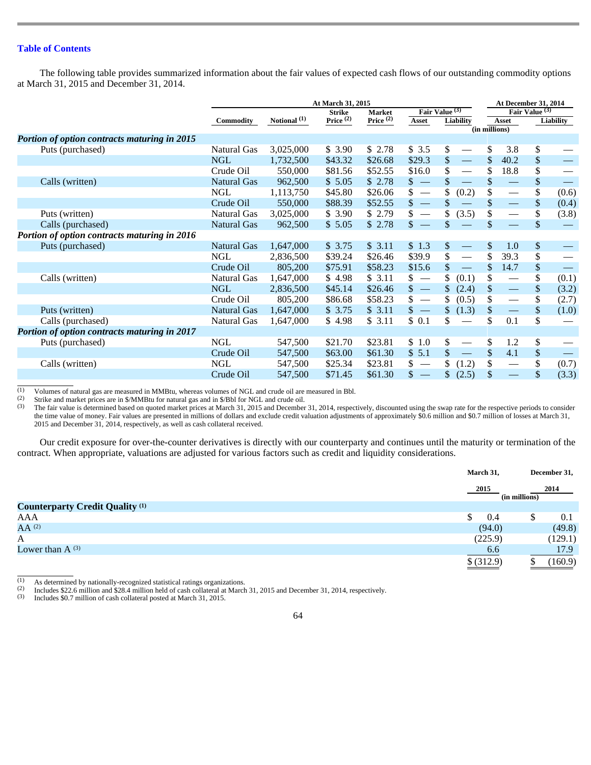The following table provides summarized information about the fair values of expected cash flows of our outstanding commodity options at March 31, 2015 and December 31, 2014.

|                                              | At March 31, 2015  |              |                              |                              |                                          |                                           | At December 31, 2014 |                                 |                |           |
|----------------------------------------------|--------------------|--------------|------------------------------|------------------------------|------------------------------------------|-------------------------------------------|----------------------|---------------------------------|----------------|-----------|
|                                              | Commodity          | Notional (1) | <b>Strike</b><br>Price $(2)$ | <b>Market</b><br>Price $(2)$ | Asset                                    | Fair Value (3)<br>Liability               |                      | Asset                           | Fair Value (3) | Liability |
|                                              |                    |              |                              |                              |                                          |                                           | (in millions)        |                                 |                |           |
| Portion of option contracts maturing in 2015 |                    |              |                              |                              |                                          |                                           |                      |                                 |                |           |
| Puts (purchased)                             | <b>Natural Gas</b> | 3,025,000    | \$3.90                       | \$2.78                       | \$3.5                                    | \$                                        | \$                   | 3.8                             | \$             |           |
|                                              | <b>NGL</b>         | 1,732,500    | \$43.32                      | \$26.68                      | \$29.3                                   | \$<br>$\overline{\phantom{m}}$            | \$                   | 40.2                            | \$             |           |
|                                              | Crude Oil          | 550,000      | \$81.56                      | \$52.55                      | \$16.0                                   | \$                                        | \$                   | 18.8                            | \$             |           |
| Calls (written)                              | <b>Natural Gas</b> | 962,500      | \$5.05                       | \$2.78                       | $s -$                                    | $\mathcal{S}$<br>$\overline{\phantom{m}}$ | \$                   |                                 | \$             |           |
|                                              | <b>NGL</b>         | 1,113,750    | \$45.80                      | \$26.06                      | \$<br>$\overline{\phantom{0}}$           | (0.2)<br>\$                               | \$                   |                                 | \$             | (0.6)     |
|                                              | Crude Oil          | 550,000      | \$88.39                      | \$52.55                      | $\mathbb{S}$<br>$\overline{\phantom{a}}$ | $\mathbb{S}$                              | $\mathcal{S}$        | $\overline{\phantom{m}}$        | \$             | (0.4)     |
| Puts (written)                               | <b>Natural Gas</b> | 3,025,000    | \$3.90                       | \$2.79                       | \$<br>$\overline{\phantom{0}}$           | \$<br>(3.5)                               | \$                   |                                 | \$             | (3.8)     |
| Calls (purchased)                            | <b>Natural Gas</b> | 962,500      | \$5.05                       | \$2.78                       | \$                                       | \$                                        | \$                   |                                 | \$             |           |
| Portion of option contracts maturing in 2016 |                    |              |                              |                              |                                          |                                           |                      |                                 |                |           |
| Puts (purchased)                             | <b>Natural Gas</b> | 1,647,000    | \$3.75                       | \$3.11                       | \$1.3                                    | \$                                        | \$                   | 1.0                             | $\$$           |           |
|                                              | NGL                | 2,836,500    | \$39.24                      | \$26.46                      | \$39.9                                   | \$                                        | \$                   | 39.3                            | \$             |           |
|                                              | Crude Oil          | 805,200      | \$75.91                      | \$58.23                      | \$15.6                                   | \$                                        | \$                   | 14.7                            | $\$\,$         |           |
| Calls (written)                              | Natural Gas        | 1,647,000    | \$4.98                       | \$3.11                       | $s -$                                    | \$<br>(0.1)                               | \$                   |                                 | \$             | (0.1)     |
|                                              | <b>NGL</b>         | 2,836,500    | \$45.14                      | \$26.46                      | $\frac{1}{2}$                            | $\mathbb{S}$<br>(2.4)                     | \$                   | $\overline{\phantom{m}}$        | \$             | (3.2)     |
|                                              | Crude Oil          | 805,200      | \$86.68                      | \$58.23                      | \$<br>$\overline{\phantom{a}}$           | \$<br>(0.5)                               | \$                   |                                 | \$             | (2.7)     |
| Puts (written)                               | <b>Natural Gas</b> | 1,647,000    | \$3.75                       | \$3.11                       | $\frac{1}{2}$                            | \$<br>(1.3)                               | \$                   | $\overline{\phantom{m}}$        | \$             | (1.0)     |
| Calls (purchased)                            | Natural Gas        | 1,647,000    | \$4.98                       | \$3.11                       | \$0.1                                    | \$                                        | \$                   | 0.1                             | \$             |           |
| Portion of option contracts maturing in 2017 |                    |              |                              |                              |                                          |                                           |                      |                                 |                |           |
| Puts (purchased)                             | <b>NGL</b>         | 547,500      | \$21.70                      | \$23.81                      | \$1.0                                    | \$                                        | \$                   | 1.2                             | \$             |           |
|                                              | Crude Oil          | 547,500      | \$63.00                      | \$61.30                      | \$5.1                                    | \$<br>$\overline{\phantom{m}}$            | \$                   | 4.1                             | \$             |           |
| Calls (written)                              | <b>NGL</b>         | 547,500      | \$25.34                      | \$23.81                      | \$<br>$\overline{\phantom{a}}$           | \$<br>(1.2)                               | \$                   | $\hspace{0.1mm}-\hspace{0.1mm}$ | \$             | (0.7)     |
|                                              | Crude Oil          | 547,500      | \$71.45                      | \$61.30                      | \$<br>$\overline{\phantom{a}}$           | \$<br>(2.5)                               | \$                   | $\qquad \qquad =$               | \$             | (3.3)     |
|                                              |                    |              |                              |                              |                                          |                                           |                      |                                 |                |           |

 $\frac{1}{(1)}$ Volumes of natural gas are measured in MMBtu, whereas volumes of NGL and crude oil are measured in Bbl.

 Strike and market prices are in \$/MMBtu for natural gas and in \$/Bbl for NGL and crude oil. (2)

 The fair value is determined based on quoted market prices at March 31, 2015 and December 31, 2014, respectively, discounted using the swap rate for the respective periods to consider the time value of money. Fair values are presented in millions of dollars and exclude credit valuation adjustments of approximately \$0.6 million and \$0.7 million of losses at March 31, 2015 and December 31, 2014, respectively, as well as cash collateral received. (3)

Our credit exposure for over-the-counter derivatives is directly with our counterparty and continues until the maturity or termination of the contract. When appropriate, valuations are adjusted for various factors such as credit and liquidity considerations.

|                                        | March 31,  | December 31,          |
|----------------------------------------|------------|-----------------------|
|                                        | 2015       | 2014<br>(in millions) |
| <b>Counterparty Credit Quality (1)</b> |            |                       |
| AAA                                    | 0.4        | 0.1                   |
| $AA$ <sup>(2)</sup>                    | (94.0)     | (49.8)                |
| A                                      | (225.9)    | (129.1)               |
| Lower than $A^{(3)}$                   | 6.6        | 17.9                  |
|                                        | \$ (312.9) | (160.9)               |

 $\frac{1}{(1)}$ As determined by nationally-recognized statistical ratings organizations.

 Includes \$22.6 million and \$28.4 million held of cash collateral at March 31, 2015 and December 31, 2014, respectively. (2)

 Includes \$0.7 million of cash collateral posted at March 31, 2015. (3)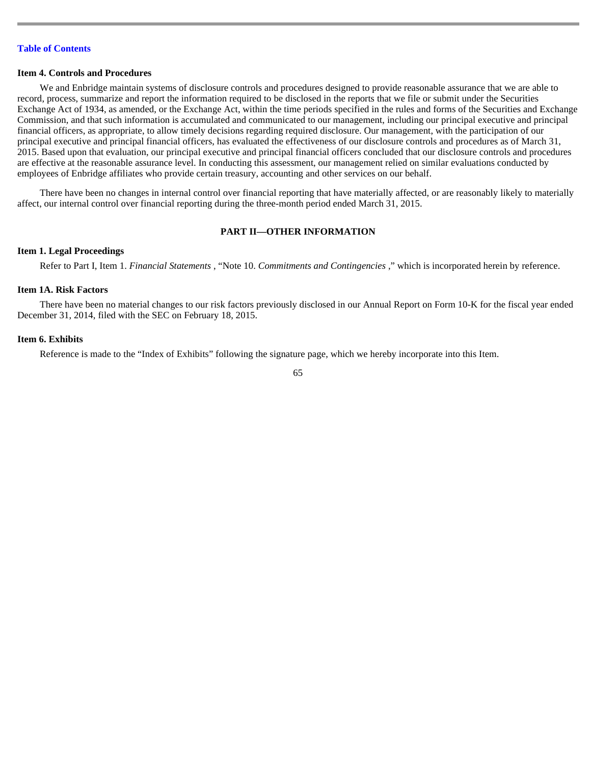## **Item 4. Controls and Procedures**

We and Enbridge maintain systems of disclosure controls and procedures designed to provide reasonable assurance that we are able to record, process, summarize and report the information required to be disclosed in the reports that we file or submit under the Securities Exchange Act of 1934, as amended, or the Exchange Act, within the time periods specified in the rules and forms of the Securities and Exchange Commission, and that such information is accumulated and communicated to our management, including our principal executive and principal financial officers, as appropriate, to allow timely decisions regarding required disclosure. Our management, with the participation of our principal executive and principal financial officers, has evaluated the effectiveness of our disclosure controls and procedures as of March 31, 2015. Based upon that evaluation, our principal executive and principal financial officers concluded that our disclosure controls and procedures are effective at the reasonable assurance level. In conducting this assessment, our management relied on similar evaluations conducted by employees of Enbridge affiliates who provide certain treasury, accounting and other services on our behalf.

There have been no changes in internal control over financial reporting that have materially affected, or are reasonably likely to materially affect, our internal control over financial reporting during the three-month period ended March 31, 2015.

## **PART II—OTHER INFORMATION**

### **Item 1. Legal Proceedings**

Refer to Part I, Item 1. *Financial Statements* , "Note 10. *Commitments and Contingencies* ," which is incorporated herein by reference.

## **Item 1A. Risk Factors**

There have been no material changes to our risk factors previously disclosed in our Annual Report on Form 10-K for the fiscal year ended December 31, 2014, filed with the SEC on February 18, 2015.

## **Item 6. Exhibits**

Reference is made to the "Index of Exhibits" following the signature page, which we hereby incorporate into this Item.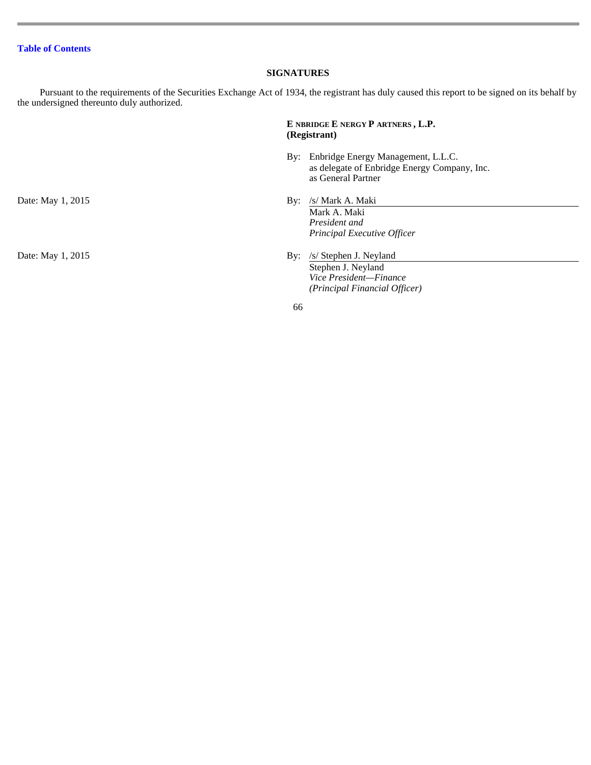## **SIGNATURES**

Pursuant to the requirements of the Securities Exchange Act of 1934, the registrant has duly caused this report to be signed on its behalf by the undersigned thereunto duly authorized.

## **E NBRIDGE E NERGY P ARTNERS , L.P. (Registrant)**

- By: Enbridge Energy Management, L.L.C. as delegate of Enbridge Energy Company, Inc. as General Partner
- Date: May 1, 2015 By: /s/ Mark A. Maki Mark A. Maki *President and Principal Executive Officer*
- Date: May 1, 2015 By: /s/ Stephen J. Neyland Stephen J. Neyland *Vice President—Finance (Principal Financial Officer)*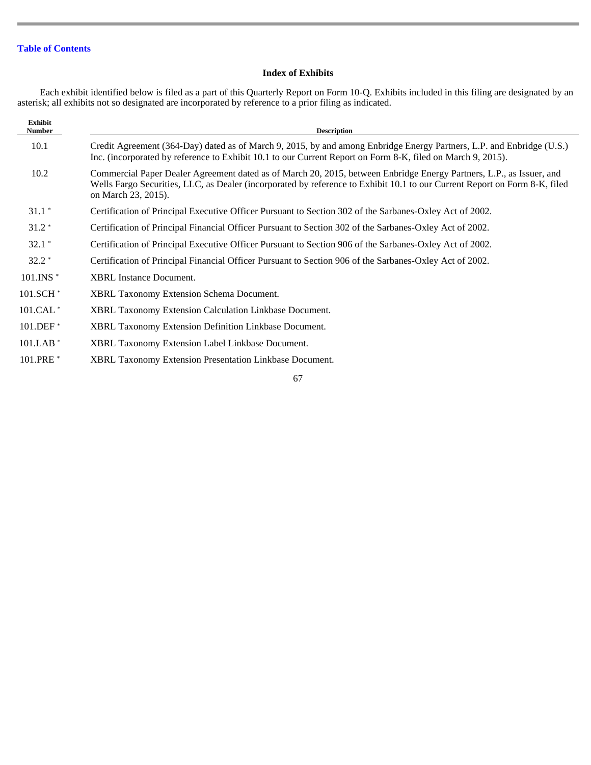# **Index of Exhibits**

Each exhibit identified below is filed as a part of this Quarterly Report on Form 10-Q. Exhibits included in this filing are designated by an asterisk; all exhibits not so designated are incorporated by reference to a prior filing as indicated.

| <b>Exhibit</b><br>Number | <b>Description</b>                                                                                                                                                                                                                                                        |
|--------------------------|---------------------------------------------------------------------------------------------------------------------------------------------------------------------------------------------------------------------------------------------------------------------------|
| 10.1                     | Credit Agreement (364-Day) dated as of March 9, 2015, by and among Enbridge Energy Partners, L.P. and Enbridge (U.S.)<br>Inc. (incorporated by reference to Exhibit 10.1 to our Current Report on Form 8-K, filed on March 9, 2015).                                      |
| 10.2                     | Commercial Paper Dealer Agreement dated as of March 20, 2015, between Enbridge Energy Partners, L.P., as Issuer, and<br>Wells Fargo Securities, LLC, as Dealer (incorporated by reference to Exhibit 10.1 to our Current Report on Form 8-K, filed<br>on March 23, 2015). |
| $31.1*$                  | Certification of Principal Executive Officer Pursuant to Section 302 of the Sarbanes-Oxley Act of 2002.                                                                                                                                                                   |
| $31.2*$                  | Certification of Principal Financial Officer Pursuant to Section 302 of the Sarbanes-Oxley Act of 2002.                                                                                                                                                                   |
| $32.1*$                  | Certification of Principal Executive Officer Pursuant to Section 906 of the Sarbanes-Oxley Act of 2002.                                                                                                                                                                   |
| $32.2*$                  | Certification of Principal Financial Officer Pursuant to Section 906 of the Sarbanes-Oxley Act of 2002.                                                                                                                                                                   |
| $101$ . INS $*$          | <b>XBRL</b> Instance Document.                                                                                                                                                                                                                                            |
| $101.SCH*$               | <b>XBRL Taxonomy Extension Schema Document.</b>                                                                                                                                                                                                                           |
| $101.CAL$ <sup>*</sup>   | XBRL Taxonomy Extension Calculation Linkbase Document.                                                                                                                                                                                                                    |
| $101.DEF$ <sup>*</sup>   | <b>XBRL Taxonomy Extension Definition Linkbase Document.</b>                                                                                                                                                                                                              |
| $101.LAB*$               | <b>XBRL Taxonomy Extension Label Linkbase Document.</b>                                                                                                                                                                                                                   |
| 101.PRE <sup>*</sup>     | <b>XBRL Taxonomy Extension Presentation Linkbase Document.</b>                                                                                                                                                                                                            |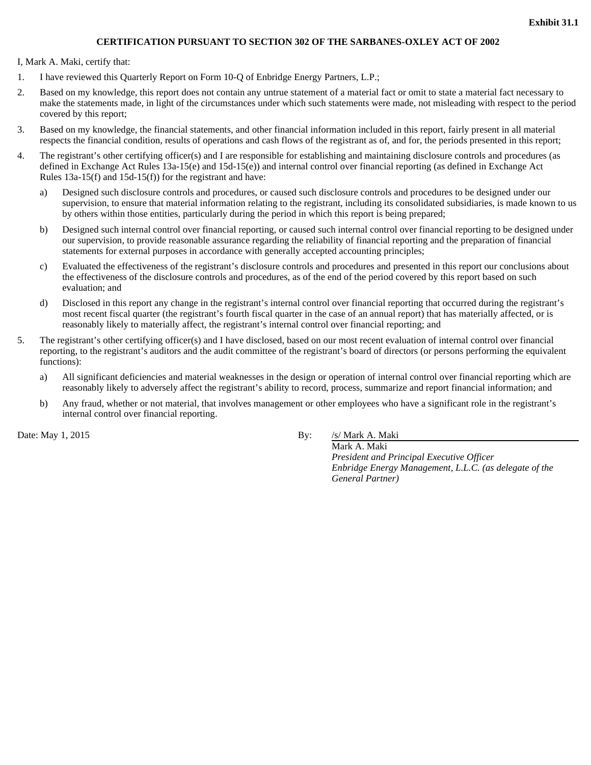# **CERTIFICATION PURSUANT TO SECTION 302 OF THE SARBANES-OXLEY ACT OF 2002**

I, Mark A. Maki, certify that:

- 1. I have reviewed this Quarterly Report on Form 10-Q of Enbridge Energy Partners, L.P.;
- 2. Based on my knowledge, this report does not contain any untrue statement of a material fact or omit to state a material fact necessary to make the statements made, in light of the circumstances under which such statements were made, not misleading with respect to the period covered by this report;
- 3. Based on my knowledge, the financial statements, and other financial information included in this report, fairly present in all material respects the financial condition, results of operations and cash flows of the registrant as of, and for, the periods presented in this report;
- 4. The registrant's other certifying officer(s) and I are responsible for establishing and maintaining disclosure controls and procedures (as defined in Exchange Act Rules 13a-15(e) and 15d-15(e)) and internal control over financial reporting (as defined in Exchange Act Rules 13a-15(f) and 15d-15(f)) for the registrant and have:
	- a) Designed such disclosure controls and procedures, or caused such disclosure controls and procedures to be designed under our supervision, to ensure that material information relating to the registrant, including its consolidated subsidiaries, is made known to us by others within those entities, particularly during the period in which this report is being prepared;
	- b) Designed such internal control over financial reporting, or caused such internal control over financial reporting to be designed under our supervision, to provide reasonable assurance regarding the reliability of financial reporting and the preparation of financial statements for external purposes in accordance with generally accepted accounting principles;
	- c) Evaluated the effectiveness of the registrant's disclosure controls and procedures and presented in this report our conclusions about the effectiveness of the disclosure controls and procedures, as of the end of the period covered by this report based on such evaluation; and
	- d) Disclosed in this report any change in the registrant's internal control over financial reporting that occurred during the registrant's most recent fiscal quarter (the registrant's fourth fiscal quarter in the case of an annual report) that has materially affected, or is reasonably likely to materially affect, the registrant's internal control over financial reporting; and
- 5. The registrant's other certifying officer(s) and I have disclosed, based on our most recent evaluation of internal control over financial reporting, to the registrant's auditors and the audit committee of the registrant's board of directors (or persons performing the equivalent functions):
	- a) All significant deficiencies and material weaknesses in the design or operation of internal control over financial reporting which are reasonably likely to adversely affect the registrant's ability to record, process, summarize and report financial information; and
	- b) Any fraud, whether or not material, that involves management or other employees who have a significant role in the registrant's internal control over financial reporting.

Date: May 1, 2015 By: /s/ Mark A. Maki

 Mark A. Maki *President and Principal Executive Officer Enbridge Energy Management, L.L.C. (as delegate of the General Partner)*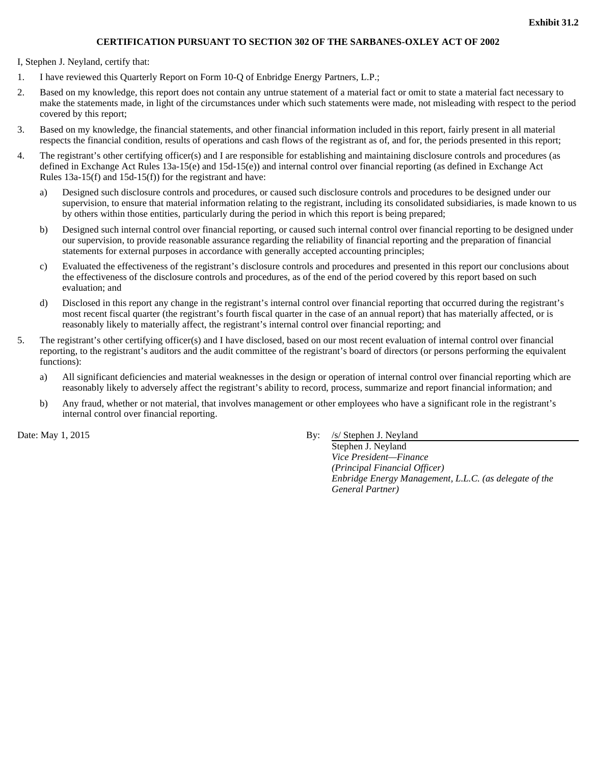# **CERTIFICATION PURSUANT TO SECTION 302 OF THE SARBANES-OXLEY ACT OF 2002**

I, Stephen J. Neyland, certify that:

- 1. I have reviewed this Quarterly Report on Form 10-Q of Enbridge Energy Partners, L.P.;
- 2. Based on my knowledge, this report does not contain any untrue statement of a material fact or omit to state a material fact necessary to make the statements made, in light of the circumstances under which such statements were made, not misleading with respect to the period covered by this report;
- 3. Based on my knowledge, the financial statements, and other financial information included in this report, fairly present in all material respects the financial condition, results of operations and cash flows of the registrant as of, and for, the periods presented in this report;
- 4. The registrant's other certifying officer(s) and I are responsible for establishing and maintaining disclosure controls and procedures (as defined in Exchange Act Rules 13a-15(e) and 15d-15(e)) and internal control over financial reporting (as defined in Exchange Act Rules 13a-15(f) and 15d-15(f)) for the registrant and have:
	- a) Designed such disclosure controls and procedures, or caused such disclosure controls and procedures to be designed under our supervision, to ensure that material information relating to the registrant, including its consolidated subsidiaries, is made known to us by others within those entities, particularly during the period in which this report is being prepared;
	- b) Designed such internal control over financial reporting, or caused such internal control over financial reporting to be designed under our supervision, to provide reasonable assurance regarding the reliability of financial reporting and the preparation of financial statements for external purposes in accordance with generally accepted accounting principles;
	- c) Evaluated the effectiveness of the registrant's disclosure controls and procedures and presented in this report our conclusions about the effectiveness of the disclosure controls and procedures, as of the end of the period covered by this report based on such evaluation; and
	- d) Disclosed in this report any change in the registrant's internal control over financial reporting that occurred during the registrant's most recent fiscal quarter (the registrant's fourth fiscal quarter in the case of an annual report) that has materially affected, or is reasonably likely to materially affect, the registrant's internal control over financial reporting; and
- 5. The registrant's other certifying officer(s) and I have disclosed, based on our most recent evaluation of internal control over financial reporting, to the registrant's auditors and the audit committee of the registrant's board of directors (or persons performing the equivalent functions):
	- a) All significant deficiencies and material weaknesses in the design or operation of internal control over financial reporting which are reasonably likely to adversely affect the registrant's ability to record, process, summarize and report financial information; and
	- b) Any fraud, whether or not material, that involves management or other employees who have a significant role in the registrant's internal control over financial reporting.

### Date: May 1, 2015 By: /s/ Stephen J. Neyland

 Stephen J. Neyland *Vice President—Finance (Principal Financial Officer) Enbridge Energy Management, L.L.C. (as delegate of the General Partner)*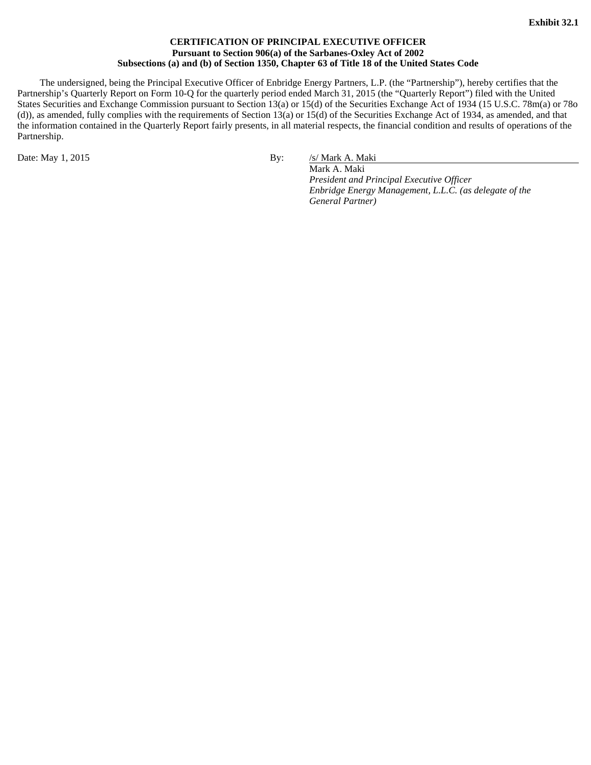## **CERTIFICATION OF PRINCIPAL EXECUTIVE OFFICER Pursuant to Section 906(a) of the Sarbanes-Oxley Act of 2002 Subsections (a) and (b) of Section 1350, Chapter 63 of Title 18 of the United States Code**

The undersigned, being the Principal Executive Officer of Enbridge Energy Partners, L.P. (the "Partnership"), hereby certifies that the Partnership's Quarterly Report on Form 10-Q for the quarterly period ended March 31, 2015 (the "Quarterly Report") filed with the United States Securities and Exchange Commission pursuant to Section 13(a) or 15(d) of the Securities Exchange Act of 1934 (15 U.S.C. 78m(a) or 78o (d)), as amended, fully complies with the requirements of Section 13(a) or 15(d) of the Securities Exchange Act of 1934, as amended, and that the information contained in the Quarterly Report fairly presents, in all material respects, the financial condition and results of operations of the Partnership.

Date: May 1, 2015 By: /s/ Mark A. Maki

Mark A. Maki *President and Principal Executive Officer Enbridge Energy Management, L.L.C. (as delegate of the General Partner)*